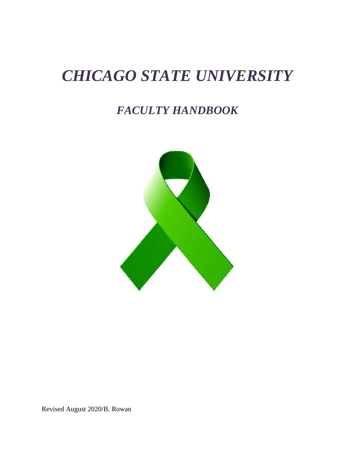# *CHICAGO STATE UNIVERSITY*

## *FACULTY HANDBOOK*



Revised August 2020/B. Rowan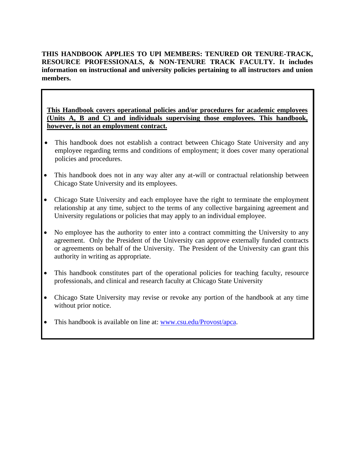**THIS HANDBOOK APPLIES TO UPI MEMBERS: TENURED OR TENURE-TRACK, RESOURCE PROFESSIONALS, & NON-TENURE TRACK FACULTY. It includes information on instructional and university policies pertaining to all instructors and union members.**

**This Handbook covers operational policies and/or procedures for academic employees (Units A, B and C) and individuals supervising those employees. This handbook, however, is not an employment contract.** 

- This handbook does not establish a contract between Chicago State University and any employee regarding terms and conditions of employment; it does cover many operational policies and procedures.
- This handbook does not in any way alter any at-will or contractual relationship between Chicago State University and its employees.
- Chicago State University and each employee have the right to terminate the employment relationship at any time, subject to the terms of any collective bargaining agreement and University regulations or policies that may apply to an individual employee.
- No employee has the authority to enter into a contract committing the University to any agreement. Only the President of the University can approve externally funded contracts or agreements on behalf of the University. The President of the University can grant this authority in writing as appropriate.
- This handbook constitutes part of the operational policies for teaching faculty, resource professionals, and clinical and research faculty at Chicago State University
- Chicago State University may revise or revoke any portion of the handbook at any time without prior notice.
- This handbook is available on line at: [www.csu.edu/Provost/apca.](http://www.csu.edu/provost/apca)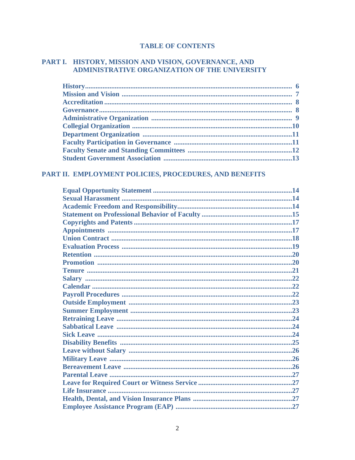## **TABLE OF CONTENTS**

## PART I. HISTORY, MISSION AND VISION, GOVERNANCE, AND ADMINISTRATIVE ORGANIZATION OF THE UNIVERSITY

## PART II. EMPLOYMENT POLICIES, PROCEDURES, AND BENEFITS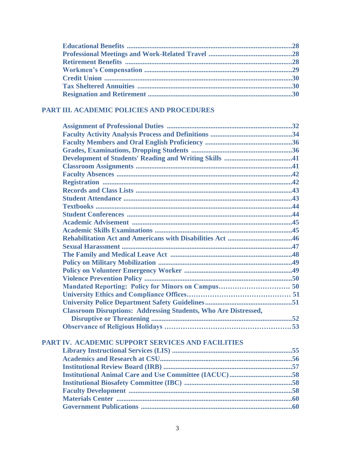## **PART III. ACADEMIC POLICIES AND PROCEDURES**

| <b>Classroom Disruptions: Addressing Students, Who Are Distressed,</b> |  |
|------------------------------------------------------------------------|--|
|                                                                        |  |
|                                                                        |  |
|                                                                        |  |
| PART IV. ACADEMIC SUPPORT SERVICES AND FACILITIES                      |  |
|                                                                        |  |
|                                                                        |  |
|                                                                        |  |
|                                                                        |  |
|                                                                        |  |
|                                                                        |  |
|                                                                        |  |
|                                                                        |  |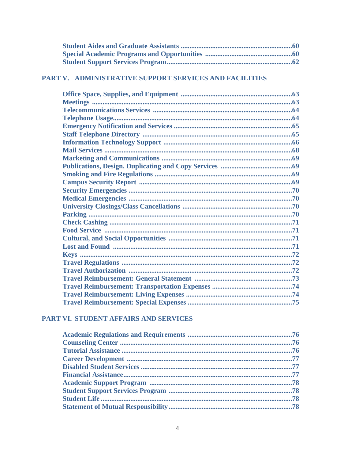## PART V. ADMINISTRATIVE SUPPORT SERVICES AND FACILITIES

## PART VI. STUDENT AFFAIRS AND SERVICES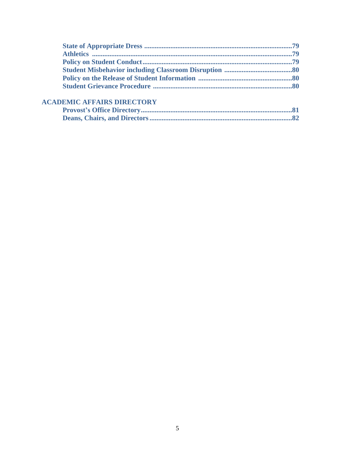## **ACADEMIC AFFAIRS DIRECTORY**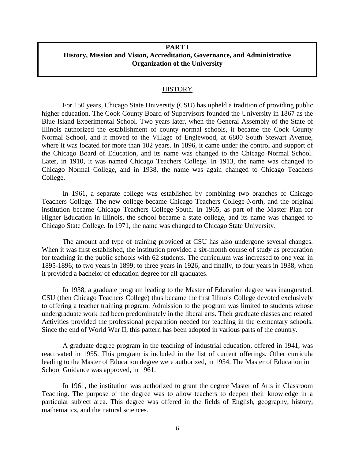## **PART I History, Mission and Vision, Accreditation, Governance, and Administrative Organization of the University**

#### **HISTORY**

For 150 years, Chicago State University (CSU) has upheld a tradition of providing public higher education. The Cook County Board of Supervisors founded the University in 1867 as the Blue Island Experimental School. Two years later, when the General Assembly of the State of Illinois authorized the establishment of county normal schools, it became the Cook County Normal School, and it moved to the Village of Englewood, at 6800 South Stewart Avenue, where it was located for more than 102 years. In 1896, it came under the control and support of the Chicago Board of Education, and its name was changed to the Chicago Normal School. Later, in 1910, it was named Chicago Teachers College. In 1913, the name was changed to Chicago Normal College, and in 1938, the name was again changed to Chicago Teachers College.

In 1961, a separate college was established by combining two branches of Chicago Teachers College. The new college became Chicago Teachers College-North, and the original institution became Chicago Teachers College-South. In 1965, as part of the Master Plan for Higher Education in Illinois, the school became a state college, and its name was changed to Chicago State College. In 1971, the name was changed to Chicago State University.

The amount and type of training provided at CSU has also undergone several changes. When it was first established, the institution provided a six-month course of study as preparation for teaching in the public schools with 62 students. The curriculum was increased to one year in 1895-1896; to two years in 1899; to three years in 1926; and finally, to four years in 1938, when it provided a bachelor of education degree for all graduates.

In 1938, a graduate program leading to the Master of Education degree was inaugurated. CSU (then Chicago Teachers College) thus became the first Illinois College devoted exclusively to offering a teacher training program. Admission to the program was limited to students whose undergraduate work had been predominately in the liberal arts. Their graduate classes and related Activities provided the professional preparation needed for teaching in the elementary schools. Since the end of World War II, this pattern has been adopted in various parts of the country.

A graduate degree program in the teaching of industrial education, offered in 1941, was reactivated in 1955. This program is included in the list of current offerings. Other curricula leading to the Master of Education degree were authorized, in 1954. The Master of Education in School Guidance was approved, in 1961.

In 1961, the institution was authorized to grant the degree Master of Arts in Classroom Teaching. The purpose of the degree was to allow teachers to deepen their knowledge in a particular subject area. This degree was offered in the fields of English, geography, history, mathematics, and the natural sciences.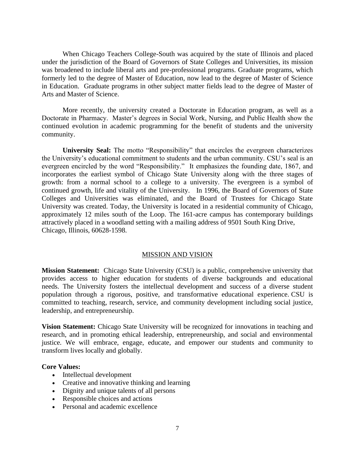When Chicago Teachers College-South was acquired by the state of Illinois and placed under the jurisdiction of the Board of Governors of State Colleges and Universities, its mission was broadened to include liberal arts and pre-professional programs. Graduate programs, which formerly led to the degree of Master of Education, now lead to the degree of Master of Science in Education. Graduate programs in other subject matter fields lead to the degree of Master of Arts and Master of Science.

More recently, the university created a Doctorate in Education program, as well as a Doctorate in Pharmacy. Master's degrees in Social Work, Nursing, and Public Health show the continued evolution in academic programming for the benefit of students and the university community.

**University Seal:** The motto "Responsibility" that encircles the evergreen characterizes the University's educational commitment to students and the urban community. CSU's seal is an evergreen encircled by the word "Responsibility." It emphasizes the founding date, 1867, and incorporates the earliest symbol of Chicago State University along with the three stages of growth: from a normal school to a college to a university. The evergreen is a symbol of continued growth, life and vitality of the University. In 1996, the Board of Governors of State Colleges and Universities was eliminated, and the Board of Trustees for Chicago State University was created. Today, the University is located in a residential community of Chicago, approximately 12 miles south of the Loop. The 161-acre campus has contemporary buildings attractively placed in a woodland setting with a mailing address of 9501 South King Drive, Chicago, Illinois, 60628-1598.

#### MISSION AND VISION

**Mission Statement:** Chicago State University (CSU) is a public, comprehensive university that provides access to higher education for students of diverse backgrounds and educational needs. The University fosters the intellectual development and success of a diverse student population through a rigorous, positive, and transformative educational experience. CSU is committed to teaching, research, service, and community development including social justice, leadership, and entrepreneurship.

**Vision Statement:** Chicago State University will be recognized for innovations in teaching and research, and in promoting ethical leadership, entrepreneurship, and social and environmental justice. We will embrace, engage, educate, and empower our students and community to transform lives locally and globally.

#### **Core Values:**

- Intellectual development
- Creative and innovative thinking and learning
- Dignity and unique talents of all persons
- Responsible choices and actions
- Personal and academic excellence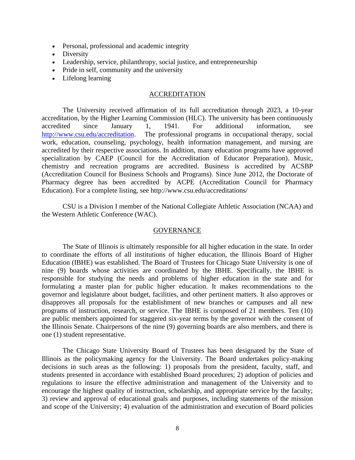- Personal, professional and academic integrity
- Diversity
- Leadership, service, philanthropy, social justice, and entrepreneurship
- Pride in self, community and the university
- Lifelong learning

#### ACCREDITATION

The University received affirmation of its full accreditation through 2023, a 10-year accreditation, by the Higher Learning Commission (HLC). The university has been continuously accredited since January 1, 1941. For additional information, see [http://www.csu.edu/accreditation.](http://www.csu.edu/accreditation) The professional programs in occupational therapy, social work, education, counseling, psychology, health information management, and nursing are accredited by their respective associations. In addition, many education programs have approved specialization by CAEP (Council for the Accreditation of Educator Preparation). Music, chemistry and recreation programs are accredited. Business is accredited by ACSBP (Accreditation Council for Business Schools and Programs). Since June 2012, the Doctorate of Pharmacy degree has been accredited by ACPE (Accreditation Council for Pharmacy Education). For a complete listing, see http://www.csu.edu/accreditations/

CSU is a Division I member of the National Collegiate Athletic Association (NCAA) and the Western Athletic Conference (WAC).

#### **GOVERNANCE**

The State of Illinois is ultimately responsible for all higher education in the state. In order to coordinate the efforts of all institutions of higher education, the Illinois Board of Higher Education (IBHE) was established. The Board of Trustees for Chicago State University is one of nine (9) boards whose activities are coordinated by the IBHE. Specifically, the IBHE is responsible for studying the needs and problems of higher education in the state and for formulating a master plan for public higher education. It makes recommendations to the governor and legislature about budget, facilities, and other pertinent matters. It also approves or disapproves all proposals for the establishment of new branches or campuses and all new programs of instruction, research, or service. The IBHE is composed of 21 members. Ten (10) are public members appointed for staggered six-year terms by the governor with the consent of the Illinois Senate. Chairpersons of the nine (9) governing boards are also members, and there is one (1) student representative.

The Chicago State University Board of Trustees has been designated by the State of Illinois as the policymaking agency for the University. The Board undertakes policy-making decisions in such areas as the following: 1) proposals from the president, faculty, staff, and students presented in accordance with established Board procedures; 2) adoption of policies and regulations to insure the effective administration and management of the University and to encourage the highest quality of instruction, scholarship, and appropriate service by the faculty; 3) review and approval of educational goals and purposes, including statements of the mission and scope of the University; 4) evaluation of the administration and execution of Board policies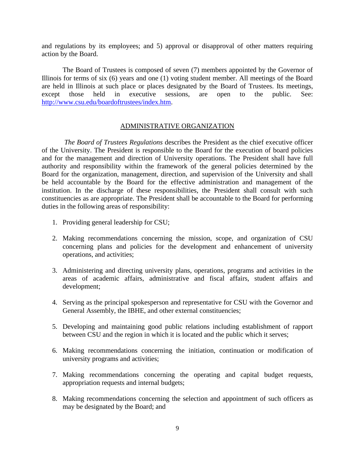and regulations by its employees; and 5) approval or disapproval of other matters requiring action by the Board.

The Board of Trustees is composed of seven (7) members appointed by the Governor of Illinois for terms of six (6) years and one (1) voting student member. All meetings of the Board are held in Illinois at such place or places designated by the Board of Trustees. Its meetings, except those held in executive sessions, are open to the public. See: [http://www.csu.edu/boardoftrustees/index.htm.](http://www.csu.edu/boardoftrustees/index.htm)

#### ADMINISTRATIVE ORGANIZATION

*The Board of Trustees Regulations* describes the President as the chief executive officer of the University. The President is responsible to the Board for the execution of board policies and for the management and direction of University operations. The President shall have full authority and responsibility within the framework of the general policies determined by the Board for the organization, management, direction, and supervision of the University and shall be held accountable by the Board for the effective administration and management of the institution. In the discharge of these responsibilities, the President shall consult with such constituencies as are appropriate. The President shall be accountable to the Board for performing duties in the following areas of responsibility:

- 1. Providing general leadership for CSU;
- 2. Making recommendations concerning the mission, scope, and organization of CSU concerning plans and policies for the development and enhancement of university operations, and activities;
- 3. Administering and directing university plans, operations, programs and activities in the areas of academic affairs, administrative and fiscal affairs, student affairs and development;
- 4. Serving as the principal spokesperson and representative for CSU with the Governor and General Assembly, the IBHE, and other external constituencies;
- 5. Developing and maintaining good public relations including establishment of rapport between CSU and the region in which it is located and the public which it serves;
- 6. Making recommendations concerning the initiation, continuation or modification of university programs and activities;
- 7. Making recommendations concerning the operating and capital budget requests, appropriation requests and internal budgets;
- 8. Making recommendations concerning the selection and appointment of such officers as may be designated by the Board; and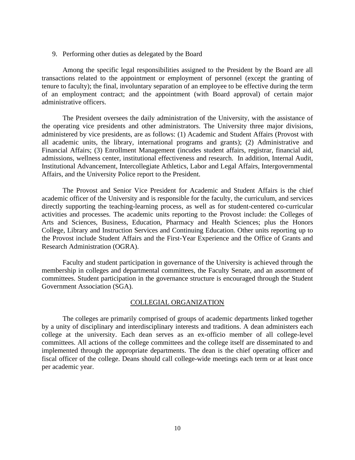9. Performing other duties as delegated by the Board

Among the specific legal responsibilities assigned to the President by the Board are all transactions related to the appointment or employment of personnel (except the granting of tenure to faculty); the final, involuntary separation of an employee to be effective during the term of an employment contract; and the appointment (with Board approval) of certain major administrative officers.

The President oversees the daily administration of the University, with the assistance of the operating vice presidents and other administrators. The University three major divisions, administered by vice presidents, are as follows: (1) Academic and Student Affairs (Provost with all academic units, the library, international programs and grants); (2) Administrative and Financial Affairs; (3) Enrollment Management (incudes student affairs, registrar, financial aid, admissions, wellness center, institutional effectiveness and research. In addition, Internal Audit, Institutional Advancement, Intercollegiate Athletics, Labor and Legal Affairs, Intergovernmental Affairs, and the University Police report to the President.

The Provost and Senior Vice President for Academic and Student Affairs is the chief academic officer of the University and is responsible for the faculty, the curriculum, and services directly supporting the teaching-learning process, as well as for student-centered co-curricular activities and processes. The academic units reporting to the Provost include: the Colleges of Arts and Sciences, Business, Education, Pharmacy and Health Sciences; plus the Honors College, Library and Instruction Services and Continuing Education. Other units reporting up to the Provost include Student Affairs and the First-Year Experience and the Office of Grants and Research Administration (OGRA).

Faculty and student participation in governance of the University is achieved through the membership in colleges and departmental committees, the Faculty Senate, and an assortment of committees. Student participation in the governance structure is encouraged through the Student Government Association (SGA).

#### COLLEGIAL ORGANIZATION

The colleges are primarily comprised of groups of academic departments linked together by a unity of disciplinary and interdisciplinary interests and traditions. A dean administers each college at the university. Each dean serves as an ex-officio member of all college-level committees. All actions of the college committees and the college itself are disseminated to and implemented through the appropriate departments. The dean is the chief operating officer and fiscal officer of the college. Deans should call college-wide meetings each term or at least once per academic year.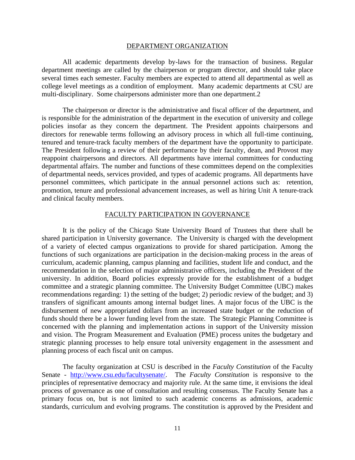#### DEPARTMENT ORGANIZATION

All academic departments develop by-laws for the transaction of business. Regular department meetings are called by the chairperson or program director, and should take place several times each semester. Faculty members are expected to attend all departmental as well as college level meetings as a condition of employment. Many academic departments at CSU are multi-disciplinary. Some chairpersons administer more than one department.2

The chairperson or director is the administrative and fiscal officer of the department, and is responsible for the administration of the department in the execution of university and college policies insofar as they concern the department. The President appoints chairpersons and directors for renewable terms following an advisory process in which all full-time continuing, tenured and tenure-track faculty members of the department have the opportunity to participate. The President following a review of their performance by their faculty, dean, and Provost may reappoint chairpersons and directors. All departments have internal committees for conducting departmental affairs. The number and functions of these committees depend on the complexities of departmental needs, services provided, and types of academic programs. All departments have personnel committees, which participate in the annual personnel actions such as: retention, promotion, tenure and professional advancement increases, as well as hiring Unit A tenure-track and clinical faculty members.

#### FACULTY PARTICIPATION IN GOVERNANCE

It is the policy of the Chicago State University Board of Trustees that there shall be shared participation in University governance. The University is charged with the development of a variety of elected campus organizations to provide for shared participation. Among the functions of such organizations are participation in the decision-making process in the areas of curriculum, academic planning, campus planning and facilities, student life and conduct, and the recommendation in the selection of major administrative officers, including the President of the university. In addition, Board policies expressly provide for the establishment of a budget committee and a strategic planning committee. The University Budget Committee (UBC) makes recommendations regarding: 1) the setting of the budget; 2) periodic review of the budget; and 3) transfers of significant amounts among internal budget lines. A major focus of the UBC is the disbursement of new appropriated dollars from an increased state budget or the reduction of funds should there be a lower funding level from the state. The Strategic Planning Committee is concerned with the planning and implementation actions in support of the University mission and vision. The Program Measurement and Evaluation (PME) process unites the budgetary and strategic planning processes to help ensure total university engagement in the assessment and planning process of each fiscal unit on campus.

The faculty organization at CSU is described in the *Faculty Constitution* of the Faculty Senate - [http://www.csu.edu/facultysenate/.](http://www.csu.edu/facultysenate/) The *Faculty Constitution* is responsive to the principles of representative democracy and majority rule. At the same time, it envisions the ideal process of governance as one of consultation and resulting consensus. The Faculty Senate has a primary focus on, but is not limited to such academic concerns as admissions, academic standards, curriculum and evolving programs. The constitution is approved by the President and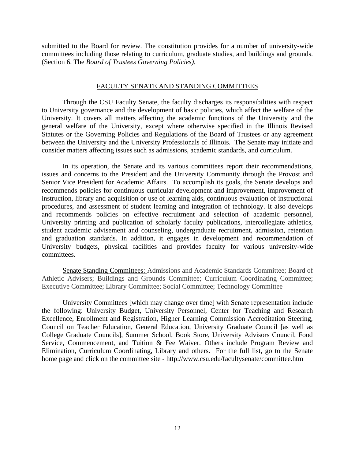submitted to the Board for review. The constitution provides for a number of university-wide committees including those relating to curriculum, graduate studies, and buildings and grounds. (Section 6. The *Board of Trustees Governing Policies).*

#### FACULTY SENATE AND STANDING COMMITTEES

Through the CSU Faculty Senate, the faculty discharges its responsibilities with respect to University governance and the development of basic policies, which affect the welfare of the University. It covers all matters affecting the academic functions of the University and the general welfare of the University, except where otherwise specified in the Illinois Revised Statutes or the Governing Policies and Regulations of the Board of Trustees or any agreement between the University and the University Professionals of Illinois. The Senate may initiate and consider matters affecting issues such as admissions, academic standards, and curriculum.

In its operation, the Senate and its various committees report their recommendations, issues and concerns to the President and the University Community through the Provost and Senior Vice President for Academic Affairs. To accomplish its goals, the Senate develops and recommends policies for continuous curricular development and improvement, improvement of instruction, library and acquisition or use of learning aids, continuous evaluation of instructional procedures, and assessment of student learning and integration of technology. It also develops and recommends policies on effective recruitment and selection of academic personnel, University printing and publication of scholarly faculty publications, intercollegiate athletics, student academic advisement and counseling, undergraduate recruitment, admission, retention and graduation standards. In addition, it engages in development and recommendation of University budgets, physical facilities and provides faculty for various university-wide committees.

Senate Standing Committees: Admissions and Academic Standards Committee; Board of Athletic Advisers; Buildings and Grounds Committee; Curriculum Coordinating Committee; Executive Committee; Library Committee; Social Committee; Technology Committee

University Committees [which may change over time] with Senate representation include the following: University Budget, University Personnel, Center for Teaching and Research Excellence, Enrollment and Registration, Higher Learning Commission Accreditation Steering, Council on Teacher Education, General Education, University Graduate Council [as well as College Graduate Councils], Summer School, Book Store, University Advisors Council, Food Service, Commencement, and Tuition & Fee Waiver. Others include Program Review and Elimination, Curriculum Coordinating, Library and others. For the full list, go to the Senate home page and click on the committee site - http://www.csu.edu/facultysenate/committee.htm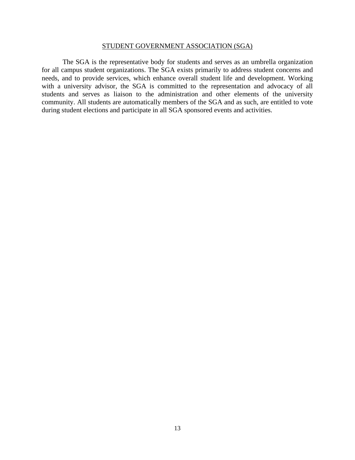#### STUDENT GOVERNMENT ASSOCIATION (SGA)

The SGA is the representative body for students and serves as an umbrella organization for all campus student organizations. The SGA exists primarily to address student concerns and needs, and to provide services, which enhance overall student life and development. Working with a university advisor, the SGA is committed to the representation and advocacy of all students and serves as liaison to the administration and other elements of the university community. All students are automatically members of the SGA and as such, are entitled to vote during student elections and participate in all SGA sponsored events and activities.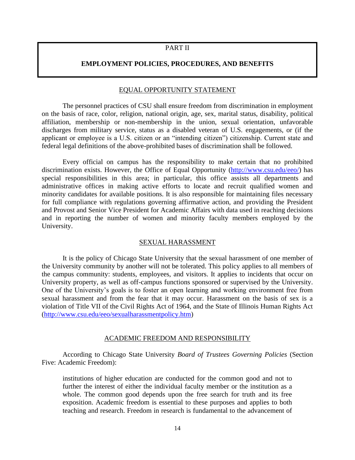## PART II

#### **EMPLOYMENT POLICIES, PROCEDURES, AND BENEFITS**

#### EQUAL OPPORTUNITY STATEMENT

The personnel practices of CSU shall ensure freedom from discrimination in employment on the basis of race, color, religion, national origin, age, sex, marital status, disability, political affiliation, membership or non-membership in the union, sexual orientation, unfavorable discharges from military service, status as a disabled veteran of U.S. engagements, or (if the applicant or employee is a U.S. citizen or an "intending citizen") citizenship. Current state and federal legal definitions of the above-prohibited bases of discrimination shall be followed.

Every official on campus has the responsibility to make certain that no prohibited discrimination exists. However, the Office of Equal Opportunity [\(http://www.csu.edu/eeo/\)](http://www.csu.edu/eeo/) has special responsibilities in this area; in particular, this office assists all departments and administrative offices in making active efforts to locate and recruit qualified women and minority candidates for available positions. It is also responsible for maintaining files necessary for full compliance with regulations governing affirmative action, and providing the President and Provost and Senior Vice President for Academic Affairs with data used in reaching decisions and in reporting the number of women and minority faculty members employed by the University.

#### SEXUAL HARASSMENT

It is the policy of Chicago State University that the sexual harassment of one member of the University community by another will not be tolerated. This policy applies to all members of the campus community: students, employees, and visitors. It applies to incidents that occur on University property, as well as off-campus functions sponsored or supervised by the University. One of the University's goals is to foster an open learning and working environment free from sexual harassment and from the fear that it may occur. Harassment on the basis of sex is a violation of Title VII of the Civil Rights Act of 1964, and the State of Illinois Human Rights Act [\(http://www.csu.edu/eeo/sexualharassmentpolicy.htm\)](http://www.csu.edu/eeo/sexualharassmentpolicy.htm)

#### ACADEMIC FREEDOM AND RESPONSIBILITY

According to Chicago State University *Board of Trustees Governing Policies* (Section Five: Academic Freedom):

institutions of higher education are conducted for the common good and not to further the interest of either the individual faculty member or the institution as a whole. The common good depends upon the free search for truth and its free exposition. Academic freedom is essential to these purposes and applies to both teaching and research. Freedom in research is fundamental to the advancement of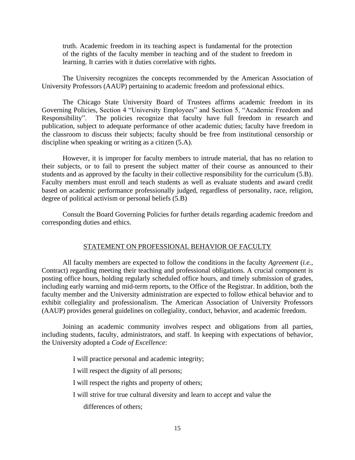truth. Academic freedom in its teaching aspect is fundamental for the protection of the rights of the faculty member in teaching and of the student to freedom in learning. It carries with it duties correlative with rights.

The University recognizes the concepts recommended by the American Association of University Professors (AAUP) pertaining to academic freedom and professional ethics.

The Chicago State University Board of Trustees affirms academic freedom in its Governing Policies, Section 4 "University Employees" and Section 5, "Academic Freedom and Responsibility". The policies recognize that faculty have full freedom in research and publication, subject to adequate performance of other academic duties; faculty have freedom in the classroom to discuss their subjects; faculty should be free from institutional censorship or discipline when speaking or writing as a citizen (5.A).

However, it is improper for faculty members to intrude material, that has no relation to their subjects, or to fail to present the subject matter of their course as announced to their students and as approved by the faculty in their collective responsibility for the curriculum (5.B). Faculty members must enroll and teach students as well as evaluate students and award credit based on academic performance professionally judged, regardless of personality, race, religion, degree of political activism or personal beliefs (5.B)

Consult the Board Governing Policies for further details regarding academic freedom and corresponding duties and ethics.

#### STATEMENT ON PROFESSIONAL BEHAVIOR OF FACULTY

All faculty members are expected to follow the conditions in the faculty *Agreement* (*i.e.,* Contract) regarding meeting their teaching and professional obligations. A crucial component is posting office hours, holding regularly scheduled office hours, and timely submission of grades, including early warning and mid-term reports, to the Office of the Registrar. In addition, both the faculty member and the University administration are expected to follow ethical behavior and to exhibit collegiality and professionalism. The American Association of University Professors (AAUP) provides general guidelines on collegiality, conduct, behavior, and academic freedom.

Joining an academic community involves respect and obligations from all parties, including students, faculty, administrators, and staff. In keeping with expectations of behavior, the University adopted a *Code of Excellence*:

I will practice personal and academic integrity;

I will respect the dignity of all persons;

I will respect the rights and property of others;

I will strive for true cultural diversity and learn to accept and value the

differences of others;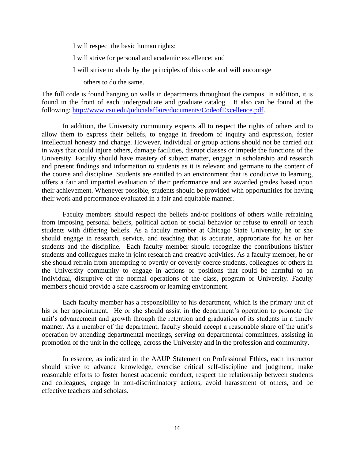I will respect the basic human rights; I will strive for personal and academic excellence; and I will strive to abide by the principles of this code and will encourage others to do the same.

The full code is found hanging on walls in departments throughout the campus. In addition, it is found in the front of each undergraduate and graduate catalog. It also can be found at the following: [http://www.csu.edu/judicialaffairs/documents/CodeofExcellence.pdf.](http://www.csu.edu/judicialaffairs/documents/CodeofExcellence.pdf)

In addition, the University community expects all to respect the rights of others and to allow them to express their beliefs, to engage in freedom of inquiry and expression, foster intellectual honesty and change. However, individual or group actions should not be carried out in ways that could injure others, damage facilities, disrupt classes or impede the functions of the University. Faculty should have mastery of subject matter, engage in scholarship and research and present findings and information to students as it is relevant and germane to the content of the course and discipline. Students are entitled to an environment that is conducive to learning, offers a fair and impartial evaluation of their performance and are awarded grades based upon their achievement. Whenever possible, students should be provided with opportunities for having their work and performance evaluated in a fair and equitable manner.

Faculty members should respect the beliefs and/or positions of others while refraining from imposing personal beliefs, political action or social behavior or refuse to enroll or teach students with differing beliefs. As a faculty member at Chicago State University, he or she should engage in research, service, and teaching that is accurate, appropriate for his or her students and the discipline. Each faculty member should recognize the contributions his/her students and colleagues make in joint research and creative activities. As a faculty member, he or she should refrain from attempting to overtly or covertly coerce students, colleagues or others in the University community to engage in actions or positions that could be harmful to an individual, disruptive of the normal operations of the class, program or University. Faculty members should provide a safe classroom or learning environment.

Each faculty member has a responsibility to his department, which is the primary unit of his or her appointment. He or she should assist in the department's operation to promote the unit's advancement and growth through the retention and graduation of its students in a timely manner. As a member of the department, faculty should accept a reasonable share of the unit's operation by attending departmental meetings, serving on departmental committees, assisting in promotion of the unit in the college, across the University and in the profession and community.

In essence, as indicated in the AAUP Statement on Professional Ethics, each instructor should strive to advance knowledge, exercise critical self-discipline and judgment, make reasonable efforts to foster honest academic conduct, respect the relationship between students and colleagues, engage in non-discriminatory actions, avoid harassment of others, and be effective teachers and scholars.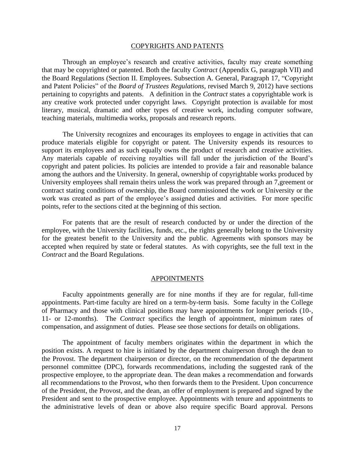#### COPYRIGHTS AND PATENTS

Through an employee's research and creative activities, faculty may create something that may be copyrighted or patented. Both the faculty *Contract* (Appendix G, paragraph VII) and the Board Regulations (Section II. Employees. Subsection A. General, Paragraph 17, "Copyright and Patent Policies" of the *Board of Trustees Regulations,* revised March 9, 2012) have sections pertaining to copyrights and patents. A definition in the *Contract* states a copyrightable work is any creative work protected under copyright laws. Copyright protection is available for most literary, musical, dramatic and other types of creative work, including computer software, teaching materials, multimedia works, proposals and research reports.

The University recognizes and encourages its employees to engage in activities that can produce materials eligible for copyright or patent. The University expends its resources to support its employees and as such equally owns the product of research and creative activities. Any materials capable of receiving royalties will fall under the jurisdiction of the Board's copyright and patent policies. Its policies are intended to provide a fair and reasonable balance among the authors and the University. In general, ownership of copyrightable works produced by University employees shall remain theirs unless the work was prepared through an 7,greement or contract stating conditions of ownership, the Board commissioned the work or University or the work was created as part of the employee's assigned duties and activities. For more specific points, refer to the sections cited at the beginning of this section.

For patents that are the result of research conducted by or under the direction of the employee, with the University facilities, funds, etc., the rights generally belong to the University for the greatest benefit to the University and the public. Agreements with sponsors may be accepted when required by state or federal statutes. As with copyrights, see the full text in the *Contract* and the Board Regulations.

#### APPOINTMENTS

Faculty appointments generally are for nine months if they are for regular, full-time appointments. Part-time faculty are hired on a term-by-term basis. Some faculty in the College of Pharmacy and those with clinical positions may have appointments for longer periods (10-, 11- or 12-months). The *Contract* specifics the length of appointment, minimum rates of compensation, and assignment of duties. Please see those sections for details on obligations.

The appointment of faculty members originates within the department in which the position exists. A request to hire is initiated by the department chairperson through the dean to the Provost. The department chairperson or director, on the recommendation of the department personnel committee (DPC), forwards recommendations, including the suggested rank of the prospective employee, to the appropriate dean. The dean makes a recommendation and forwards all recommendations to the Provost, who then forwards them to the President. Upon concurrence of the President, the Provost, and the dean, an offer of employment is prepared and signed by the President and sent to the prospective employee. Appointments with tenure and appointments to the administrative levels of dean or above also require specific Board approval. Persons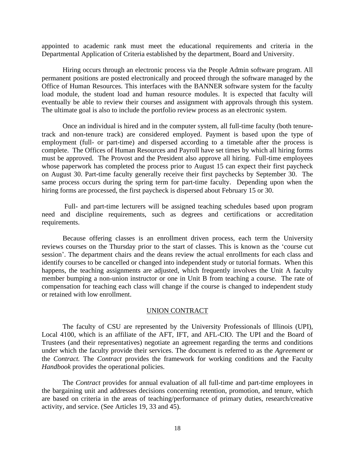appointed to academic rank must meet the educational requirements and criteria in the Departmental Application of Criteria established by the department, Board and University.

Hiring occurs through an electronic process via the People Admin software program. All permanent positions are posted electronically and proceed through the software managed by the Office of Human Resources. This interfaces with the BANNER software system for the faculty load module, the student load and human resource modules. It is expected that faculty will eventually be able to review their courses and assignment with approvals through this system. The ultimate goal is also to include the portfolio review process as an electronic system.

Once an individual is hired and in the computer system, all full-time faculty (both tenuretrack and non-tenure track) are considered employed. Payment is based upon the type of employment (full- or part-time) and dispersed according to a timetable after the process is complete. The Offices of Human Resources and Payroll have set times by which all hiring forms must be approved. The Provost and the President also approve all hiring. Full-time employees whose paperwork has completed the process prior to August 15 can expect their first paycheck on August 30. Part-time faculty generally receive their first paychecks by September 30. The same process occurs during the spring term for part-time faculty. Depending upon when the hiring forms are processed, the first paycheck is dispersed about February 15 or 30.

Full- and part-time lecturers will be assigned teaching schedules based upon program need and discipline requirements, such as degrees and certifications or accreditation requirements.

Because offering classes is an enrollment driven process, each term the University reviews courses on the Thursday prior to the start of classes. This is known as the 'course cut session'. The department chairs and the deans review the actual enrollments for each class and identify courses to be cancelled or changed into independent study or tutorial formats. When this happens, the teaching assignments are adjusted, which frequently involves the Unit A faculty member bumping a non-union instructor or one in Unit B from teaching a course. The rate of compensation for teaching each class will change if the course is changed to independent study or retained with low enrollment.

#### UNION CONTRACT

The faculty of CSU are represented by the University Professionals of Illinois (UPI)*,*  Local 4100, which is an affiliate of the AFT, IFT, and AFL-CIO. The UPI and the Board of Trustees (and their representatives) negotiate an agreement regarding the terms and conditions under which the faculty provide their services. The document is referred to as the *Agreement* or the *Contract.* The *Contract* provides the framework for working conditions and the Faculty *Handbook* provides the operational policies.

The *Contract* provides for annual evaluation of all full-time and part-time employees in the bargaining unit and addresses decisions concerning retention, promotion, and tenure, which are based on criteria in the areas of teaching/performance of primary duties, research/creative activity, and service. (See Articles 19, 33 and 45).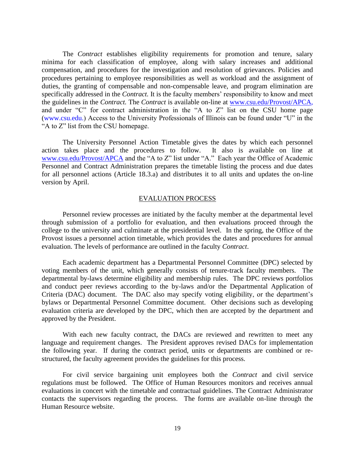The *Contract* establishes eligibility requirements for promotion and tenure, salary minima for each classification of employee, along with salary increases and additional compensation, and procedures for the investigation and resolution of grievances. Policies and procedures pertaining to employee responsibilities as well as workload and the assignment of duties, the granting of compensable and non-compensable leave, and program elimination are specifically addressed in the *Contract.* It is the faculty members' responsibility to know and meet the guidelines in the *Contract.* The *Contract* is available on-line at [www.csu.edu/Provost/APCA,](http://www.csu.edu/provost/APCA) and under "C" for contract administration in the "A to Z" list on the CSU home page (www.csu.edu.) Access to the University Professionals of Illinois can be found under "U" in the "A to Z" list from the CSU homepage.

The University Personnel Action Timetable gives the dates by which each personnel action takes place and the procedures to follow. It also is available on line at [www.csu.edu/Provost/APCA](http://www.csu.edu/provost/APCA) and the "A to Z" list under "A." Each year the Office of Academic Personnel and Contract Administration prepares the timetable listing the process and due dates for all personnel actions (Article 18.3.a) and distributes it to all units and updates the on-line version by April.

#### EVALUATION PROCESS

Personnel review processes are initiated by the faculty member at the departmental level through submission of a portfolio for evaluation, and then evaluations proceed through the college to the university and culminate at the presidential level. In the spring, the Office of the Provost issues a personnel action timetable, which provides the dates and procedures for annual evaluation. The levels of performance are outlined in the faculty *Contract*.

Each academic department has a Departmental Personnel Committee (DPC) selected by voting members of the unit, which generally consists of tenure-track faculty members. The departmental by-laws determine eligibility and membership rules. The DPC reviews portfolios and conduct peer reviews according to the by-laws and/or the Departmental Application of Criteria (DAC) document. The DAC also may specify voting eligibility, or the department's bylaws or Departmental Personnel Committee document. Other decisions such as developing evaluation criteria are developed by the DPC, which then are accepted by the department and approved by the President.

With each new faculty contract, the DACs are reviewed and rewritten to meet any language and requirement changes. The President approves revised DACs for implementation the following year. If during the contract period, units or departments are combined or restructured, the faculty agreement provides the guidelines for this process.

For civil service bargaining unit employees both the *Contract* and civil service regulations must be followed. The Office of Human Resources monitors and receives annual evaluations in concert with the timetable and contractual guidelines. The Contract Administrator contacts the supervisors regarding the process. The forms are available on-line through the Human Resource website.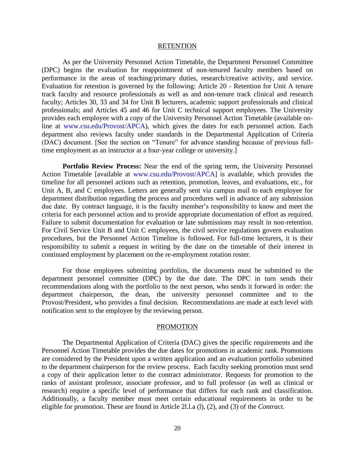#### **RETENTION**

As per the University Personnel Action Timetable, the Department Personnel Committee (DPC) begins the evaluation for reappointment of non-tenured faculty members based on performance in the areas of teaching/primary duties, research/creative activity, and service. Evaluation for retention is governed by the following: Article 20 - Retention for Unit A tenure track faculty and resource professionals as well as and non-tenure track clinical and research faculty; Articles 30, 33 and 34 for Unit B lecturers, academic support professionals and clinical professionals; and Articles 45 and 46 for Unit C technical support employees. The University provides each employee with a copy of the University Personnel Action Timetable (available online at www.csu.edu/Provost/APCA), which gives the dates for each personnel action. Each department also reviews faculty under standards in the Departmental Application of Criteria (DAC) document. [See the section on "Tenure" for advance standing because of previous fulltime employment as an instructor at a four-year college or university.]

**Portfolio Review Process:** Near the end of the spring term, the University Personnel Action Timetable [available at www.csu.edu/Provost/APCA] is available, which provides the timeline for all personnel actions such as retention, promotion, leaves, and evaluations, etc., for Unit A, B, and C employees. Letters are generally sent via campus mail to each employee for department distribution regarding the process and procedures well in advance of any submission due date. By contract language, it is the faculty member's responsibility to know and meet the criteria for each personnel action and to provide appropriate documentation of effort as required. Failure to submit documentation for evaluation or late submissions may result in non-retention. For Civil Service Unit B and Unit C employees, the civil service regulations govern evaluation procedures, but the Personnel Action Timeline is followed. For full-time lecturers, it is their responsibility to submit a request in writing by the date on the timetable of their interest in continued employment by placement on the re-employment rotation roster.

For those employees submitting portfolios, the documents must be submitted to the department personnel committee (DPC) by the due date. The DPC in turn sends their recommendations along with the portfolio to the next person, who sends it forward in order: the department chairperson, the dean, the university personnel committee and to the Provost/President, who provides a final decision. Recommendations are made at each level with notification sent to the employee by the reviewing person.

#### PROMOTION

The Departmental Application of Criteria (DAC) gives the specific requirements and the Personnel Action Timetable provides the due dates for promotions in academic rank. Promotions are considered by the President upon a written application and an evaluation portfolio submitted to the department chairperson for the review process. Each faculty seeking promotion must send a copy of their application letter to the contract administrator. Requests for promotion to the ranks of assistant professor, associate professor, and to full professor (as well as clinical or research) require a specific level of performance that differs for each rank and classification. Additionally, a faculty member must meet certain educational requirements in order to be eligible for promotion. These are found in Article 2l.l.a (l), (2), and (3) of the *Contract.*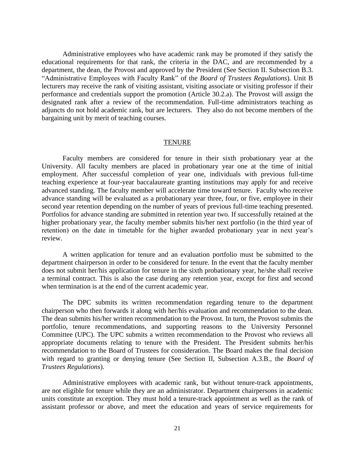Administrative employees who have academic rank may be promoted if they satisfy the educational requirements for that rank, the criteria in the DAC, and are recommended by a department, the dean, the Provost and approved by the President (See Section II. Subsection B.3. "Administrative Employees with Faculty Rank" of the *Board of Trustees Regulations*). Unit B lecturers may receive the rank of visiting assistant, visiting associate or visiting professor if their performance and credentials support the promotion (Article 30.2.a). The Provost will assign the designated rank after a review of the recommendation. Full-time administrators teaching as adjuncts do not hold academic rank, but are lecturers. They also do not become members of the bargaining unit by merit of teaching courses.

#### TENURE

Faculty members are considered for tenure in their sixth probationary year at the University. All faculty members are placed in probationary year one at the time of initial employment. After successful completion of year one, individuals with previous full-time teaching experience at four-year baccalaureate granting institutions may apply for and receive advanced standing. The faculty member will accelerate time toward tenure. Faculty who receive advance standing will be evaluated as a probationary year three, four, or five, employee in their second year retention depending on the number of years of previous full-time teaching presented. Portfolios for advance standing are submitted in retention year two. If successfully retained at the higher probationary year, the faculty member submits his/her next portfolio (in the third year of retention) on the date in timetable for the higher awarded probationary year in next year's review.

A written application for tenure and an evaluation portfolio must be submitted to the department chairperson in order to be considered for tenure. In the event that the faculty member does not submit her/his application for tenure in the sixth probationary year, he/she shall receive a terminal contract. This is also the case during any retention year, except for first and second when termination is at the end of the current academic year.

The DPC submits its written recommendation regarding tenure to the department chairperson who then forwards it along with her/his evaluation and recommendation to the dean. The dean submits his/her written recommendation to the Provost. In turn, the Provost submits the portfolio, tenure recommendations, and supporting reasons to the University Personnel Committee (UPC). The UPC submits a written recommendation to the Provost who reviews all appropriate documents relating to tenure with the President. The President submits her/his recommendation to the Board of Trustees for consideration. The Board makes the final decision with regard to granting or denying tenure (See Section II, Subsection A.3.B., the *Board of Trustees Regulations*).

Administrative employees with academic rank, but without tenure-track appointments, are not eligible for tenure while they are an administrator. Department chairpersons in academic units constitute an exception. They must hold a tenure-track appointment as well as the rank of assistant professor or above, and meet the education and years of service requirements for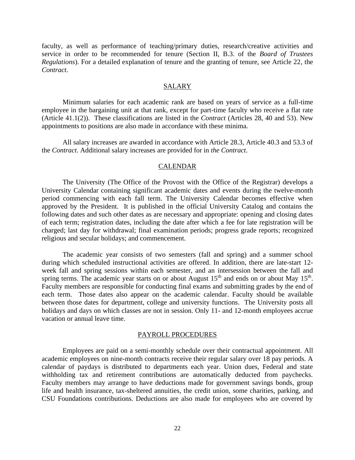faculty, as well as performance of teaching/primary duties, research/creative activities and service in order to be recommended for tenure (Section II, B.3. of the *Board of Trustees Regulations*). For a detailed explanation of tenure and the granting of tenure, see Article 22*,* the *Contract*.

#### **SALARY**

Minimum salaries for each academic rank are based on years of service as a full-time employee in the bargaining unit at that rank, except for part-time faculty who receive a flat rate (Article 41.1(2)). These classifications are listed in the *Contract* (Articles 28, 40 and 53). New appointments to positions are also made in accordance with these minima.

All salary increases are awarded in accordance with Article 28.3, Article 40.3 and 53.3 of the *Contract*. Additional salary increases are provided for in *the Contract*.

#### CALENDAR

The University (The Office of the Provost with the Office of the Registrar) develops a University Calendar containing significant academic dates and events during the twelve-month period commencing with each fall term. The University Calendar becomes effective when approved by the President. It is published in the official University Catalog and contains the following dates and such other dates as are necessary and appropriate: opening and closing dates of each term; registration dates, including the date after which a fee for late registration will be charged; last day for withdrawal; final examination periods; progress grade reports; recognized religious and secular holidays; and commencement.

The academic year consists of two semesters (fall and spring) and a summer school during which scheduled instructional activities are offered. In addition, there are late-start 12 week fall and spring sessions within each semester, and an intersession between the fall and spring terms. The academic year starts on or about August  $15<sup>th</sup>$  and ends on or about May  $15<sup>th</sup>$ . Faculty members are responsible for conducting final exams and submitting grades by the end of each term. Those dates also appear on the academic calendar. Faculty should be available between those dates for department, college and university functions. The University posts all holidays and days on which classes are not in session. Only 11- and 12-month employees accrue vacation or annual leave time.

#### PAYROLL PROCEDURES

Employees are paid on a semi-monthly schedule over their contractual appointment. All academic employees on nine-month contracts receive their regular salary over 18 pay periods. A calendar of paydays is distributed to departments each year. Union dues, Federal and state withholding tax and retirement contributions are automatically deducted from paychecks. Faculty members may arrange to have deductions made for government savings bonds, group life and health insurance, tax-sheltered annuities, the credit union, some charities, parking, and CSU Foundations contributions. Deductions are also made for employees who are covered by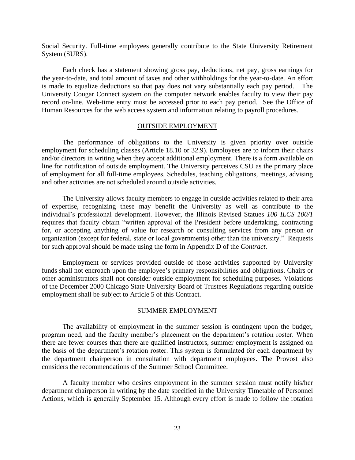Social Security. Full-time employees generally contribute to the State University Retirement System (SURS).

Each check has a statement showing gross pay, deductions, net pay, gross earnings for the year-to-date, and total amount of taxes and other withholdings for the year-to-date. An effort is made to equalize deductions so that pay does not vary substantially each pay period. The University Cougar Connect system on the computer network enables faculty to view their pay record on-line. Web-time entry must be accessed prior to each pay period. See the Office of Human Resources for the web access system and information relating to payroll procedures.

#### OUTSIDE EMPLOYMENT

The performance of obligations to the University is given priority over outside employment for scheduling classes (Article 18.10 or 32.9). Employees are to inform their chairs and/or directors in writing when they accept additional employment. There is a form available on line for notification of outside employment. The University perceives CSU as the primary place of employment for all full-time employees. Schedules, teaching obligations, meetings, advising and other activities are not scheduled around outside activities.

The University allows faculty members to engage in outside activities related to their area of expertise, recognizing these may benefit the University as well as contribute to the individual's professional development. However, the Illinois Revised Statues *100 ILCS 100/1* requires that faculty obtain "written approval of the President before undertaking, contracting for, or accepting anything of value for research or consulting services from any person or organization (except for federal, state or local governments) other than the university." Requests for such approval should be made using the form in Appendix D of the *Contract*.

Employment or services provided outside of those activities supported by University funds shall not encroach upon the employee's primary responsibilities and obligations. Chairs or other administrators shall not consider outside employment for scheduling purposes. Violations of the December 2000 Chicago State University Board of Trustees Regulations regarding outside employment shall be subject to Article 5 of this Contract.

#### SUMMER EMPLOYMENT

The availability of employment in the summer session is contingent upon the budget, program need, and the faculty member's placement on the department's rotation roster. When there are fewer courses than there are qualified instructors, summer employment is assigned on the basis of the department's rotation roster. This system is formulated for each department by the department chairperson in consultation with department employees. The Provost also considers the recommendations of the Summer School Committee.

A faculty member who desires employment in the summer session must notify his/her department chairperson in writing by the date specified in the University Timetable of Personnel Actions, which is generally September 15. Although every effort is made to follow the rotation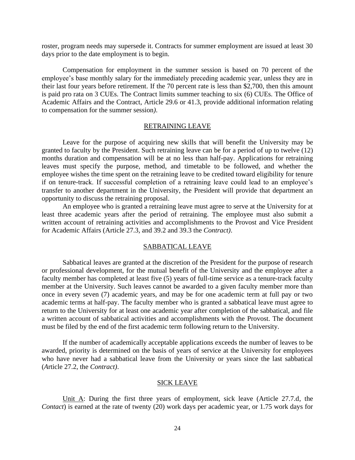roster, program needs may supersede it. Contracts for summer employment are issued at least 30 days prior to the date employment is to begin.

Compensation for employment in the summer session is based on 70 percent of the employee's base monthly salary for the immediately preceding academic year, unless they are in their last four years before retirement. If the 70 percent rate is less than \$2,700, then this amount is paid pro rata on 3 CUEs. The Contract limits summer teaching to six (6) CUEs. The Office of Academic Affairs and the Contract, Article 29.6 or 41.3, provide additional information relating to compensation for the summer session*)*.

#### RETRAINING LEAVE

Leave for the purpose of acquiring new skills that will benefit the University may be granted to faculty by the President. Such retraining leave can be for a period of up to twelve (12) months duration and compensation will be at no less than half-pay. Applications for retraining leaves must specify the purpose, method, and timetable to be followed, and whether the employee wishes the time spent on the retraining leave to be credited toward eligibility for tenure if on tenure-track. If successful completion of a retraining leave could lead to an employee's transfer to another department in the University, the President will provide that department an opportunity to discuss the retraining proposal.

An employee who is granted a retraining leave must agree to serve at the University for at least three academic years after the period of retraining. The employee must also submit a written account of retraining activities and accomplishments to the Provost and Vice President for Academic Affairs (Article 27.3*,* and 39.2 and 39.3 the *Contract)*.

#### SABBATICAL LEAVE

Sabbatical leaves are granted at the discretion of the President for the purpose of research or professional development, for the mutual benefit of the University and the employee after a faculty member has completed at least five (5) years of full-time service as a tenure-track faculty member at the University. Such leaves cannot be awarded to a given faculty member more than once in every seven (7) academic years, and may be for one academic term at full pay or two academic terms at half-pay. The faculty member who is granted a sabbatical leave must agree to return to the University for at least one academic year after completion of the sabbatical, and file a written account of sabbatical activities and accomplishments with the Provost. The document must be filed by the end of the first academic term following return to the University.

If the number of academically acceptable applications exceeds the number of leaves to be awarded, priority is determined on the basis of years of service at the University for employees who have never had a sabbatical leave from the University or years since the last sabbatical (*A*rticle 27.2*,* the *Contract)*.

#### SICK LEAVE

Unit A: During the first three years of employment, sick leave (Article 27.7.d*,* the *Contact*) is earned at the rate of twenty (20) work days per academic year, or 1.75 work days for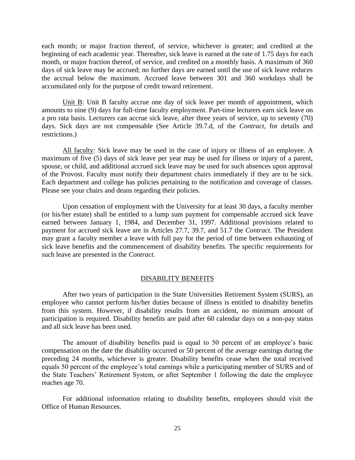each month; or major fraction thereof, of service, whichever is greater; and credited at the beginning of each academic year. Thereafter, sick leave is earned at the rate of 1.75 days for each month, or major fraction thereof, of service, and credited on a monthly basis. A maximum of 360 days of sick leave may be accrued; no further days are earned until the use of sick leave reduces the accrual below the maximum. Accrued leave between 301 and 360 workdays shall be accumulated only for the purpose of credit toward retirement.

Unit B: Unit B faculty accrue one day of sick leave per month of appointment, which amounts to nine (9) days for full-time faculty employment. Part-time lecturers earn sick leave on a pro rata basis. Lecturers can accrue sick leave, after three years of service, up to seventy (70) days. Sick days are not compensable (See Article 39.7.d, of the *Contract*, for details and restrictions.)

All faculty: Sick leave may be used in the case of injury or illness of an employee. A maximum of five (5) days of sick leave per year may be used for illness or injury of a parent, spouse, or child, and additional accrued sick leave may be used for such absences upon approval of the Provost. Faculty must notify their department chairs immediately if they are to be sick. Each department and college has policies pertaining to the notification and coverage of classes. Please see your chairs and deans regarding their policies.

Upon cessation of employment with the University for at least 30 days, a faculty member (or his/her estate) shall be entitled to a lump sum payment for compensable accrued sick leave earned between January 1, 1984, and December 31, 1997. Additional provisions related to payment for accrued sick leave are in Articles 27.7*,* 39.7, and 51.7 the *Contract*. The President may grant a faculty member a leave with full pay for the period of time between exhausting of sick leave benefits and the commencement of disability benefits. The specific requirements for such leave are presented in the *Contract*.

#### DISABILITY BENEFITS

After two years of participation in the State Universities Retirement System (SURS), an employee who cannot perform his/her duties because of illness is entitled to disability benefits from this system. However, if disability results from an accident, no minimum amount of participation is required. Disability benefits are paid after 60 calendar days on a non-pay status and all sick leave has been used.

The amount of disability benefits paid is equal to 50 percent of an employee's basic compensation on the date the disability occurred or 50 percent of the average earnings during the preceding 24 months, whichever is greater. Disability benefits cease when the total received equals 50 percent of the employee's total earnings while a participating member of SURS and of the State Teachers' Retirement System, or after September 1 following the date the employee reaches age 70.

For additional information relating to disability benefits, employees should visit the Office of Human Resources.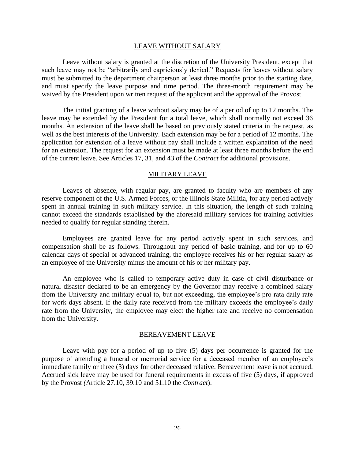#### LEAVE WITHOUT SALARY

Leave without salary is granted at the discretion of the University President, except that such leave may not be "arbitrarily and capriciously denied." Requests for leaves without salary must be submitted to the department chairperson at least three months prior to the starting date, and must specify the leave purpose and time period. The three-month requirement may be waived by the President upon written request of the applicant and the approval of the Provost.

The initial granting of a leave without salary may be of a period of up to 12 months. The leave may be extended by the President for a total leave, which shall normally not exceed 36 months. An extension of the leave shall be based on previously stated criteria in the request, as well as the best interests of the University. Each extension may be for a period of 12 months. The application for extension of a leave without pay shall include a written explanation of the need for an extension. The request for an extension must be made at least three months before the end of the current leave. See Articles 17, 31*,* and 43 of the *Contract* for additional provisions.

#### MILITARY LEAVE

Leaves of absence, with regular pay, are granted to faculty who are members of any reserve component of the U.S. Armed Forces, or the Illinois State Militia, for any period actively spent in annual training in such military service. In this situation, the length of such training cannot exceed the standards established by the aforesaid military services for training activities needed to qualify for regular standing therein.

Employees are granted leave for any period actively spent in such services, and compensation shall be as follows. Throughout any period of basic training, and for up to 60 calendar days of special or advanced training, the employee receives his or her regular salary as an employee of the University minus the amount of his or her military pay.

An employee who is called to temporary active duty in case of civil disturbance or natural disaster declared to be an emergency by the Governor may receive a combined salary from the University and military equal to, but not exceeding, the employee's pro rata daily rate for work days absent. If the daily rate received from the military exceeds the employee's daily rate from the University, the employee may elect the higher rate and receive no compensation from the University.

#### BEREAVEMENT LEAVE

Leave with pay for a period of up to five (5) days per occurrence is granted for the purpose of attending a funeral or memorial service for a deceased member of an employee's immediate family or three (3) days for other deceased relative. Bereavement leave is not accrued. Accrued sick leave may be used for funeral requirements in excess of five (5) days, if approved by the Provost *(*Article 27.10, 39.10 and 51.10 the *Contract*).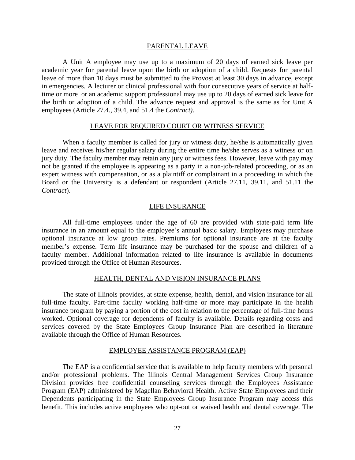#### PARENTAL LEAVE

A Unit A employee may use up to a maximum of 20 days of earned sick leave per academic year for parental leave upon the birth or adoption of a child. Requests for parental leave of more than 10 days must be submitted to the Provost at least 30 days in advance, except in emergencies. A lecturer or clinical professional with four consecutive years of service at halftime or more or an academic support professional may use up to 20 days of earned sick leave for the birth or adoption of a child. The advance request and approval is the same as for Unit A employees (Article 27.4., 39.4*,* and 51.4 the *Contract)*.

#### LEAVE FOR REQUIRED COURT OR WITNESS SERVICE

When a faculty member is called for jury or witness duty, he/she is automatically given leave and receives his/her regular salary during the entire time he/she serves as a witness or on jury duty. The faculty member may retain any jury or witness fees. However, leave with pay may not be granted if the employee is appearing as a party in a non-job-related proceeding, or as an expert witness with compensation, or as a plaintiff or complainant in a proceeding in which the Board or the University is a defendant or respondent (Article 27.11, 39.11*,* and 51.11 the *Contract*).

#### LIFE INSURANCE

All full-time employees under the age of 60 are provided with state-paid term life insurance in an amount equal to the employee's annual basic salary. Employees may purchase optional insurance at low group rates. Premiums for optional insurance are at the faculty member's expense. Term life insurance may be purchased for the spouse and children of a faculty member. Additional information related to life insurance is available in documents provided through the Office of Human Resources.

#### HEALTH, DENTAL AND VISION INSURANCE PLANS

The state of Illinois provides, at state expense, health, dental, and vision insurance for all full-time faculty. Part-time faculty working half-time or more may participate in the health insurance program by paying a portion of the cost in relation to the percentage of full-time hours worked. Optional coverage for dependents of faculty is available. Details regarding costs and services covered by the State Employees Group Insurance Plan are described in literature available through the Office of Human Resources.

#### EMPLOYEE ASSISTANCE PROGRAM (EAP)

The EAP is a confidential service that is available to help faculty members with personal and/or professional problems. The Illinois Central Management Services Group Insurance Division provides free confidential counseling services through the Employees Assistance Program (EAP) administered by Magellan Behavioral Health. Active State Employees and their Dependents participating in the State Employees Group Insurance Program may access this benefit. This includes active employees who opt-out or waived health and dental coverage. The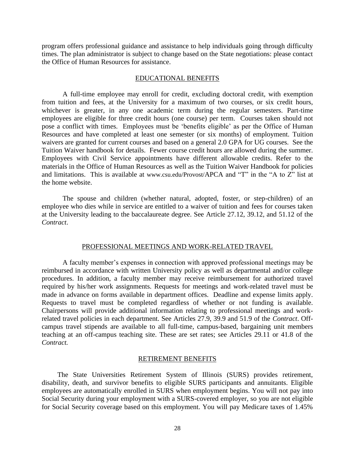program offers professional guidance and assistance to help individuals going through difficulty times. The plan administrator is subject to change based on the State negotiations: please contact the Office of Human Resources for assistance.

#### EDUCATIONAL BENEFITS

A full-time employee may enroll for credit, excluding doctoral credit, with exemption from tuition and fees, at the University for a maximum of two courses, or six credit hours, whichever is greater, in any one academic term during the regular semesters. Part-time employees are eligible for three credit hours (one course) per term. Courses taken should not pose a conflict with times. Employees must be 'benefits eligible' as per the Office of Human Resources and have completed at least one semester (or six months) of employment. Tuition waivers are granted for current courses and based on a general 2.0 GPA for UG courses. See the Tuition Waiver handbook for details. Fewer course credit hours are allowed during the summer. Employees with Civil Service appointments have different allowable credits. Refer to the materials in the Office of Human Resources as well as the Tuition Waiver Handbook for policies and limitations. This is available at www.csu.edu/Provost/APCA and "T" in the "A to Z" list at the home website.

The spouse and children (whether natural, adopted, foster, or step-children) of an employee who dies while in service are entitled to a waiver of tuition and fees for courses taken at the University leading to the baccalaureate degree. See Article 27*.*12, 39.12*,* and 51.12 of the *Contract*.

#### PROFESSIONAL MEETINGS AND WORK-RELATED TRAVEL

A faculty member's expenses in connection with approved professional meetings may be reimbursed in accordance with written University policy as well as departmental and/or college procedures. In addition, a faculty member may receive reimbursement for authorized travel required by his/her work assignments. Requests for meetings and work-related travel must be made in advance on forms available in department offices. Deadline and expense limits apply. Requests to travel must be completed regardless of whether or not funding is available. Chairpersons will provide additional information relating to professional meetings and workrelated travel policies in each department. See Articles 27.9, 39.9 and 51.9 of the *Contract*. Offcampus travel stipends are available to all full-time, campus-based, bargaining unit members teaching at an off-campus teaching site. These are set rates; see Articles 29.11 or 41.8 of the *Contract.*

#### RETIREMENT BENEFITS

The State Universities Retirement System of Illinois (SURS) provides retirement, disability, death, and survivor benefits to eligible SURS participants and annuitants. Eligible employees are automatically enrolled in SURS when employment begins. You will not pay into Social Security during your employment with a SURS-covered employer, so you are not eligible for Social Security coverage based on this employment. You will pay Medicare taxes of 1.45%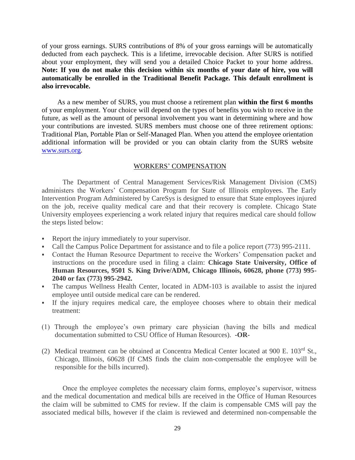of your gross earnings. SURS contributions of 8% of your gross earnings will be automatically deducted from each paycheck. This is a lifetime, irrevocable decision. After SURS is notified about your employment, they will send you a detailed Choice Packet to your home address. **Note: If you do not make this decision within six months of your date of hire, you will automatically be enrolled in the Traditional Benefit Package. This default enrollment is also irrevocable.**

As a new member of SURS, you must choose a retirement plan **within the first 6 months**  of your employment. Your choice will depend on the types of benefits you wish to receive in the future, as well as the amount of personal involvement you want in determining where and how your contributions are invested. SURS members must choose one of three retirement options: Traditional Plan, Portable Plan or Self-Managed Plan. When you attend the employee orientation additional information will be provided or you can obtain clarity from the SURS website [www.surs.org.](http://www.surs.org/)

#### WORKERS' COMPENSATION

The Department of Central Management Services/Risk Management Division (CMS) administers the Workers' Compensation Program for State of Illinois employees. The Early Intervention Program Administered by CareSys is designed to ensure that State employees injured on the job, receive quality medical care and that their recovery is complete. Chicago State University employees experiencing a work related injury that requires medical care should follow the steps listed below:

- Report the injury immediately to your supervisor.
- Call the Campus Police Department for assistance and to file a police report (773) 995-2111.
- Contact the Human Resource Department to receive the Workers' Compensation packet and instructions on the procedure used in filing a claim: **Chicago State University, Office of Human Resources, 9501 S. King Drive/ADM, Chicago Illinois, 60628, phone (773) 995- 2040 or fax (773) 995-2942.**
- The campus Wellness Health Center, located in ADM-103 is available to assist the injured employee until outside medical care can be rendered.
- If the injury requires medical care, the employee chooses where to obtain their medical treatment:
- (1) Through the employee's own primary care physician (having the bills and medical documentation submitted to CSU Office of Human Resources). **-OR-**
- (2) Medical treatment can be obtained at Concentra Medical Center located at 900 E. 103rd St., Chicago, Illinois, 60628 (If CMS finds the claim non-compensable the employee will be responsible for the bills incurred).

Once the employee completes the necessary claim forms, employee's supervisor, witness and the medical documentation and medical bills are received in the Office of Human Resources the claim will be submitted to CMS for review. If the claim is compensable CMS will pay the associated medical bills, however if the claim is reviewed and determined non-compensable the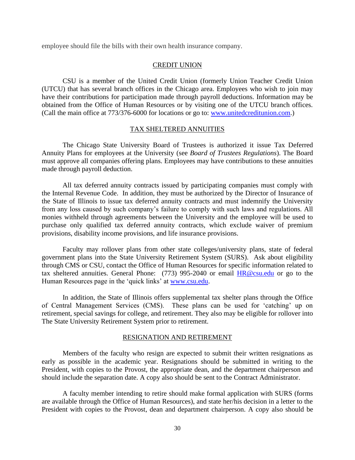employee should file the bills with their own health insurance company.

#### CREDIT UNION

CSU is a member of the United Credit Union (formerly Union Teacher Credit Union (UTCU) that has several branch offices in the Chicago area. Employees who wish to join may have their contributions for participation made through payroll deductions. Information may be obtained from the Office of Human Resources or by visiting one of the UTCU branch offices. (Call the main office at 773/376-6000 for locations or go to: [www.unitedcreditunion.com.](http://www.unitedcreditunion.com/))

#### TAX SHELTERED ANNUITIES

The Chicago State University Board of Trustees is authorized it issue Tax Deferred Annuity Plans for employees at the University (see *Board of Trustees Regulations*). The Board must approve all companies offering plans. Employees may have contributions to these annuities made through payroll deduction.

All tax deferred annuity contracts issued by participating companies must comply with the Internal Revenue Code. In addition, they must be authorized by the Director of Insurance of the State of Illinois to issue tax deferred annuity contracts and must indemnify the University from any loss caused by such company's failure to comply with such laws and regulations. All monies withheld through agreements between the University and the employee will be used to purchase only qualified tax deferred annuity contracts, which exclude waiver of premium provisions, disability income provisions, and life insurance provisions.

Faculty may rollover plans from other state colleges/university plans, state of federal government plans into the State University Retirement System (SURS). Ask about eligibility through CMS or CSU, contact the Office of Human Resources for specific information related to tax sheltered annuities. General Phone:  $(773)$  995-2040 or email  $HR@csu.edu$  or go to the Human Resources page in the 'quick links' at [www.csu.edu.](http://www.csu.edu/)

In addition, the State of Illinois offers supplemental tax shelter plans through the Office of Central Management Services (CMS). These plans can be used for 'catching' up on retirement, special savings for college, and retirement. They also may be eligible for rollover into The State University Retirement System prior to retirement.

#### RESIGNATION AND RETIREMENT

Members of the faculty who resign are expected to submit their written resignations as early as possible in the academic year. Resignations should be submitted in writing to the President, with copies to the Provost, the appropriate dean, and the department chairperson and should include the separation date. A copy also should be sent to the Contract Administrator.

A faculty member intending to retire should make formal application with SURS (forms are available through the Office of Human Resources), and state her/his decision in a letter to the President with copies to the Provost, dean and department chairperson. A copy also should be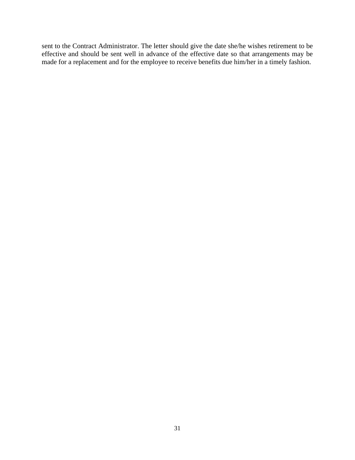sent to the Contract Administrator. The letter should give the date she/he wishes retirement to be effective and should be sent well in advance of the effective date so that arrangements may be made for a replacement and for the employee to receive benefits due him/her in a timely fashion.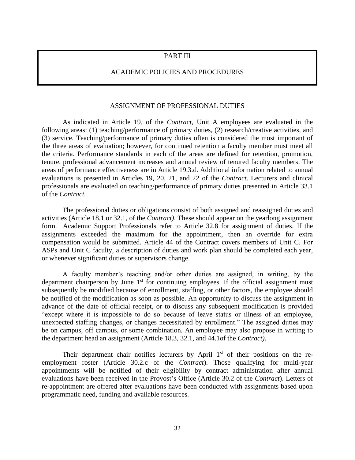#### PART III

## ACADEMIC POLICIES AND PROCEDURES

#### ASSIGNMENT OF PROFESSIONAL DUTIES

As indicated in Article 19*,* of the *Contract,* Unit A employees are evaluated in the following areas: (1) teaching/performance of primary duties, (2) research/creative activities, and (3) service. Teaching/performance of primary duties often is considered the most important of the three areas of evaluation; however, for continued retention a faculty member must meet all the criteria. Performance standards in each of the areas are defined for retention, promotion, tenure, professional advancement increases and annual review of tenured faculty members. The areas of performance effectiveness are in Article 19.3.d. Additional information related to annual evaluations is presented in Articles 19, 20, 21, and 22 of the *Contract*. Lecturers and clinical professionals are evaluated on teaching/performance of primary duties presented in Article 33.1 of the *Contract.* 

The professional duties or obligations consist of both assigned and reassigned duties and activities (Article 18.1 or 32.1*,* of the *Contract)*. These should appear on the yearlong assignment form. Academic Support Professionals refer to Article 32.8 for assignment of duties. If the assignments exceeded the maximum for the appointment, then an override for extra compensation would be submitted. Article 44 of the Contract covers members of Unit C. For ASPs and Unit C faculty, a description of duties and work plan should be completed each year, or whenever significant duties or supervisors change.

A faculty member's teaching and/or other duties are assigned, in writing, by the department chairperson by June 1<sup>st</sup> for continuing employees. If the official assignment must subsequently be modified because of enrollment, staffing, or other factors, the employee should be notified of the modification as soon as possible. An opportunity to discuss the assignment in advance of the date of official receipt, or to discuss any subsequent modification is provided "except where it is impossible to do so because of leave status or illness of an employee, unexpected staffing changes, or changes necessitated by enrollment." The assigned duties may be on campus, off campus, or some combination. An employee may also propose in writing to the department head an assignment (Article 18.3*,* 32.1, and 44.1of the *Contract)*.

Their department chair notifies lecturers by April  $1<sup>st</sup>$  of their positions on the reemployment roster (Article 30.2.c of the *Contract*). Those qualifying for multi-year appointments will be notified of their eligibility by contract administration after annual evaluations have been received in the Provost's Office (Article 30.2 of the *Contract*). Letters of re-appointment are offered after evaluations have been conducted with assignments based upon programmatic need, funding and available resources.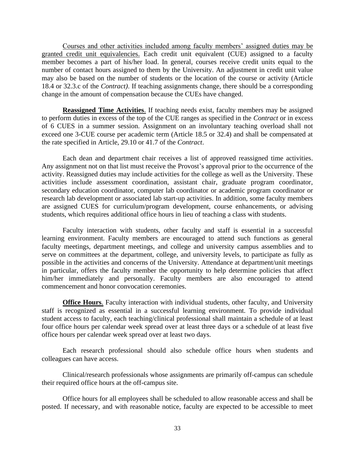Courses and other activities included among faculty members' assigned duties may be granted credit unit equivalencies. Each credit unit equivalent (CUE) assigned to a faculty member becomes a part of his/her load. In general, courses receive credit units equal to the number of contact hours assigned to them by the University. An adjustment in credit unit value may also be based on the number of students or the location of the course or activity (Article 18.4 or 32.3.c of the *Contract)*. If teaching assignments change, there should be a corresponding change in the amount of compensation because the CUEs have changed.

**Reassigned Time Activities**. If teaching needs exist, faculty members may be assigned to perform duties in excess of the top of the CUE ranges as specified in the *Contract* or in excess of 6 CUES in a summer session. Assignment on an involuntary teaching overload shall not exceed one 3-CUE course per academic term (Article 18.5 or 32.4) and shall be compensated at the rate specified in Article, 29.10 or 41.7 of the *Contract*.

Each dean and department chair receives a list of approved reassigned time activities. Any assignment not on that list must receive the Provost's approval prior to the occurrence of the activity. Reassigned duties may include activities for the college as well as the University. These activities include assessment coordination, assistant chair, graduate program coordinator, secondary education coordinator, computer lab coordinator or academic program coordinator or research lab development or associated lab start-up activities. In addition, some faculty members are assigned CUES for curriculum/program development, course enhancements, or advising students, which requires additional office hours in lieu of teaching a class with students.

Faculty interaction with students, other faculty and staff is essential in a successful learning environment. Faculty members are encouraged to attend such functions as general faculty meetings, department meetings, and college and university campus assemblies and to serve on committees at the department, college, and university levels, to participate as fully as possible in the activities and concerns of the University. Attendance at department/unit meetings in particular, offers the faculty member the opportunity to help determine policies that affect him/her immediately and personally. Faculty members are also encouraged to attend commencement and honor convocation ceremonies.

**Office Hours**. Faculty interaction with individual students, other faculty, and University staff is recognized as essential in a successful learning environment. To provide individual student access to faculty, each teaching/clinical professional shall maintain a schedule of at least four office hours per calendar week spread over at least three days or a schedule of at least five office hours per calendar week spread over at least two days.

Each research professional should also schedule office hours when students and colleagues can have access.

Clinical/research professionals whose assignments are primarily off-campus can schedule their required office hours at the off-campus site.

Office hours for all employees shall be scheduled to allow reasonable access and shall be posted. If necessary, and with reasonable notice, faculty are expected to be accessible to meet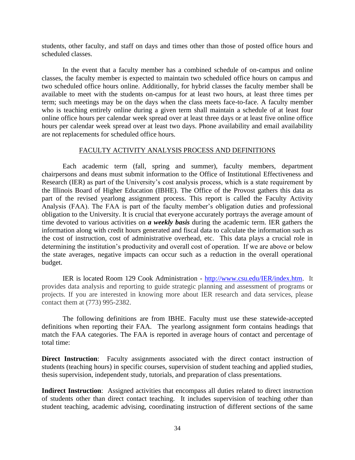students, other faculty, and staff on days and times other than those of posted office hours and scheduled classes.

In the event that a faculty member has a combined schedule of on-campus and online classes, the faculty member is expected to maintain two scheduled office hours on campus and two scheduled office hours online. Additionally, for hybrid classes the faculty member shall be available to meet with the students on-campus for at least two hours, at least three times per term; such meetings may be on the days when the class meets face-to-face. A faculty member who is teaching entirely online during a given term shall maintain a schedule of at least four online office hours per calendar week spread over at least three days or at least five online office hours per calendar week spread over at least two days. Phone availability and email availability are not replacements for scheduled office hours.

#### FACULTY ACTIVITY ANALYSIS PROCESS AND DEFINITIONS

Each academic term (fall, spring and summer), faculty members, department chairpersons and deans must submit information to the Office of Institutional Effectiveness and Research (IER) as part of the University's cost analysis process, which is a state requirement by the Illinois Board of Higher Education (IBHE). The Office of the Provost gathers this data as part of the revised yearlong assignment process. This report is called the Faculty Activity Analysis (FAA). The FAA is part of the faculty member's obligation duties and professional obligation to the University. It is crucial that everyone accurately portrays the average amount of time devoted to various activities on *a weekly basis* during the academic term. IER gathers the information along with credit hours generated and fiscal data to calculate the information such as the cost of instruction, cost of administrative overhead, etc. This data plays a crucial role in determining the institution's productivity and overall cost of operation. If we are above or below the state averages, negative impacts can occur such as a reduction in the overall operational budget.

IER is located Room 129 Cook Administration - [http://www.csu.edu/IER/index.htm.](http://www.csu.edu/IER/index.htm) It provides data analysis and reporting to guide strategic planning and assessment of programs or projects. If you are interested in knowing more about IER research and data services, please contact them at (773) 995-2382.

The following definitions are from IBHE. Faculty must use these statewide-accepted definitions when reporting their FAA. The yearlong assignment form contains headings that match the FAA categories. The FAA is reported in average hours of contact and percentage of total time:

**Direct Instruction**: Faculty assignments associated with the direct contact instruction of students (teaching hours) in specific courses, supervision of student teaching and applied studies, thesis supervision, independent study, tutorials, and preparation of class presentations.

**Indirect Instruction**: Assigned activities that encompass all duties related to direct instruction of students other than direct contact teaching. It includes supervision of teaching other than student teaching, academic advising, coordinating instruction of different sections of the same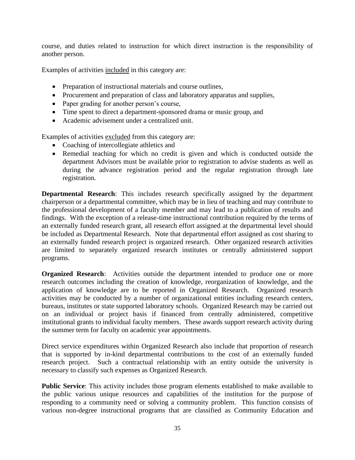course, and duties related to instruction for which direct instruction is the responsibility of another person.

Examples of activities included in this category are:

- Preparation of instructional materials and course outlines,
- Procurement and preparation of class and laboratory apparatus and supplies,
- Paper grading for another person's course,
- Time spent to direct a department-sponsored drama or music group, and
- Academic advisement under a centralized unit.

Examples of activities excluded from this category are:

- Coaching of intercollegiate athletics and
- Remedial teaching for which no credit is given and which is conducted outside the department Advisors must be available prior to registration to advise students as well as during the advance registration period and the regular registration through late registration.

**Departmental Research**: This includes research specifically assigned by the department chairperson or a departmental committee, which may be in lieu of teaching and may contribute to the professional development of a faculty member and may lead to a publication of results and findings. With the exception of a release-time instructional contribution required by the terms of an externally funded research grant, all research effort assigned at the departmental level should be included as Departmental Research. Note that departmental effort assigned as cost sharing to an externally funded research project is organized research. Other organized research activities are limited to separately organized research institutes or centrally administered support programs.

**Organized Research:** Activities outside the department intended to produce one or more research outcomes including the creation of knowledge, reorganization of knowledge, and the application of knowledge are to be reported in Organized Research. Organized research activities may be conducted by a number of organizational entities including research centers, bureaus, institutes or state supported laboratory schools. Organized Research may be carried out on an individual or project basis if financed from centrally administered, competitive institutional grants to individual faculty members. These awards support research activity during the summer term for faculty on academic year appointments.

Direct service expenditures within Organized Research also include that proportion of research that is supported by in-kind departmental contributions to the cost of an externally funded research project. Such a contractual relationship with an entity outside the university is necessary to classify such expenses as Organized Research.

**Public Service**: This activity includes those program elements established to make available to the public various unique resources and capabilities of the institution for the purpose of responding to a community need or solving a community problem. This function consists of various non-degree instructional programs that are classified as Community Education and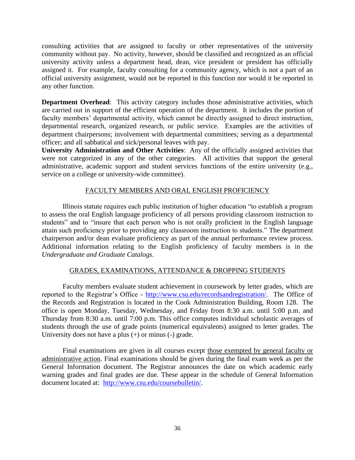consulting activities that are assigned to faculty or other representatives of the university community without pay. No activity, however, should be classified and recognized as an official university activity unless a department head, dean, vice president or president has officially assigned it. For example, faculty consulting for a community agency, which is not a part of an official university assignment, would not be reported in this function nor would it be reported in any other function.

**Department Overhead**: This activity category includes those administrative activities, which are carried out in support of the efficient operation of the department. It includes the portion of faculty members' departmental activity, which cannot be directly assigned to direct instruction, departmental research, organized research, or public service. Examples are the activities of department chairpersons; involvement with departmental committees; serving as a departmental officer; and all sabbatical and sick/personal leaves with pay.

**University Administration and Other Activities**: Any of the officially assigned activities that were not categorized in any of the other categories. All activities that support the general administrative, academic support and student services functions of the entire university (e.g., service on a college or university-wide committee).

# FACULTY MEMBERS AND ORAL ENGLISH PROFICIENCY

Illinois statute requires each public institution of higher education "to establish a program to assess the oral English language proficiency of all persons providing classroom instruction to students" and to "insure that each person who is not orally proficient in the English language attain such proficiency prior to providing any classroom instruction to students." The department chairperson and/or dean evaluate proficiency as part of the annual performance review process. Additional information relating to the English proficiency of faculty members is in the *Undergraduate and Graduate Catalogs*.

# GRADES, EXAMINATIONS, ATTENDANCE & DROPPING STUDENTS

Faculty members evaluate student achievement in coursework by letter grades, which are reported to the Registrar's Office - [http://www.csu.edu/recordsandregistration/.](http://www.csu.edu/recordsandregistration/) The Office of the Records and Registration is located in the Cook Administration Building, Room 128. The office is open Monday, Tuesday, Wednesday, and Friday from 8:30 a.m. until 5:00 p.m. and Thursday from 8:30 a.m. until 7:00 p.m. This office computes individual scholastic averages of students through the use of grade points (numerical equivalents) assigned to letter grades. The University does not have a plus (+) or minus (-) grade.

Final examinations are given in all courses except those exempted by general faculty or administrative action. Final examinations should be given during the final exam week as per the General Information document. The Registrar announces the date on which academic early warning grades and final grades are due. These appear in the schedule of General Information document located at: [http://www.csu.edu/coursebulletin/.](http://www.csu.edu/coursebulletin/)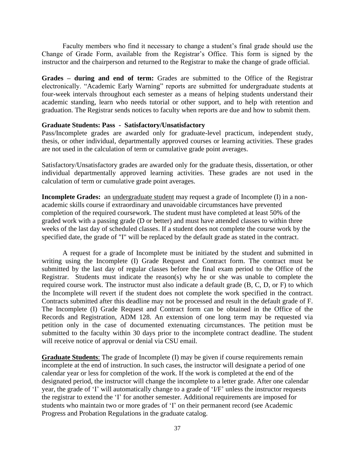Faculty members who find it necessary to change a student's final grade should use the Change of Grade Form, available from the Registrar's Office. This form is signed by the instructor and the chairperson and returned to the Registrar to make the change of grade official.

**Grades – during and end of term:** Grades are submitted to the Office of the Registrar electronically. "Academic Early Warning" reports are submitted for undergraduate students at four-week intervals throughout each semester as a means of helping students understand their academic standing, learn who needs tutorial or other support, and to help with retention and graduation. The Registrar sends notices to faculty when reports are due and how to submit them.

# **Graduate Students: Pass - Satisfactory/Unsatisfactory**

Pass/Incomplete grades are awarded only for graduate-level practicum, independent study, thesis, or other individual, departmentally approved courses or learning activities. These grades are not used in the calculation of term or cumulative grade point averages.

Satisfactory/Unsatisfactory grades are awarded only for the graduate thesis, dissertation, or other individual departmentally approved learning activities. These grades are not used in the calculation of term or cumulative grade point averages.

**Incomplete Grades:** an undergraduate student may request a grade of Incomplete (I) in a nonacademic skills course if extraordinary and unavoidable circumstances have prevented completion of the required coursework. The student must have completed at least 50% of the graded work with a passing grade (D or better) and must have attended classes to within three weeks of the last day of scheduled classes. If a student does not complete the course work by the specified date, the grade of "I" will be replaced by the default grade as stated in the contract.

A request for a grade of Incomplete must be initiated by the student and submitted in writing using the Incomplete (I) Grade Request and Contract form. The contract must be submitted by the last day of regular classes before the final exam period to the Office of the Registrar. Students must indicate the reason(s) why he or she was unable to complete the required course work. The instructor must also indicate a default grade (B, C, D, or F) to which the Incomplete will revert if the student does not complete the work specified in the contract. Contracts submitted after this deadline may not be processed and result in the default grade of F. The Incomplete (I) Grade Request and Contract form can be obtained in the Office of the Records and Registration, ADM 128. An extension of one long term may be requested via petition only in the case of documented extenuating circumstances. The petition must be submitted to the faculty within 30 days prior to the incomplete contract deadline. The student will receive notice of approval or denial via CSU email.

**Graduate Students**: The grade of Incomplete (I) may be given if course requirements remain incomplete at the end of instruction. In such cases, the instructor will designate a period of one calendar year or less for completion of the work. If the work is completed at the end of the designated period, the instructor will change the incomplete to a letter grade. After one calendar year, the grade of 'I' will automatically change to a grade of 'I/F' unless the instructor requests the registrar to extend the 'I' for another semester. Additional requirements are imposed for students who maintain two or more grades of 'I' on their permanent record (see Academic Progress and Probation Regulations in the graduate catalog.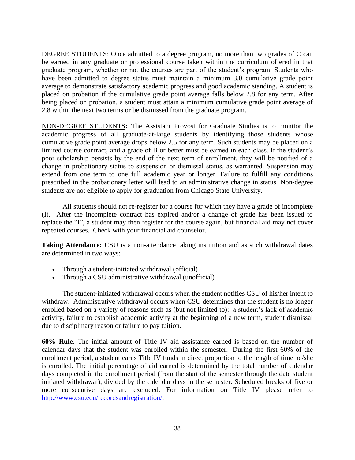DEGREE STUDENTS: Once admitted to a degree program, no more than two grades of C can be earned in any graduate or professional course taken within the curriculum offered in that graduate program, whether or not the courses are part of the student's program. Students who have been admitted to degree status must maintain a minimum 3.0 cumulative grade point average to demonstrate satisfactory academic progress and good academic standing. A student is placed on probation if the cumulative grade point average falls below 2.8 for any term. After being placed on probation, a student must attain a minimum cumulative grade point average of 2.8 within the next two terms or be dismissed from the graduate program.

NON-DEGREE STUDENTS**:** The Assistant Provost for Graduate Studies is to monitor the academic progress of all graduate-at-large students by identifying those students whose cumulative grade point average drops below 2.5 for any term. Such students may be placed on a limited course contract, and a grade of B or better must be earned in each class. If the student's poor scholarship persists by the end of the next term of enrollment, they will be notified of a change in probationary status to suspension or dismissal status, as warranted. Suspension may extend from one term to one full academic year or longer. Failure to fulfill any conditions prescribed in the probationary letter will lead to an administrative change in status. Non-degree students are not eligible to apply for graduation from Chicago State University.

All students should not re-register for a course for which they have a grade of incomplete (I). After the incomplete contract has expired and/or a change of grade has been issued to replace the "I", a student may then register for the course again, but financial aid may not cover repeated courses. Check with your financial aid counselor.

**Taking Attendance:** CSU is a non-attendance taking institution and as such withdrawal dates are determined in two ways:

- Through a student-initiated withdrawal (official)
- Through a CSU administrative withdrawal (unofficial)

The student-initiated withdrawal occurs when the student notifies CSU of his/her intent to withdraw. Administrative withdrawal occurs when CSU determines that the student is no longer enrolled based on a variety of reasons such as (but not limited to): a student's lack of academic activity, failure to establish academic activity at the beginning of a new term, student dismissal due to disciplinary reason or failure to pay tuition.

**60% Rule.** The initial amount of Title IV aid assistance earned is based on the number of calendar days that the student was enrolled within the semester. During the first 60% of the enrollment period, a student earns Title IV funds in direct proportion to the length of time he/she is enrolled. The initial percentage of aid earned is determined by the total number of calendar days completed in the enrollment period (from the start of the semester through the date student initiated withdrawal), divided by the calendar days in the semester. Scheduled breaks of five or more consecutive days are excluded. For information on Title IV please refer to [http://www.csu.edu/recordsandregistration/.](http://www.csu.edu/recordsandregistration/)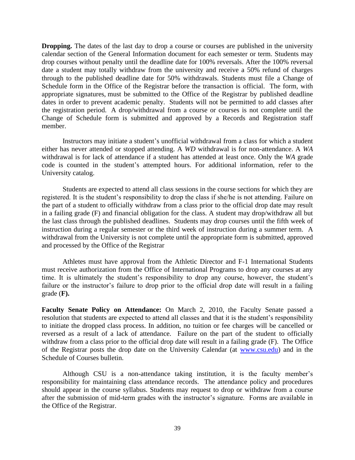**Dropping.** The dates of the last day to drop a course or courses are published in the university calendar section of the General Information document for each semester or term. Students may drop courses without penalty until the deadline date for 100% reversals. After the 100% reversal date a student may totally withdraw from the university and receive a 50% refund of charges through to the published deadline date for 50% withdrawals. Students must file a Change of Schedule form in the Office of the Registrar before the transaction is official. The form, with appropriate signatures, must be submitted to the Office of the Registrar by published deadline dates in order to prevent academic penalty. Students will not be permitted to add classes after the registration period. A drop/withdrawal from a course or courses is not complete until the Change of Schedule form is submitted and approved by a Records and Registration staff member.

Instructors may initiate a student's unofficial withdrawal from a class for which a student either has never attended or stopped attending. A *WD* withdrawal is for non-attendance. A *WA*  withdrawal is for lack of attendance if a student has attended at least once. Only the *WA* grade code is counted in the student's attempted hours. For additional information, refer to the University catalog.

Students are expected to attend all class sessions in the course sections for which they are registered. It is the student's responsibility to drop the class if she/he is not attending. Failure on the part of a student to officially withdraw from a class prior to the official drop date may result in a failing grade (F) and financial obligation for the class. A student may drop/withdraw all but the last class through the published deadlines. Students may drop courses until the fifth week of instruction during a regular semester or the third week of instruction during a summer term. A withdrawal from the University is not complete until the appropriate form is submitted, approved and processed by the Office of the Registrar

Athletes must have approval from the Athletic Director and F-1 International Students must receive authorization from the Office of International Programs to drop any courses at any time. It is ultimately the student's responsibility to drop any course, however, the student's failure or the instructor's failure to drop prior to the official drop date will result in a failing grade (**F).**

**Faculty Senate Policy on Attendance:** On March 2, 2010, the Faculty Senate passed a resolution that students are expected to attend all classes and that it is the student's responsibility to initiate the dropped class process. In addition, no tuition or fee charges will be cancelled or reversed as a result of a lack of attendance. Failure on the part of the student to officially withdraw from a class prior to the official drop date will result in a failing grade (F). The Office of the Registrar posts the drop date on the University Calendar (at [www.csu.edu\)](http://www.csu.edu/) and in the Schedule of Courses bulletin.

Although CSU is a non-attendance taking institution, it is the faculty member's responsibility for maintaining class attendance records. The attendance policy and procedures should appear in the course syllabus. Students may request to drop or withdraw from a course after the submission of mid-term grades with the instructor's signature. Forms are available in the Office of the Registrar.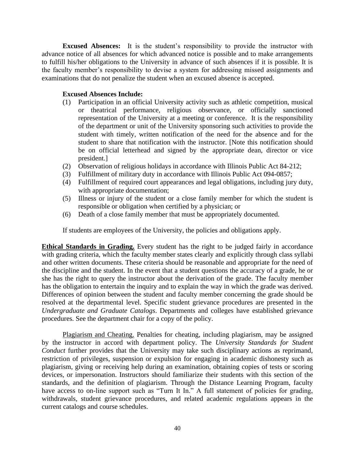**Excused Absences:** It is the student's responsibility to provide the instructor with advance notice of all absences for which advanced notice is possible and to make arrangements to fulfill his/her obligations to the University in advance of such absences if it is possible. It is the faculty member's responsibility to devise a system for addressing missed assignments and examinations that do not penalize the student when an excused absence is accepted.

# **Excused Absences Include:**

- (1) Participation in an official University activity such as athletic competition, musical or theatrical performance, religious observance, or officially sanctioned representation of the University at a meeting or conference. It is the responsibility of the department or unit of the University sponsoring such activities to provide the student with timely, written notification of the need for the absence and for the student to share that notification with the instructor. [Note this notification should be on official letterhead and signed by the appropriate dean, director or vice president.]
- (2) Observation of religious holidays in accordance with Illinois Public Act 84-212;
- (3) Fulfillment of military duty in accordance with Illinois Public Act 094-0857;
- (4) Fulfillment of required court appearances and legal obligations, including jury duty, with appropriate documentation;
- (5) Illness or injury of the student or a close family member for which the student is responsible or obligation when certified by a physician; or
- (6) Death of a close family member that must be appropriately documented.

If students are employees of the University, the policies and obligations apply.

**Ethical Standards in Grading.** Every student has the right to be judged fairly in accordance with grading criteria, which the faculty member states clearly and explicitly through class syllabi and other written documents. These criteria should be reasonable and appropriate for the need of the discipline and the student. In the event that a student questions the accuracy of a grade, he or she has the right to query the instructor about the derivation of the grade. The faculty member has the obligation to entertain the inquiry and to explain the way in which the grade was derived. Differences of opinion between the student and faculty member concerning the grade should be resolved at the departmental level. Specific student grievance procedures are presented in the *Undergraduate and Graduate Catalogs*. Departments and colleges have established grievance procedures. See the department chair for a copy of the policy.

Plagiarism and Cheating. Penalties for cheating, including plagiarism, may be assigned by the instructor in accord with department policy. The *University Standards for Student Conduct* further provides that the University may take such disciplinary actions as reprimand, restriction of privileges, suspension or expulsion for engaging in academic dishonesty such as plagiarism, giving or receiving help during an examination, obtaining copies of tests or scoring devices, or impersonation. Instructors should familiarize their students with this section of the standards, and the definition of plagiarism. Through the Distance Learning Program, faculty have access to on-line support such as "Turn It In." A full statement of policies for grading, withdrawals, student grievance procedures, and related academic regulations appears in the current catalogs and course schedules.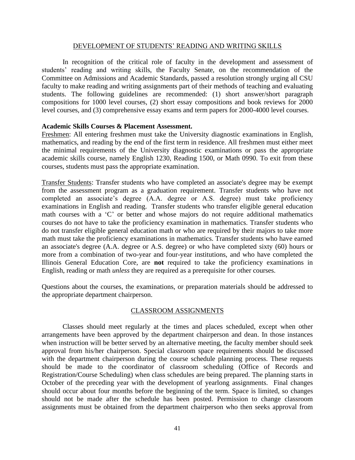### DEVELOPMENT OF STUDENTS' READING AND WRITING SKILLS

In recognition of the critical role of faculty in the development and assessment of students' reading and writing skills, the Faculty Senate, on the recommendation of the Committee on Admissions and Academic Standards, passed a resolution strongly urging all CSU faculty to make reading and writing assignments part of their methods of teaching and evaluating students. The following guidelines are recommended: (1) short answer/short paragraph compositions for 1000 level courses, (2) short essay compositions and book reviews for 2000 level courses, and (3) comprehensive essay exams and term papers for 2000-4000 level courses.

# **Academic Skills Courses & Placement Assessment.**

Freshmen: All entering freshmen must take the University diagnostic examinations in English, mathematics, and reading by the end of the first term in residence. All freshmen must either meet the minimal requirements of the University diagnostic examinations or pass the appropriate academic skills course, namely English 1230, Reading 1500, or Math 0990. To exit from these courses, students must pass the appropriate examination.

Transfer Students: Transfer students who have completed an associate's degree may be exempt from the assessment program as a graduation requirement. Transfer students who have not completed an associate's degree (A.A. degree or A.S. degree) must take proficiency examinations in English and reading. Transfer students who transfer eligible general education math courses with a 'C' or better and whose majors do not require additional mathematics courses do not have to take the proficiency examination in mathematics. Transfer students who do not transfer eligible general education math or who are required by their majors to take more math must take the proficiency examinations in mathematics. Transfer students who have earned an associate's degree (A.A. degree or A.S. degree) or who have completed sixty (60) hours or more from a combination of two-year and four-year institutions, and who have completed the Illinois General Education Core, are **not** required to take the proficiency examinations in English, reading or math *unless* they are required as a prerequisite for other courses.

Questions about the courses, the examinations, or preparation materials should be addressed to the appropriate department chairperson.

# CLASSROOM ASSIGNMENTS

Classes should meet regularly at the times and places scheduled, except when other arrangements have been approved by the department chairperson and dean. In those instances when instruction will be better served by an alternative meeting, the faculty member should seek approval from his/her chairperson. Special classroom space requirements should be discussed with the department chairperson during the course schedule planning process. These requests should be made to the coordinator of classroom scheduling (Office of Records and Registration/Course Scheduling) when class schedules are being prepared. The planning starts in October of the preceding year with the development of yearlong assignments. Final changes should occur about four months before the beginning of the term. Space is limited, so changes should not be made after the schedule has been posted. Permission to change classroom assignments must be obtained from the department chairperson who then seeks approval from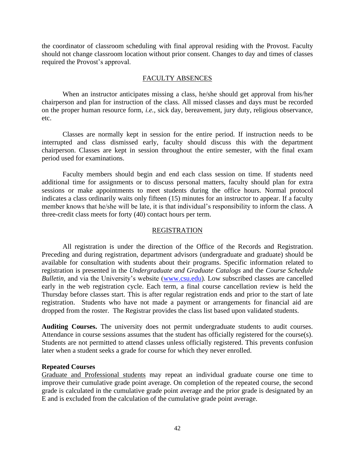the coordinator of classroom scheduling with final approval residing with the Provost. Faculty should not change classroom location without prior consent. Changes to day and times of classes required the Provost's approval.

### FACULTY ABSENCES

When an instructor anticipates missing a class, he/she should get approval from his/her chairperson and plan for instruction of the class. All missed classes and days must be recorded on the proper human resource form, *i.e.,* sick day, bereavement, jury duty, religious observance, etc.

Classes are normally kept in session for the entire period. If instruction needs to be interrupted and class dismissed early, faculty should discuss this with the department chairperson. Classes are kept in session throughout the entire semester, with the final exam period used for examinations.

Faculty members should begin and end each class session on time. If students need additional time for assignments or to discuss personal matters, faculty should plan for extra sessions or make appointments to meet students during the office hours. Normal protocol indicates a class ordinarily waits only fifteen (15) minutes for an instructor to appear. If a faculty member knows that he/she will be late, it is that individual's responsibility to inform the class. A three-credit class meets for forty (40) contact hours per term.

### REGISTRATION

All registration is under the direction of the Office of the Records and Registration. Preceding and during registration, department advisors (undergraduate and graduate) should be available for consultation with students about their programs. Specific information related to registration is presented in the *Undergraduate and Graduate Catalogs* and the *Course Schedule Bulletin,* and via the University's website [\(www.csu.edu\)](http://www.csu.edu/)*.* Low subscribed classes are cancelled early in the web registration cycle. Each term, a final course cancellation review is held the Thursday before classes start. This is after regular registration ends and prior to the start of late registration. Students who have not made a payment or arrangements for financial aid are dropped from the roster. The Registrar provides the class list based upon validated students.

**Auditing Courses.** The university does not permit undergraduate students to audit courses. Attendance in course sessions assumes that the student has officially registered for the course(s). Students are not permitted to attend classes unless officially registered. This prevents confusion later when a student seeks a grade for course for which they never enrolled.

#### **Repeated Courses**

Graduate and Professional students may repeat an individual graduate course one time to improve their cumulative grade point average. On completion of the repeated course, the second grade is calculated in the cumulative grade point average and the prior grade is designated by an E and is excluded from the calculation of the cumulative grade point average.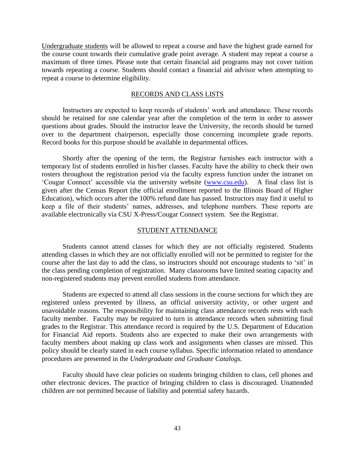Undergraduate students will be allowed to repeat a course and have the highest grade earned for the course count towards their cumulative grade point average. A student may repeat a course a maximum of three times. Please note that certain financial aid programs may not cover tuition towards repeating a course. Students should contact a financial aid advisor when attempting to repeat a course to determine eligibility.

### RECORDS AND CLASS LISTS

Instructors are expected to keep records of students' work and attendance. These records should be retained for one calendar year after the completion of the term in order to answer questions about grades. Should the instructor leave the University, the records should be turned over to the department chairperson, especially those concerning incomplete grade reports. Record books for this purpose should be available in departmental offices.

Shortly after the opening of the term, the Registrar furnishes each instructor with a temporary list of students enrolled in his/her classes. Faculty have the ability to check their own rosters throughout the registration period via the faculty express function under the intranet on 'Cougar Connect' accessible via the university website [\(www.csu.edu\)](http://www.csu.edu/). A final class list is given after the Census Report (the official enrollment reported to the Illinois Board of Higher Education), which occurs after the 100% refund date has passed. Instructors may find it useful to keep a file of their students' names, addresses, and telephone numbers. These reports are available electronically via CSU X-Press/Cougar Connect system. See the Registrar.

#### STUDENT ATTENDANCE

Students cannot attend classes for which they are not officially registered. Students attending classes in which they are not officially enrolled will not be permitted to register for the course after the last day to add the class, so instructors should not encourage students to 'sit' in the class pending completion of registration. Many classrooms have limited seating capacity and non-registered students may prevent enrolled students from attendance.

Students are expected to attend all class sessions in the course sections for which they are registered unless prevented by illness, an official university activity, or other urgent and unavoidable reasons. The responsibility for maintaining class attendance records rests with each faculty member. Faculty may be required to turn in attendance records when submitting final grades to the Registrar. This attendance record is required by the U.S. Department of Education for Financial Aid reports. Students also are expected to make their own arrangements with faculty members about making up class work and assignments when classes are missed. This policy should be clearly stated in each course syllabus. Specific information related to attendance procedures are presented in the *Undergraduate and Graduate Catalogs.*

Faculty should have clear policies on students bringing children to class, cell phones and other electronic devices. The practice of bringing children to class is discouraged. Unattended children are not permitted because of liability and potential safety hazards.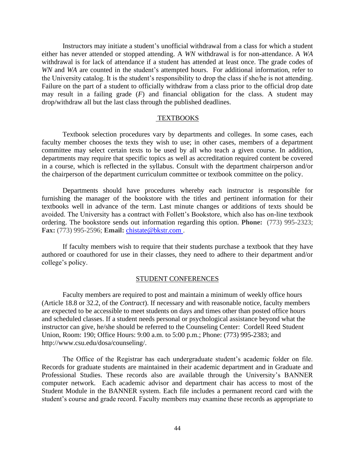Instructors may initiate a student's unofficial withdrawal from a class for which a student either has never attended or stopped attending. A *WN* withdrawal is for non-attendance. A *WA* withdrawal is for lack of attendance if a student has attended at least once. The grade codes of *WN* and *WA* are counted in the student's attempted hours. For additional information, refer to the University catalog. It is the student's responsibility to drop the class if she/he is not attending. Failure on the part of a student to officially withdraw from a class prior to the official drop date may result in a failing grade (*F*) and financial obligation for the class. A student may drop/withdraw all but the last class through the published deadlines.

#### TEXTBOOKS

Textbook selection procedures vary by departments and colleges. In some cases, each faculty member chooses the texts they wish to use; in other cases, members of a department committee may select certain texts to be used by all who teach a given course. In addition, departments may require that specific topics as well as accreditation required content be covered in a course, which is reflected in the syllabus. Consult with the department chairperson and/or the chairperson of the department curriculum committee or textbook committee on the policy.

Departments should have procedures whereby each instructor is responsible for furnishing the manager of the bookstore with the titles and pertinent information for their textbooks well in advance of the term. Last minute changes or additions of texts should be avoided. The University has a contract with Follett's Bookstore, which also has on-line textbook ordering. The bookstore sends out information regarding this option. **Phone:** (773) 995-2323; **Fax:** (773) 995-2596; **Email:** [chistate@bkstr.com .](http://www.bkstr.com/webapp/wcs/stores/servlet/FLSendUsEmailView?langId=-1&catalogId=10001&storeId=10110&emailRecipient=0460mgr@fheg.follett.com)

If faculty members wish to require that their students purchase a textbook that they have authored or coauthored for use in their classes, they need to adhere to their department and/or college's policy.

#### STUDENT CONFERENCES

Faculty members are required to post and maintain a minimum of weekly office hours (Article 18.8 or 32.2, of the *Contract*). If necessary and with reasonable notice, faculty members are expected to be accessible to meet students on days and times other than posted office hours and scheduled classes. If a student needs personal or psychological assistance beyond what the instructor can give, he/she should be referred to the Counseling Center: Cordell Reed Student Union, Room: 190; Office Hours: 9:00 a.m. to 5:00 p.m.; Phone: (773) 995-2383; and http://www.csu.edu/dosa/counseling/.

The Office of the Registrar has each undergraduate student's academic folder on file. Records for graduate students are maintained in their academic department and in Graduate and Professional Studies. These records also are available through the University's BANNER computer network. Each academic advisor and department chair has access to most of the Student Module in the BANNER system. Each file includes a permanent record card with the student's course and grade record. Faculty members may examine these records as appropriate to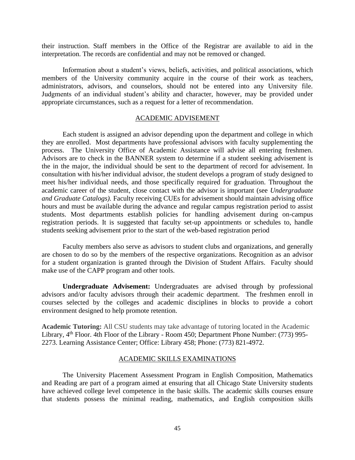their instruction. Staff members in the Office of the Registrar are available to aid in the interpretation. The records are confidential and may not be removed or changed.

Information about a student's views, beliefs, activities, and political associations, which members of the University community acquire in the course of their work as teachers, administrators, advisors, and counselors, should not be entered into any University file. Judgments of an individual student's ability and character, however, may be provided under appropriate circumstances, such as a request for a letter of recommendation.

### ACADEMIC ADVISEMENT

Each student is assigned an advisor depending upon the department and college in which they are enrolled. Most departments have professional advisors with faculty supplementing the process. The University Office of Academic Assistance will advise all entering freshmen. Advisors are to check in the BANNER system to determine if a student seeking advisement is the in the major, the individual should be sent to the department of record for advisement. In consultation with his/her individual advisor, the student develops a program of study designed to meet his/her individual needs, and those specifically required for graduation. Throughout the academic career of the student, close contact with the advisor is important (see *Undergraduate and Graduate Catalogs).* Faculty receiving CUEs for advisement should maintain advising office hours and must be available during the advance and regular campus registration period to assist students. Most departments establish policies for handling advisement during on-campus registration periods. It is suggested that faculty set-up appointments or schedules to, handle students seeking advisement prior to the start of the web-based registration period

Faculty members also serve as advisors to student clubs and organizations, and generally are chosen to do so by the members of the respective organizations. Recognition as an advisor for a student organization is granted through the Division of Student Affairs. Faculty should make use of the CAPP program and other tools.

**Undergraduate Advisement:** Undergraduates are advised through by professional advisors and/or faculty advisors through their academic department. The freshmen enroll in courses selected by the colleges and academic disciplines in blocks to provide a cohort environment designed to help promote retention.

**Academic Tutoring:** All CSU students may take advantage of tutoring located in the Academic Library, 4<sup>th</sup> Floor. 4th Floor of the Library - Room 450; Department Phone Number: (773) 995-2273. Learning Assistance Center; Office: Library 458; Phone: (773) 821-4972.

### ACADEMIC SKILLS EXAMINATIONS

The University Placement Assessment Program in English Composition, Mathematics and Reading are part of a program aimed at ensuring that all Chicago State University students have achieved college level competence in the basic skills. The academic skills courses ensure that students possess the minimal reading, mathematics, and English composition skills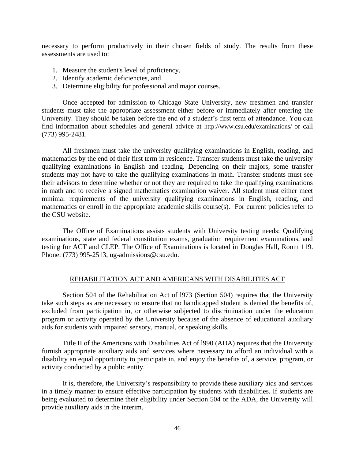necessary to perform productively in their chosen fields of study. The results from these assessments are used to:

- 1. Measure the student's level of proficiency,
- 2. Identify academic deficiencies, and
- 3. Determine eligibility for professional and major courses.

Once accepted for admission to Chicago State University, new freshmen and transfer students must take the appropriate assessment either before or immediately after entering the University. They should be taken before the end of a student's first term of attendance. You can find information about schedules and general advice at http://www.csu.edu/examinations/ or call (773) 995-2481.

All freshmen must take the university qualifying examinations in English, reading, and mathematics by the end of their first term in residence. Transfer students must take the university qualifying examinations in English and reading. Depending on their majors, some transfer students may not have to take the qualifying examinations in math. Transfer students must see their advisors to determine whether or not they are required to take the qualifying examinations in math and to receive a signed mathematics examination waiver. All student must either meet minimal requirements of the university qualifying examinations in English, reading, and mathematics or enroll in the appropriate academic skills course(s). For current policies refer to the CSU website.

The Office of Examinations assists students with University testing needs: Qualifying examinations, state and federal constitution exams, graduation requirement examinations, and testing for ACT and CLEP. The Office of Examinations is located in Douglas Hall, Room 119. Phone: (773) 995-2513, ug-admissions@csu.edu.

### REHABILITATION ACT AND AMERICANS WITH DISABILITIES ACT

Section 504 of the Rehabilitation Act of l973 (Section 504) requires that the University take such steps as are necessary to ensure that no handicapped student is denied the benefits of, excluded from participation in, or otherwise subjected to discrimination under the education program or activity operated by the University because of the absence of educational auxiliary aids for students with impaired sensory, manual, or speaking skills.

Title II of the Americans with Disabilities Act of l990 (ADA) requires that the University furnish appropriate auxiliary aids and services where necessary to afford an individual with a disability an equal opportunity to participate in, and enjoy the benefits of, a service, program, or activity conducted by a public entity.

It is, therefore, the University's responsibility to provide these auxiliary aids and services in a timely manner to ensure effective participation by students with disabilities. If students are being evaluated to determine their eligibility under Section 504 or the ADA, the University will provide auxiliary aids in the interim.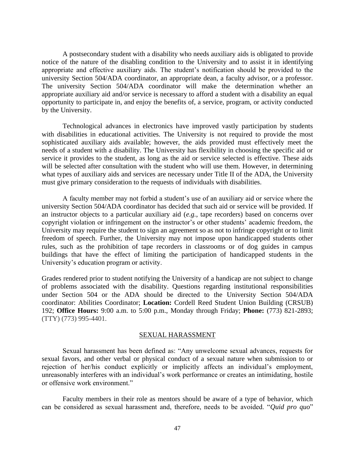A postsecondary student with a disability who needs auxiliary aids is obligated to provide notice of the nature of the disabling condition to the University and to assist it in identifying appropriate and effective auxiliary aids. The student's notification should be provided to the university Section 504/ADA coordinator, an appropriate dean, a faculty advisor, or a professor. The university Section 504/ADA coordinator will make the determination whether an appropriate auxiliary aid and/or service is necessary to afford a student with a disability an equal opportunity to participate in, and enjoy the benefits of, a service, program, or activity conducted by the University.

Technological advances in electronics have improved vastly participation by students with disabilities in educational activities. The University is not required to provide the most sophisticated auxiliary aids available; however, the aids provided must effectively meet the needs of a student with a disability. The University has flexibility in choosing the specific aid or service it provides to the student, as long as the aid or service selected is effective. These aids will be selected after consultation with the student who will use them. However, in determining what types of auxiliary aids and services are necessary under Title II of the ADA, the University must give primary consideration to the requests of individuals with disabilities.

A faculty member may not forbid a student's use of an auxiliary aid or service where the university Section 504/ADA coordinator has decided that such aid or service will be provided. If an instructor objects to a particular auxiliary aid (*e.g.*, tape recorders) based on concerns over copyright violation or infringement on the instructor's or other students' academic freedom, the University may require the student to sign an agreement so as not to infringe copyright or to limit freedom of speech. Further, the University may not impose upon handicapped students other rules, such as the prohibition of tape recorders in classrooms or of dog guides in campus buildings that have the effect of limiting the participation of handicapped students in the University's education program or activity.

Grades rendered prior to student notifying the University of a handicap are not subject to change of problems associated with the disability. Questions regarding institutional responsibilities under Section 504 or the ADA should be directed to the University Section 504/ADA coordinator: Abilities Coordinator; **Location:** Cordell Reed Student Union Building (CRSUB) 192; **Office Hours:** 9:00 a.m. to 5:00 p.m., Monday through Friday; **Phone:** (773) 821-2893; (TTY) (773) 995-4401.

# SEXUAL HARASSMENT

Sexual harassment has been defined as: "Any unwelcome sexual advances, requests for sexual favors, and other verbal or physical conduct of a sexual nature when submission to or rejection of her/his conduct explicitly or implicitly affects an individual's employment, unreasonably interferes with an individual's work performance or creates an intimidating, hostile or offensive work environment."

Faculty members in their role as mentors should be aware of a type of behavior, which can be considered as sexual harassment and, therefore, needs to be avoided. "*Quid pro quo*"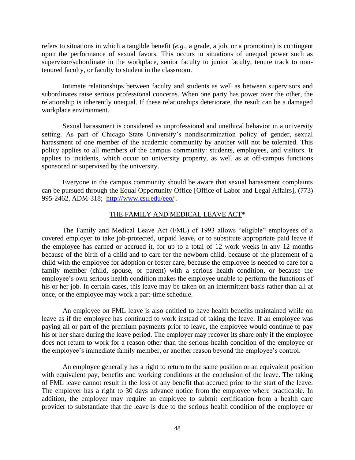refers to situations in which a tangible benefit (*e.g.,* a grade, a job, or a promotion) is contingent upon the performance of sexual favors. This occurs in situations of unequal power such as supervisor/subordinate in the workplace, senior faculty to junior faculty, tenure track to nontenured faculty, or faculty to student in the classroom.

Intimate relationships between faculty and students as well as between supervisors and subordinates raise serious professional concerns. When one party has power over the other, the relationship is inherently unequal. If these relationships deteriorate, the result can be a damaged workplace environment.

Sexual harassment is considered as unprofessional and unethical behavior in a university setting. As part of Chicago State University's nondiscrimination policy of gender, sexual harassment of one member of the academic community by another will not be tolerated. This policy applies to all members of the campus community: students, employees, and visitors. It applies to incidents, which occur on university property, as well as at off-campus functions sponsored or supervised by the university.

Everyone in the campus community should be aware that sexual harassment complaints can be pursued through the Equal Opportunity Office [Office of Labor and Legal Affairs], (773) 995-2462, ADM-318; <http://www.csu.edu/eeo/> .

# THE FAMILY AND MEDICAL LEAVE ACT\*

The Family and Medical Leave Act (FML) of 1993 allows "eligible" employees of a covered employer to take job-protected, unpaid leave, or to substitute appropriate paid leave if the employee has earned or accrued it, for up to a total of 12 work weeks in any 12 months because of the birth of a child and to care for the newborn child, because of the placement of a child with the employee for adoption or foster care, because the employee is needed to care for a family member (child, spouse, or parent) with a serious health condition, or because the employee's own serious health condition makes the employee unable to perform the functions of his or her job. In certain cases, this leave may be taken on an intermittent basis rather than all at once, or the employee may work a part-time schedule.

An employee on FML leave is also entitled to have health benefits maintained while on leave as if the employee has continued to work instead of taking the leave. If an employee was paying all or part of the premium payments prior to leave, the employee would continue to pay his or her share during the leave period. The employer may recover its share only if the employee does not return to work for a reason other than the serious health condition of the employee or the employee's immediate family member, or another reason beyond the employee's control.

An employee generally has a right to return to the same position or an equivalent position with equivalent pay, benefits and working conditions at the conclusion of the leave. The taking of FML leave cannot result in the loss of any benefit that accrued prior to the start of the leave. The employer has a right to 30 days advance notice from the employee where practicable. In addition, the employer may require an employee to submit certification from a health care provider to substantiate that the leave is due to the serious health condition of the employee or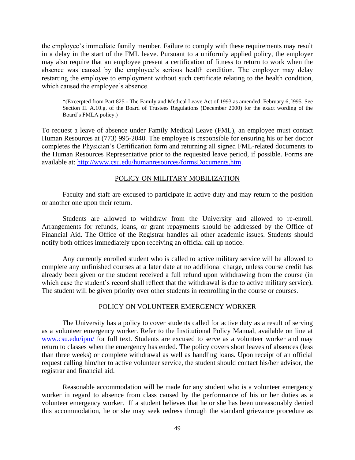the employee's immediate family member. Failure to comply with these requirements may result in a delay in the start of the FML leave. Pursuant to a uniformly applied policy, the employer may also require that an employee present a certification of fitness to return to work when the absence was caused by the employee's serious health condition. The employer may delay restarting the employee to employment without such certificate relating to the health condition, which caused the employee's absence.

\*(Excerpted from Part 825 - The Family and Medical Leave Act of 1993 as amended, February 6, l995. See Section II. A.10.g. of the Board of Trustees Regulations (December 2000) for the exact wording of the Board's FMLA policy.)

To request a leave of absence under Family Medical Leave (FML), an employee must contact Human Resources at (773) 995-2040. The employee is responsible for ensuring his or her doctor completes the Physician's Certification form and returning all signed FML-related documents to the Human Resources Representative prior to the requested leave period, if possible. Forms are available at: [http://www.csu.edu/humanresources/formsDocuments.htm.](http://www.csu.edu/humanresources/formsDocuments.htm)

### POLICY ON MILITARY MOBILIZATION

Faculty and staff are excused to participate in active duty and may return to the position or another one upon their return.

Students are allowed to withdraw from the University and allowed to re-enroll. Arrangements for refunds, loans, or grant repayments should be addressed by the Office of Financial Aid. The Office of the Registrar handles all other academic issues. Students should notify both offices immediately upon receiving an official call up notice.

Any currently enrolled student who is called to active military service will be allowed to complete any unfinished courses at a later date at no additional charge, unless course credit has already been given or the student received a full refund upon withdrawing from the course (in which case the student's record shall reflect that the withdrawal is due to active military service). The student will be given priority over other students in reenrolling in the course or courses.

#### POLICY ON VOLUNTEER EMERGENCY WORKER

The University has a policy to cover students called for active duty as a result of serving as a volunteer emergency worker. Refer to the Institutional Policy Manual, available on line at www.csu.edu/ipm/ for full text. Students are excused to serve as a volunteer worker and may return to classes when the emergency has ended. The policy covers short leaves of absences (less than three weeks) or complete withdrawal as well as handling loans. Upon receipt of an official request calling him/her to active volunteer service, the student should contact his/her advisor, the registrar and financial aid.

Reasonable accommodation will be made for any student who is a volunteer emergency worker in regard to absence from class caused by the performance of his or her duties as a volunteer emergency worker. If a student believes that he or she has been unreasonably denied this accommodation, he or she may seek redress through the standard grievance procedure as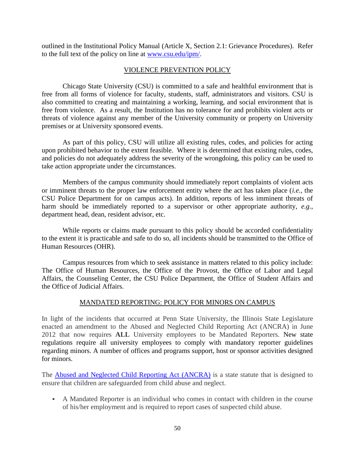outlined in the Institutional Policy Manual (Article X, Section 2.1: Grievance Procedures). Refer to the full text of the policy on line at [www.csu.edu/ipm/.](http://www.csu.edu/ipm/)

# VIOLENCE PREVENTION POLICY

Chicago State University (CSU) is committed to a safe and healthful environment that is free from all forms of violence for faculty, students, staff, administrators and visitors. CSU is also committed to creating and maintaining a working, learning, and social environment that is free from violence. As a result, the Institution has no tolerance for and prohibits violent acts or threats of violence against any member of the University community or property on University premises or at University sponsored events.

As part of this policy, CSU will utilize all existing rules, codes, and policies for acting upon prohibited behavior to the extent feasible. Where it is determined that existing rules, codes, and policies do not adequately address the severity of the wrongdoing, this policy can be used to take action appropriate under the circumstances.

Members of the campus community should immediately report complaints of violent acts or imminent threats to the proper law enforcement entity where the act has taken place (*i.e.,* the CSU Police Department for on campus acts). In addition, reports of less imminent threats of harm should be immediately reported to a supervisor or other appropriate authority, *e.g.,* department head, dean, resident advisor, etc.

While reports or claims made pursuant to this policy should be accorded confidentiality to the extent it is practicable and safe to do so, all incidents should be transmitted to the Office of Human Resources (OHR).

Campus resources from which to seek assistance in matters related to this policy include: The Office of Human Resources, the Office of the Provost, the Office of Labor and Legal Affairs, the Counseling Center, the CSU Police Department, the Office of Student Affairs and the Office of Judicial Affairs.

# MANDATED REPORTING: POLICY FOR MINORS ON CAMPUS

In light of the incidents that occurred at Penn State University, the Illinois State Legislature enacted an amendment to the Abused and Neglected Child Reporting Act (ANCRA) in June 2012 that now requires **ALL** University employees to be Mandated Reporters. New state regulations require all university employees to comply with mandatory reporter guidelines regarding minors. A number of offices and programs support, host or sponsor activities designed for minors.

The [Abused and Neglected Child Reporting Act \(ANCRA\)](http://www.ilga.gov/legislation/ilcs/ilcs3.asp?ActID=1460&ChapterID=32) is a state statute that is designed to ensure that children are safeguarded from child abuse and neglect.

▪ A Mandated Reporter is an individual who comes in contact with children in the course of his/her employment and is required to report cases of suspected child abuse.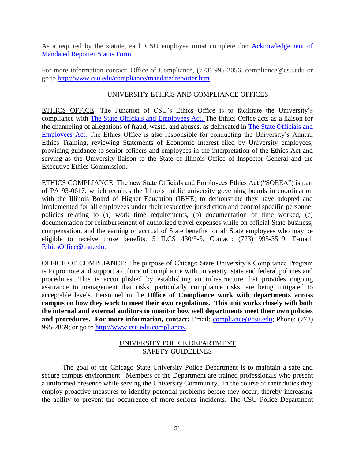As a required by the statute, each CSU employee **must** complete the: [Acknowledgement of](http://www.csu.edu/compliance/pdf/acknowledgementMandatedReporterStatus.pdf)  [Mandated Reporter Status Form.](http://www.csu.edu/compliance/pdf/acknowledgementMandatedReporterStatus.pdf)

For more information contact: Office of Compliance, (773) 995-2056, compliance@csu.edu or go to<http://www.csu.edu/compliance/mandatedreporter.htm>

# UNIVERSITY ETHICS AND COMPLIANCE OFFICES

ETHICS OFFICE: The Function of CSU's Ethics Office is to facilitate the University's compliance with [The State Officials and Employees Act.](http://www.ilga.gov/legislation/ilcs/ilcs5.asp?ActID=2529&ChapAct=5%20ILCS%20430/&ChapterID=2&ChapterName=GENERAL+PROVISIONS&ActName=State+Officials+and+Employees+Ethics+Act) The Ethics Office acts as a liaison for the channeling of allegations of fraud, waste, and abuses, as delineated in [The State Officials and](http://www.ilga.gov/legislation/ilcs/ilcs5.asp?ActID=2529&ChapAct=5%20ILCS%20430/&ChapterID=2&ChapterName=GENERAL+PROVISIONS&ActName=State+Officials+and+Employees+Ethics+Act)  [Employees Act.](http://www.ilga.gov/legislation/ilcs/ilcs5.asp?ActID=2529&ChapAct=5%20ILCS%20430/&ChapterID=2&ChapterName=GENERAL+PROVISIONS&ActName=State+Officials+and+Employees+Ethics+Act) The Ethics Office is also responsible for conducting the University's Annual Ethics Training, reviewing Statements of Economic Interest filed by University employees, providing guidance to senior officers and employees in the interpretation of the Ethics Act and serving as the University liaison to the State of Illinois Office of Inspector General and the Executive Ethics Commission.

ETHICS COMPLIANCE: The new State Officials and Employees Ethics Act ("SOEEA") is part of PA 93-0617, which requires the Illinois public university governing boards in coordination with the Illinois Board of Higher Education (IBHE) to demonstrate they have adopted and implemented for all employees under their respective jurisdiction and control specific personnel policies relating to (a) work time requirements, (b) documentation of time worked, (c) documentation for reimbursement of authorized travel expenses while on official State business, compensation, and the earning or accrual of State benefits for all State employees who may be eligible to receive those benefits. 5 ILCS 430/5-5. Contact: (773) 995-3519; E-mail: [EthicsOffice@csu.edu.](mailto:EthicsOffice@csu.edu)

OFFICE OF COMPLIANCE: The purpose of Chicago State University's Compliance Program is to promote and support a culture of compliance with university, state and federal policies and procedures. This is accomplished by establishing an infrastructure that provides ongoing assurance to management that risks, particularly compliance risks, are being mitigated to acceptable levels. Personnel in the **Office of Compliance work with departments across campus on how they work to meet their own regulations. This unit works closely with both the internal and external auditors to monitor how well departments meet their own policies**  and procedures. For more information, contact: Email: **compliance@csu.edu**; Phone: (773) 995-2869; or go to [http://www.csu.edu/compliance/.](http://www.csu.edu/compliance/)

# UNIVERSITY POLICE DEPARTMENT SAFETY GUIDELINES

The goal of the Chicago State University Police Department is to maintain a safe and secure campus environment. Members of the Department are trained professionals who present a uniformed presence while serving the University Community. In the course of their duties they employ proactive measures to identify potential problems before they occur, thereby increasing the ability to prevent the occurrence of more serious incidents. The CSU Police Department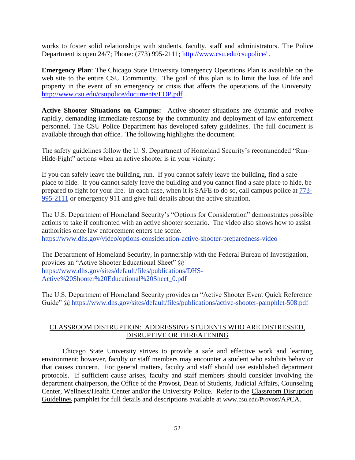works to foster solid relationships with students, faculty, staff and administrators. The Police Department is open 24/7; Phone: (773) 995-2111; [http://www.csu.edu/csupolice/](http://www.csu.edu/CSUPolice/) .

**Emergency Plan**: The Chicago State University Emergency Operations Plan is available on the web site to the entire CSU Community. The goal of this plan is to limit the loss of life and property in the event of an emergency or crisis that affects the operations of the University. [http://www.csu.edu/csupolice/documents/EOP.pdf](http://www.csu.edu/CSUPolice/documents/EOP.pdf) .

**Active Shooter Situations on Campus:** Active shooter situations are dynamic and evolve rapidly, demanding immediate response by the community and deployment of law enforcement personnel. The CSU Police Department has developed safety guidelines. The full document is available through that office. The following highlights the document.

The safety guidelines follow the U. S. Department of Homeland Security's recommended "Run-Hide-Fight" actions when an active shooter is in your vicinity:

If you can safely leave the building, run. If you cannot safely leave the building, find a safe place to hide. If you cannot safely leave the building and you cannot find a safe place to hide, be prepared to fight for your life. In each case, when it is SAFE to do so, call campus police at [773-](tel:773-995-2111) [995-2111](tel:773-995-2111) or emergency 911 and give full details about the active situation.

The U.S. Department of Homeland Security's "Options for Consideration" demonstrates possible actions to take if confronted with an active shooter scenario. The video also shows how to assist authorities once law enforcement enters the scene. <https://www.dhs.gov/video/options-consideration-active-shooter-preparedness-video>

The Department of Homeland Security, in partnership with the Federal Bureau of Investigation, provides an "Active Shooter Educational Sheet" @ [https://www.dhs.gov/sites/default/files/publications/DHS-](https://www.dhs.gov/sites/default/files/publications/DHS-Active%20Shooter%20Educational%20Sheet_0.pdf)[Active%20Shooter%20Educational%20Sheet\\_0.pdf](https://www.dhs.gov/sites/default/files/publications/DHS-Active%20Shooter%20Educational%20Sheet_0.pdf)

The U.S. Department of Homeland Security provides an "Active Shooter Event Quick Reference Guide" @<https://www.dhs.gov/sites/default/files/publications/active-shooter-pamphlet-508.pdf>

# CLASSROOM DISTRUPTION: ADDRESSING STUDENTS WHO ARE DISTRESSED, DISRUPTIVE OR THREATENING

Chicago State University strives to provide a safe and effective work and learning environment; however, faculty or staff members may encounter a student who exhibits behavior that causes concern. For general matters, faculty and staff should use established department protocols. If sufficient cause arises, faculty and staff members should consider involving the department chairperson, the Office of the Provost, Dean of Students, Judicial Affairs, Counseling Center, Wellness/Health Center and/or the University Police. Refer to the Classroom Disruption Guidelines pamphlet for full details and descriptions available at www.csu.edu/Provost/APCA.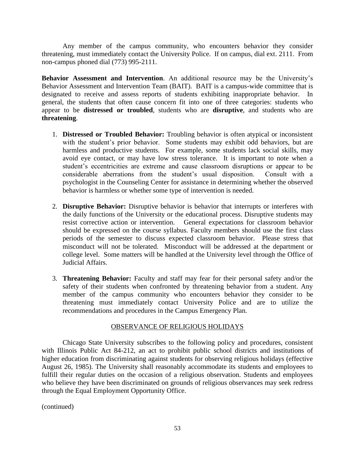Any member of the campus community, who encounters behavior they consider threatening, must immediately contact the University Police. If on campus, dial ext. 2111. From non-campus phoned dial (773) 995-2111.

**Behavior Assessment and Intervention.** An additional resource may be the University's Behavior Assessment and Intervention Team (BAIT). BAIT is a campus-wide committee that is designated to receive and assess reports of students exhibiting inappropriate behavior. In general, the students that often cause concern fit into one of three categories: students who appear to be **distressed or troubled**, students who are **disruptive**, and students who are **threatening**.

- 1. **Distressed or Troubled Behavior:** Troubling behavior is often atypical or inconsistent with the student's prior behavior. Some students may exhibit odd behaviors, but are harmless and productive students. For example, some students lack social skills, may avoid eye contact, or may have low stress tolerance. It is important to note when a student's eccentricities are extreme and cause classroom disruptions or appear to be considerable aberrations from the student's usual disposition. Consult with a psychologist in the [Counseling Center](http://www.utdallas.edu/counseling/) for assistance in determining whether the observed behavior is harmless or whether some type of intervention is needed.
- 2. **Disruptive Behavior:** Disruptive behavior is behavior that interrupts or interferes with the daily functions of the University or the educational process. Disruptive students may resist corrective action or intervention. General expectations for classroom behavior should be expressed on the course syllabus. Faculty members should use the first class periods of the semester to discuss expected classroom behavior. Please stress that misconduct will not be tolerated. Misconduct will be addressed at the department or college level. Some matters will be handled at the University level through the Office of Judicial Affairs.
- 3. **Threatening Behavior:** Faculty and staff may fear for their personal safety and/or the safety of their students when confronted by threatening behavior from a student. Any member of the campus community who encounters behavior they consider to be threatening must immediately contact University Police and are to utilize the recommendations and procedures in the Campus Emergency Plan.

# OBSERVANCE OF RELIGIOUS HOLIDAYS

Chicago State University subscribes to the following policy and procedures, consistent with Illinois Public Act 84-212, an act to prohibit public school districts and institutions of higher education from discriminating against students for observing religious holidays (effective August 26, 1985). The University shall reasonably accommodate its students and employees to fulfill their regular duties on the occasion of a religious observation. Students and employees who believe they have been discriminated on grounds of religious observances may seek redress through the Equal Employment Opportunity Office.

(continued)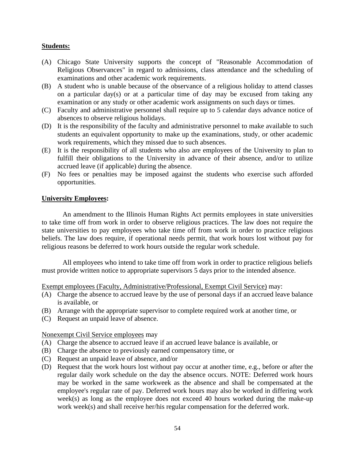# **Students:**

- (A) Chicago State University supports the concept of "Reasonable Accommodation of Religious Observances" in regard to admissions, class attendance and the scheduling of examinations and other academic work requirements.
- (B) A student who is unable because of the observance of a religious holiday to attend classes on a particular day(s) or at a particular time of day may be excused from taking any examination or any study or other academic work assignments on such days or times.
- (C) Faculty and administrative personnel shall require up to 5 calendar days advance notice of absences to observe religious holidays.
- (D) It is the responsibility of the faculty and administrative personnel to make available to such students an equivalent opportunity to make up the examinations, study, or other academic work requirements, which they missed due to such absences.
- (E) It is the responsibility of all students who also are employees of the University to plan to fulfill their obligations to the University in advance of their absence, and/or to utilize accrued leave (if applicable) during the absence.
- (F) No fees or penalties may be imposed against the students who exercise such afforded opportunities.

# **University Employees:**

An amendment to the Illinois Human Rights Act permits employees in state universities to take time off from work in order to observe religious practices. The law does not require the state universities to pay employees who take time off from work in order to practice religious beliefs. The law does require, if operational needs permit, that work hours lost without pay for religious reasons be deferred to work hours outside the regular work schedule.

All employees who intend to take time off from work in order to practice religious beliefs must provide written notice to appropriate supervisors 5 days prior to the intended absence.

Exempt employees (Faculty, Administrative/Professional, Exempt Civil Service) may:

- (A) Charge the absence to accrued leave by the use of personal days if an accrued leave balance is available, or
- (B) Arrange with the appropriate supervisor to complete required work at another time, or
- (C) Request an unpaid leave of absence.

# Nonexempt Civil Service employees may

- (A) Charge the absence to accrued leave if an accrued leave balance is available, or
- (B) Charge the absence to previously earned compensatory time, or
- (C) Request an unpaid leave of absence, and/or
- (D) Request that the work hours lost without pay occur at another time, e.g., before or after the regular daily work schedule on the day the absence occurs. NOTE: Deferred work hours may be worked in the same workweek as the absence and shall be compensated at the employee's regular rate of pay. Deferred work hours may also be worked in differing work week(s) as long as the employee does not exceed 40 hours worked during the make-up work week(s) and shall receive her/his regular compensation for the deferred work.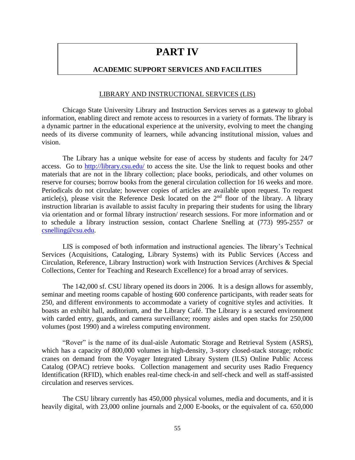# **PART IV**

# **ACADEMIC SUPPORT SERVICES AND FACILITIES**

### LIBRARY AND INSTRUCTIONAL SERVICES (LIS)

Chicago State University Library and Instruction Services serves as a gateway to global information, enabling direct and remote access to resources in a variety of formats. The library is a dynamic partner in the educational experience at the university, evolving to meet the changing needs of its diverse community of learners, while advancing institutional mission, values and vision.

The Library has a unique website for ease of access by students and faculty for 24/7 access. Go to<http://library.csu.edu/> to access the site. Use the link to request books and other materials that are not in the library collection; place books, periodicals, and other volumes on reserve for courses; borrow books from the general circulation collection for 16 weeks and more. Periodicals do not circulate; however copies of articles are available upon request. To request article(s), please visit the Reference Desk located on the  $2<sup>nd</sup>$  floor of the library. A library instruction librarian is available to assist faculty in preparing their students for using the library via orientation and or formal library instruction/ research sessions. For more information and or to schedule a library instruction session, contact Charlene Snelling at (773) 995-2557 or [csnelling@csu.edu.](mailto:csnelling@csu.edu)

LIS is composed of both information and instructional agencies. The library's Technical Services (Acquisitions, Cataloging, Library Systems) with its Public Services (Access and Circulation, Reference, Library Instruction) work with Instruction Services (Archives & Special Collections, Center for Teaching and Research Excellence) for a broad array of services.

The 142,000 sf. CSU library opened its doors in 2006. It is a design allows for assembly, seminar and meeting rooms capable of hosting 600 conference participants, with reader seats for 250, and different environments to accommodate a variety of cognitive styles and activities. It boasts an exhibit hall, auditorium, and the Library Café. The Library is a secured environment with carded entry, guards, and camera surveillance; roomy aisles and open stacks for 250,000 volumes (post 1990) and a wireless computing environment.

"Rover" is the name of its dual-aisle Automatic Storage and Retrieval System (ASRS), which has a capacity of 800,000 volumes in high-density, 3-story closed-stack storage; robotic cranes on demand from the Voyager Integrated Library System (ILS) Online Public Access Catalog (OPAC) retrieve books. Collection management and security uses Radio Frequency Identification (RFID), which enables real-time check-in and self-check and well as staff-assisted circulation and reserves services.

The CSU library currently has 450,000 physical volumes, media and documents, and it is heavily digital, with 23,000 online journals and 2,000 E-books, or the equivalent of ca. 650,000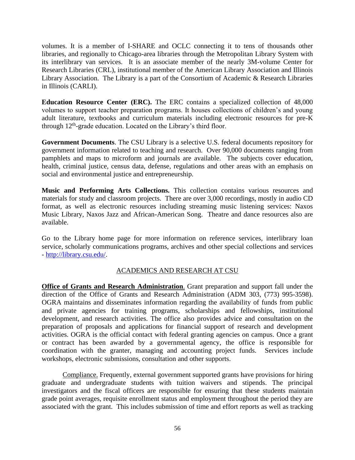volumes. It is a member of I-SHARE and OCLC connecting it to tens of thousands other libraries, and regionally to Chicago-area libraries through the Metropolitan Library System with its interlibrary van services. It is an associate member of the nearly 3M-volume Center for Research Libraries (CRL), institutional member of the American Library Association and Illinois Library Association. The Library is a part of the Consortium of Academic & Research Libraries in Illinois (CARLI).

**Education Resource Center (ERC).** The ERC contains a specialized collection of 48,000 volumes to support teacher preparation programs. It houses collections of children's and young adult literature, textbooks and curriculum materials including electronic resources for pre-K through 12<sup>th</sup>-grade education. Located on the Library's third floor.

**Government Documents**. The CSU Library is a selective U.S. federal documents repository for government information related to teaching and research. Over 90,000 documents ranging from pamphlets and maps to microform and journals are available. The subjects cover education, health, criminal justice, census data, defense, regulations and other areas with an emphasis on social and environmental justice and entrepreneurship.

**Music and Performing Arts Collections.** This collection contains various resources and materials for study and classroom projects. There are over 3,000 recordings, mostly in audio CD format, as well as electronic resources including streaming music listening services: Naxos Music Library, Naxos Jazz and African-American Song. Theatre and dance resources also are available.

Go to the Library home page for more information on reference services, interlibrary loan service, scholarly communications programs, archives and other special collections and services - [http://library.csu.edu/.](http://library.csu.edu/)

# ACADEMICS AND RESEARCH AT CSU

**Office of Grants and Research Administration**. Grant preparation and support fall under the direction of the Office of Grants and Research Administration (ADM 303, (773) 995-3598). OGRA maintains and disseminates information regarding the availability of funds from public and private agencies for training programs, scholarships and fellowships, institutional development, and research activities. The office also provides advice and consultation on the preparation of proposals and applications for financial support of research and development activities. OGRA is the official contact with federal granting agencies on campus. Once a grant or contract has been awarded by a governmental agency, the office is responsible for coordination with the granter, managing and accounting project funds. Services include workshops, electronic submissions, consultation and other supports.

Compliance. Frequently, external government supported grants have provisions for hiring graduate and undergraduate students with tuition waivers and stipends. The principal investigators and the fiscal officers are responsible for ensuring that these students maintain grade point averages, requisite enrollment status and employment throughout the period they are associated with the grant. This includes submission of time and effort reports as well as tracking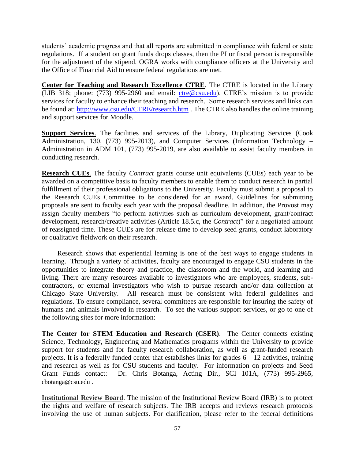students' academic progress and that all reports are submitted in compliance with federal or state regulations. If a student on grant funds drops classes, then the PI or fiscal person is responsible for the adjustment of the stipend. OGRA works with compliance officers at the University and the Office of Financial Aid to ensure federal regulations are met.

**Center for Teaching and Research Excellence CTRE**. The CTRE is located in the Library (LIB 318; phone: (773) 995-2960 and email: [ctre@csu.edu\)](mailto:ctre@csu.edu). CTRE's mission is to provide services for faculty to enhance their teaching and research. Some research services and links can be found at: <http://www.csu.edu/CTRE/research.htm> . The CTRE also handles the online training and support services for Moodle.

**Support Services**. The facilities and services of the Library, Duplicating Services (Cook Administration, 130, (773) 995-2013), and Computer Services (Information Technology – Administration in ADM 101, (773) 995-2019, are also available to assist faculty members in conducting research.

**Research CUEs**. The faculty *Contract* grants course unit equivalents (CUEs) each year to be awarded on a competitive basis to faculty members to enable them to conduct research in partial fulfillment of their professional obligations to the University. Faculty must submit a proposal to the Research CUEs Committee to be considered for an award. Guidelines for submitting proposals are sent to faculty each year with the proposal deadline. In addition, the Provost may assign faculty members "to perform activities such as curriculum development, grant/contract development, research/creative activities (Article 18.5.c, the *Contract*)" for a negotiated amount of reassigned time. These CUEs are for release time to develop seed grants, conduct laboratory or qualitative fieldwork on their research.

Research shows that experiential learning is one of the best ways to engage students in learning. Through a variety of activities, faculty are encouraged to engage CSU students in the opportunities to integrate theory and practice, the classroom and the world, and learning and living. There are many resources available to investigators who are employees, students, subcontractors, or external investigators who wish to pursue research and/or data collection at Chicago State University. All research must be consistent with federal guidelines and regulations. To ensure compliance, several committees are responsible for insuring the safety of humans and animals involved in research. To see the various support services, or go to one of the following sites for more information:

**The Center for STEM Education and Research (CSER)**. The Center connects existing Science, Technology, Engineering and Mathematics programs within the University to provide support for students and for faculty research collaboration, as well as grant-funded research projects. It is a federally funded center that establishes links for grades  $6 - 12$  activities, training and research as well as for CSU students and faculty. For information on projects and Seed Grant Funds contact: Dr. Chris Botanga, Acting Dir., SCI 101A, (773) 995-2965, cbotanga@csu.edu .

**Institutional Review Board**. The mission of the Institutional Review Board (IRB) is to protect the rights and welfare of research subjects. The IRB accepts and reviews research protocols involving the use of human subjects. For clarification, please refer to the federal definitions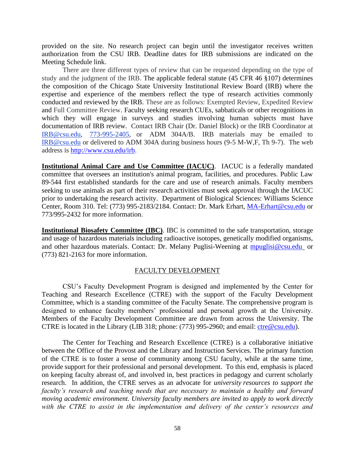provided on the site. No research project can begin until the investigator receives written authorization from the CSU IRB. Deadline dates for IRB submissions are indicated on the Meeting Schedule link.

There are three different types of review that can be requested depending on the type of study and the judgment of the IRB. The applicable federal statute (45 CFR 46 §107) determines the composition of the Chicago State University Institutional Review Board (IRB) where the expertise and experience of the members reflect the type of research activities commonly conducted and reviewed by the IRB. These are as follows: Exempted Review, Expedited Review and Full Committee Review. Faculty seeking research CUEs, sabbaticals or other recognitions in which they will engage in surveys and studies involving human subjects must have documentation of IRB review. Contact IRB Chair (Dr. Daniel Block) or the IRB Coordinator at [IRB@csu.edu,](mailto:IRB@csu.edu) [773-995-2405,](tel:773-995-2405) or ADM 304A/B. IRB materials may be emailed to [IRB@csu.edu](mailto:IRB@csu.edu) or delivered to ADM 304A during business hours (9-5 M-W,F, Th 9-7). The web address is [http://www.csu.edu/irb.](http://www.csu.edu/irb)

**Institutional Animal Care and Use Committee (IACUC)**. IACUC is a federally mandated committee that oversees an institution's animal program, facilities, and procedures. Public Law 89-544 first established standards for the care and use of research animals. Faculty members seeking to use animals as part of their research activities must seek approval through the IACUC prior to undertaking the research activity. Department of Biological Sciences: Williams Science Center, Room 310. Tel: (773) 995-2183/2184. Contact: Dr. Mark Erhart, [MA-Erhart@csu.edu](mailto:MA-Erhart@csu.edu) or 773/995-2432 for more information.

**Institutional Biosafety Committee (IBC)**. IBC is committed to the safe transportation, storage and usage of hazardous materials including radioactive isotopes, genetically modified organisms, and other hazardous materials. Contact: Dr. Melany Puglisi-Weening at [mpuglisi@csu.edu](mailto:aabraha@csu.edu) or (773) 821-2163 for more information.

# FACULTY DEVELOPMENT

CSU's Faculty Development Program is designed and implemented by the Center for Teaching and Research Excellence (CTRE) with the support of the Faculty Development Committee, which is a standing committee of the Faculty Senate. The comprehensive program is designed to enhance faculty members' professional and personal growth at the University. Members of the Faculty Development Committee are drawn from across the University. The CTRE is located in the Library (LIB 318; phone: (773) 995-2960; and email: [ctre@csu.edu\)](mailto:ctre@csu.edu).

The Center for Teaching and Research Excellence (CTRE) is a collaborative initiative between the Office of the Provost and the Library and Instruction Services. The primary function of the CTRE is to foster a sense of community among CSU faculty, while at the same time, provide support for their professional and personal development. To this end, emphasis is placed on keeping faculty abreast of, and involved in, best practices in pedagogy and current scholarly research. In addition, the CTRE serves as an advocate for *university resources to support the faculty's research and teaching needs that are necessary to maintain a healthy and forward moving academic environment. University faculty members are invited to apply to work directly with the CTRE to assist in the implementation and delivery of the center's resources and*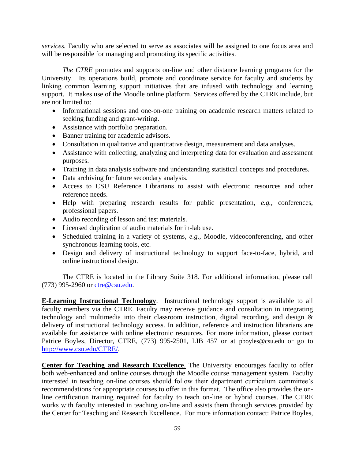*services.* Faculty who are selected to serve as associates will be assigned to one focus area and will be responsible for managing and promoting its specific activities.

*The CTRE* promotes and supports on-line and other distance learning programs for the University. Its operations build, promote and coordinate service for faculty and students by linking common learning support initiatives that are infused with technology and learning support. It makes use of the Moodle online platform. Services offered by the CTRE include, but are not limited to:

- Informational sessions and one-on-one training on academic research matters related to seeking funding and grant-writing.
- Assistance with portfolio preparation.
- Banner training for academic advisors.
- Consultation in qualitative and quantitative design, measurement and data analyses.
- Assistance with collecting, analyzing and interpreting data for evaluation and assessment purposes.
- Training in data analysis software and understanding statistical concepts and procedures.
- Data archiving for future secondary analysis.
- Access to CSU Reference Librarians to assist with electronic resources and other reference needs.
- Help with preparing research results for public presentation, *e.g.,* conferences, professional papers.
- Audio recording of lesson and test materials.
- Licensed duplication of audio materials for in-lab use.
- Scheduled training in a variety of systems, *e.g.,* Moodle, videoconferencing, and other synchronous learning tools, etc.
- Design and delivery of instructional technology to support face-to-face, hybrid, and online instructional design.

The CTRE is located in the Library Suite 318. For additional information, please call (773) 995-2960 or [ctre@csu.edu.](mailto:ctre@csu.edu)

**E-Learning Instructional Technology**. Instructional technology support is available to all faculty members via the CTRE. Faculty may receive guidance and consultation in integrating technology and multimedia into their classroom instruction, digital recording, and design & delivery of instructional technology access. In addition, reference and instruction librarians are available for assistance with online electronic resources. For more information, please contact Patrice Boyles, Director, CTRE, (773) 995-2501, LIB 457 or at pboyles@csu.edu or go to [http://www.csu.edu/CTRE/.](http://www.csu.edu/CTRE/)

**Center for Teaching and Research Excellence**. The University encourages faculty to offer both web-enhanced and online courses through the Moodle course management system. Faculty interested in teaching on-line courses should follow their department curriculum committee's recommendations for appropriate courses to offer in this format. The office also provides the online certification training required for faculty to teach on-line or hybrid courses. The CTRE works with faculty interested in teaching on-line and assists them through services provided by the Center for Teaching and Research Excellence. For more information contact: Patrice Boyles,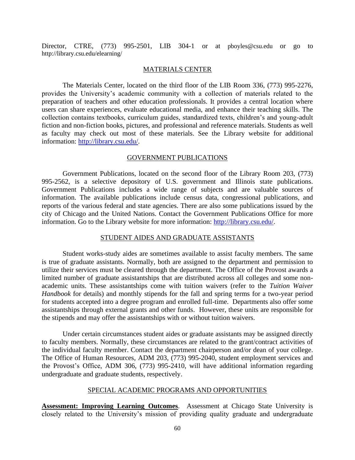Director, CTRE, (773) 995-2501, LIB 304-1 or at pboyles@csu.edu or go to http://library.csu.edu/elearning/

#### MATERIALS CENTER

The Materials Center, located on the third floor of the LIB Room 336, (773) 995-2276, provides the University's academic community with a collection of materials related to the preparation of teachers and other education professionals. It provides a central location where users can share experiences, evaluate educational media, and enhance their teaching skills. The collection contains textbooks, curriculum guides, standardized texts, children's and young-adult fiction and non-fiction books, pictures, and professional and reference materials. Students as well as faculty may check out most of these materials. See the Library website for additional information: [http://library.csu.edu/.](http://library.csu.edu/)

### GOVERNMENT PUBLICATIONS

Government Publications, located on the second floor of the Library Room 203, (773) 995-2562, is a selective depository of U.S. government and Illinois state publications. Government Publications includes a wide range of subjects and are valuable sources of information. The available publications include census data, congressional publications, and reports of the various federal and state agencies. There are also some publications issued by the city of Chicago and the United Nations. Contact the Government Publications Office for more information. Go to the Library website for more information: [http://library.csu.edu/.](http://library.csu.edu/)

#### STUDENT AIDES AND GRADUATE ASSISTANTS

Student works-study aides are sometimes available to assist faculty members. The same is true of graduate assistants. Normally, both are assigned to the department and permission to utilize their services must be cleared through the department. The Office of the Provost awards a limited number of graduate assistantships that are distributed across all colleges and some nonacademic units. These assistantships come with tuition waivers (refer to the *Tuition Waiver Handbook* for details) and monthly stipends for the fall and spring terms for a two-year period for students accepted into a degree program and enrolled full-time. Departments also offer some assistantships through external grants and other funds. However, these units are responsible for the stipends and may offer the assistantships with or without tuition waivers.

Under certain circumstances student aides or graduate assistants may be assigned directly to faculty members. Normally, these circumstances are related to the grant/contract activities of the individual faculty member. Contact the department chairperson and/or dean of your college. The Office of Human Resources, ADM 203, (773) 995-2040, student employment services and the Provost's Office, ADM 306, (773) 995-2410, will have additional information regarding undergraduate and graduate students, respectively.

# SPECIAL ACADEMIC PROGRAMS AND OPPORTUNITIES

**Assessment: Improving Learning Outcomes**. Assessment at Chicago State University is closely related to the University's mission of providing quality graduate and undergraduate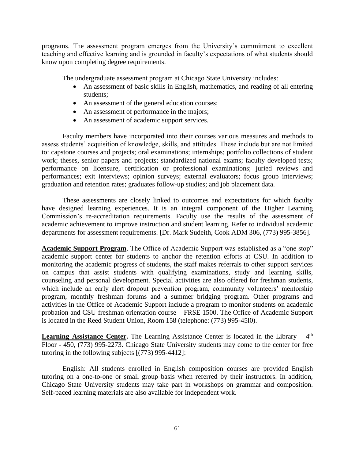programs. The assessment program emerges from the University's commitment to excellent teaching and effective learning and is grounded in faculty's expectations of what students should know upon completing degree requirements.

The undergraduate assessment program at Chicago State University includes:

- An assessment of basic skills in English, mathematics, and reading of all entering students;
- An assessment of the general education courses;
- An assessment of performance in the majors;
- An assessment of academic support services.

Faculty members have incorporated into their courses various measures and methods to assess students' acquisition of knowledge, skills, and attitudes. These include but are not limited to: capstone courses and projects; oral examinations; internships; portfolio collections of student work; theses, senior papers and projects; standardized national exams; faculty developed tests; performance on licensure, certification or professional examinations; juried reviews and performances; exit interviews; opinion surveys; external evaluators; focus group interviews; graduation and retention rates; graduates follow-up studies; and job placement data.

These assessments are closely linked to outcomes and expectations for which faculty have designed learning experiences. It is an integral component of the Higher Learning Commission's re-accreditation requirements. Faculty use the results of the assessment of academic achievement to improve instruction and student learning. Refer to individual academic departments for assessment requirements. [Dr. Mark Sudeith, Cook ADM 306, (773) 995-3856].

**Academic Support Program**. The Office of Academic Support was established as a "one stop" academic support center for students to anchor the retention efforts at CSU. In addition to monitoring the academic progress of students, the staff makes referrals to other support services on campus that assist students with qualifying examinations, study and learning skills, counseling and personal development. Special activities are also offered for freshman students, which include an early alert dropout prevention program, community volunteers' mentorship program, monthly freshman forums and a summer bridging program. Other programs and activities in the Office of Academic Support include a program to monitor students on academic probation and CSU freshman orientation course – FRSE 1500. The Office of Academic Support is located in the Reed Student Union, Room 158 (telephone: (773) 995-45l0).

**Learning Assistance Center.** The Learning Assistance Center is located in the Library – 4<sup>th</sup> Floor - 450, (773) 995-2273. Chicago State University students may come to the center for free tutoring in the following subjects [(773) 995-4412]:

English: All students enrolled in English composition courses are provided English tutoring on a one-to-one or small group basis when referred by their instructors. In addition, Chicago State University students may take part in workshops on grammar and composition. Self-paced learning materials are also available for independent work.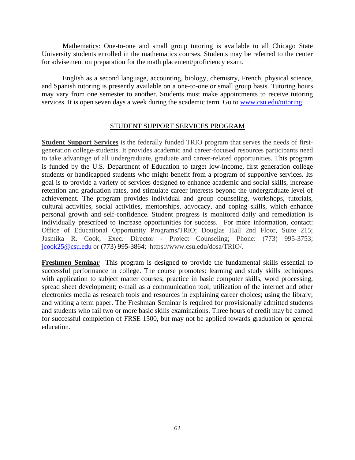Mathematics: One-to-one and small group tutoring is available to all Chicago State University students enrolled in the mathematics courses. Students may be referred to the center for advisement on preparation for the math placement/proficiency exam.

English as a second language, accounting, biology, chemistry, French, physical science, and Spanish tutoring is presently available on a one-to-one or small group basis. Tutoring hours may vary from one semester to another. Students must make appointments to receive tutoring services. It is open seven days a week during the academic term. Go to [www.csu.edu/tutoring.](http://www.csu.edu/tutoring)

# STUDENT SUPPORT SERVICES PROGRAM

**Student Support Services** is the federally funded TRIO program that serves the needs of firstgeneration college-students. It provides academic and career-focused resources participants need to take advantage of all undergraduate, graduate and career-related opportunities. This program is funded by the U.S. Department of Education to target low-income, first generation college students or handicapped students who might benefit from a program of supportive services. Its goal is to provide a variety of services designed to enhance academic and social skills, increase retention and graduation rates, and stimulate career interests beyond the undergraduate level of achievement. The program provides individual and group counseling, workshops, tutorials, cultural activities, social activities, mentorships, advocacy, and coping skills, which enhance personal growth and self-confidence. Student progress is monitored daily and remediation is individually prescribed to increase opportunities for success. For more information, contact: Office of Educational Opportunity Programs/TRiO; Douglas Hall 2nd Floor, Suite 215; Jasmika R. Cook, Exec. Director - Project Counseling; Phone: (773) 995-3753; [jcook25@csu.edu](mailto:jcook25@csu.edu) or (773) 995-3864; https://www.csu.edu/dosa/TRIO/.

**Freshmen Seminar** This program is designed to provide the fundamental skills essential to successful performance in college. The course promotes: learning and study skills techniques with application to subject matter courses; practice in basic computer skills, word processing, spread sheet development; e-mail as a communication tool; utilization of the internet and other electronics media as research tools and resources in explaining career choices; using the library; and writing a term paper. The Freshman Seminar is required for provisionally admitted students and students who fail two or more basic skills examinations. Three hours of credit may be earned for successful completion of FRSE 1500, but may not be applied towards graduation or general education.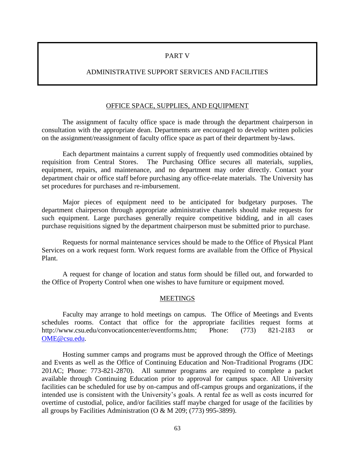### PART V

# ADMINISTRATIVE SUPPORT SERVICES AND FACILITIES

### OFFICE SPACE, SUPPLIES, AND EQUIPMENT

The assignment of faculty office space is made through the department chairperson in consultation with the appropriate dean. Departments are encouraged to develop written policies on the assignment/reassignment of faculty office space as part of their department by-laws.

Each department maintains a current supply of frequently used commodities obtained by requisition from Central Stores. The Purchasing Office secures all materials, supplies, equipment, repairs, and maintenance, and no department may order directly. Contact your department chair or office staff before purchasing any office-relate materials. The University has set procedures for purchases and re-imbursement.

Major pieces of equipment need to be anticipated for budgetary purposes. The department chairperson through appropriate administrative channels should make requests for such equipment. Large purchases generally require competitive bidding, and in all cases purchase requisitions signed by the department chairperson must be submitted prior to purchase.

Requests for normal maintenance services should be made to the Office of Physical Plant Services on a work request form. Work request forms are available from the Office of Physical Plant.

A request for change of location and status form should be filled out, and forwarded to the Office of Property Control when one wishes to have furniture or equipment moved.

#### **MEETINGS**

Faculty may arrange to hold meetings on campus. The Office of Meetings and Events schedules rooms. Contact that office for the appropriate facilities request forms at http://www.csu.edu/convocationcenter/eventforms.htm; Phone: (773) 821-2183 or [OME@csu.edu.](mailto:OME@csu.edu)

Hosting summer camps and programs must be approved through the Office of Meetings and Events as well as the Office of Continuing Education and Non-Traditional Programs (JDC 201AC; Phone: 773-821-2870). All summer programs are required to complete a packet available through Continuing Education prior to approval for campus space. All University facilities can be scheduled for use by on-campus and off-campus groups and organizations, if the intended use is consistent with the University's goals. A rental fee as well as costs incurred for overtime of custodial, police, and/or facilities staff maybe charged for usage of the facilities by all groups by Facilities Administration (O & M 209; (773) 995-3899).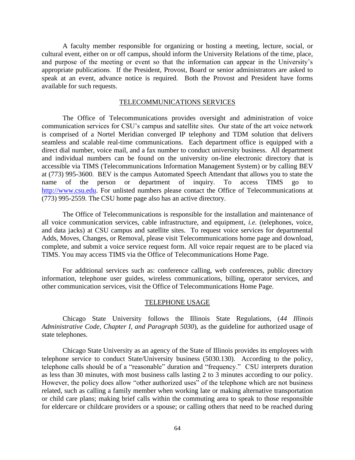A faculty member responsible for organizing or hosting a meeting, lecture, social, or cultural event, either on or off campus, should inform the University Relations of the time, place, and purpose of the meeting or event so that the information can appear in the University's appropriate publications. If the President, Provost, Board or senior administrators are asked to speak at an event, advance notice is required. Both the Provost and President have forms available for such requests.

# TELECOMMUNICATIONS SERVICES

The Office of Telecommunications provides oversight and administration of voice communication services for CSU's campus and satellite sites. Our state of the art voice network is comprised of a Nortel Meridian converged IP telephony and TDM solution that delivers seamless and scalable real-time communications. Each department office is equipped with a direct dial number, voice mail, and a fax number to conduct university business. All department and individual numbers can be found on the university on-line electronic directory that is accessible via TIMS (Telecommunications Information Management System) or by calling BEV at (773) 995-3600. BEV is the campus Automated Speech Attendant that allows you to state the name of the person or department of inquiry. To access TIMS go to [http://www.csu.edu.](http://www.csu.edu/) For unlisted numbers please contact the Office of Telecommunications at (773) 995-2559. The CSU home page also has an active directory.

The Office of Telecommunications is responsible for the installation and maintenance of all voice communication services, cable infrastructure, and equipment, *i.e.* (telephones, voice, and data jacks) at CSU campus and satellite sites. To request voice services for departmental Adds, Moves, Changes, or Removal, please visit Telecommunications home page and download, complete, and submit a voice service request form. All voice repair request are to be placed via TIMS. You may access TIMS via the Office of Telecommunications Home Page.

For additional services such as: conference calling, web conferences, public directory information, telephone user guides, wireless communications, billing, operator services, and other communication services, visit the Office of Telecommunications Home Page.

#### TELEPHONE USAGE

Chicago State University follows the Illinois State Regulations, (*44 Illinois Administrative Code, Chapter I, and Paragraph 5030*), as the guideline for authorized usage of state telephones.

Chicago State University as an agency of the State of Illinois provides its employees with telephone service to conduct State/University business (5030.130). According to the policy, telephone calls should be of a "reasonable" duration and "frequency." CSU interprets duration as less than 30 minutes, with most business calls lasting 2 to 3 minutes according to our policy. However, the policy does allow "other authorized uses" of the telephone which are not business related, such as calling a family member when working late or making alternative transportation or child care plans; making brief calls within the commuting area to speak to those responsible for eldercare or childcare providers or a spouse; or calling others that need to be reached during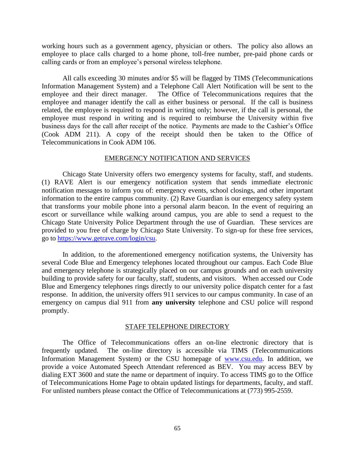working hours such as a government agency, physician or others. The policy also allows an employee to place calls charged to a home phone, toll-free number, pre-paid phone cards or calling cards or from an employee's personal wireless telephone.

All calls exceeding 30 minutes and/or \$5 will be flagged by TIMS (Telecommunications Information Management System) and a Telephone Call Alert Notification will be sent to the employee and their direct manager. The Office of Telecommunications requires that the employee and manager identify the call as either business or personal. If the call is business related, the employee is required to respond in writing only; however, if the call is personal, the employee must respond in writing and is required to reimburse the University within five business days for the call after receipt of the notice. Payments are made to the Cashier's Office (Cook ADM 211). A copy of the receipt should then be taken to the Office of Telecommunications in Cook ADM 106.

#### EMERGENCY NOTIFICATION AND SERVICES

Chicago State University offers two emergency systems for faculty, staff, and students. (1) RAVE Alert is our emergency notification system that sends immediate electronic notification messages to inform you of: emergency events, school closings, and other important information to the entire campus community. (2) Rave Guardian is our emergency safety system that transforms your mobile phone into a personal alarm beacon. In the event of requiring an escort or surveillance while walking around campus, you are able to send a request to the Chicago State University Police Department through the use of Guardian. These services are provided to you free of charge by Chicago State University. To sign-up for these free services, go to [https://www.getrave.com/login/csu.](https://www.getrave.com/login/csu)

In addition, to the aforementioned emergency notification systems, the University has several Code Blue and Emergency telephones located throughout our campus. Each Code Blue and emergency telephone is strategically placed on our campus grounds and on each university building to provide safety for our faculty, staff, students, and visitors. When accessed our Code Blue and Emergency telephones rings directly to our university police dispatch center for a fast response. In addition, the university offers 911 services to our campus community. In case of an emergency on campus dial 911 from **any university** telephone and CSU police will respond promptly.

### STAFF TELEPHONE DIRECTORY

The Office of Telecommunications offers an on-line electronic directory that is frequently updated. The on-line directory is accessible via TIMS (Telecommunications Information Management System) or the CSU homepage of [www.csu.edu.](http://www.csu.edu/) In addition, we provide a voice Automated Speech Attendant referenced as BEV. You may access BEV by dialing EXT 3600 and state the name or department of inquiry. To access TIMS go to the Office of Telecommunications Home Page to obtain updated listings for departments, faculty, and staff. For unlisted numbers please contact the Office of Telecommunications at (773) 995-2559.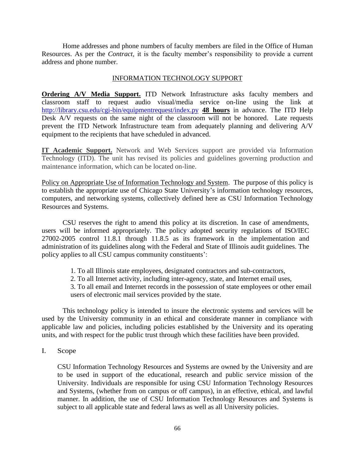Home addresses and phone numbers of faculty members are filed in the Office of Human Resources. As per the *Contract,* it is the faculty member's responsibility to provide a current address and phone number.

# INFORMATION TECHNOLOGY SUPPORT

**Ordering A/V Media Support.** ITD Network Infrastructure asks faculty members and classroom staff to request audio visual/media service on-line using the link at <http://library.csu.edu/cgi-bin/equipmentrequest/index.py> **48 hours** in advance. The ITD Help Desk A/V requests on the same night of the classroom will not be honored. Late requests prevent the ITD Network Infrastructure team from adequately planning and delivering A/V equipment to the recipients that have scheduled in advanced.

**IT Academic Support.** Network and Web Services support are provided via Information Technology (ITD). The unit has revised its policies and guidelines governing production and maintenance information, which can be located on-line.

Policy on Appropriate Use of Information Technology and System. The purpose of this policy is to establish the appropriate use of Chicago State University's information technology resources, computers, and networking systems, collectively defined here as CSU Information Technology Resources and Systems.

CSU reserves the right to amend this policy at its discretion. In case of amendments, users will be informed appropriately. The policy adopted security regulations of ISO/IEC 27002-2005 control 11.8.1 through 11.8.5 as its framework in the implementation and administration of its guidelines along with the Federal and State of Illinois audit guidelines. The policy applies to all CSU campus community constituents':

- 1. To all Illinois state employees, designated contractors and sub-contractors,
- 2. To all Internet activity, including inter-agency, state, and Internet email uses,

3. To all email and Internet records in the possession of state employees or other email users of electronic mail services provided by the state.

This technology policy is intended to insure the electronic systems and services will be used by the University community in an ethical and considerate manner in compliance with applicable law and policies, including policies established by the University and its operating units, and with respect for the public trust through which these facilities have been provided.

I. Scope

CSU Information Technology Resources and Systems are owned by the University and are to be used in support of the educational, research and public service mission of the University. Individuals are responsible for using CSU Information Technology Resources and Systems, (whether from on campus or off campus), in an effective, ethical, and lawful manner. In addition, the use of CSU Information Technology Resources and Systems is subject to all applicable state and federal laws as well as all University policies.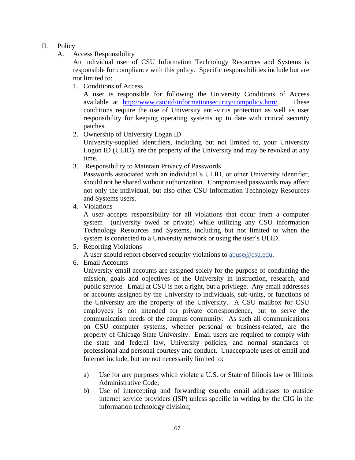# II. Policy

A. Access Responsibility

An individual user of CSU Information Technology Resources and Systems is responsible for compliance with this policy. Specific responsibilities include but are not limited to:

1. Conditions of Access

A user is responsible for following the University Conditions of Access available at [http://www.csu/itd/informationsecurity/compolicy.htm/.](http://www.csu/itd/informationsecurity/compolicy.htm/) These conditions require the use of University anti-virus protection as well as user responsibility for keeping operating systems up to date with critical security patches.

2. Ownership of University Logan ID

University-supplied identifiers, including but not limited to, your University Logon ID (ULID), are the property of the University and may be revoked at any time.

3. Responsibility to Maintain Privacy of Passwords

Passwords associated with an individual's ULID, or other University identifier, should not be shared without authorization. Compromised passwords may affect not only the individual, but also other CSU Information Technology Resources and Systems users.

4. Violations

A user accepts responsibility for all violations that occur from a computer system (university owed or private) while utilizing any CSU information Technology Resources and Systems, including but not limited to when the system is connected to a University network or using the user's ULID.

5. Reporting Violations

A user should report observed security violations to [abuse@csu.edu.](mailto:abuse@csu.edu)

6. Email Accounts

University email accounts are assigned solely for the purpose of conducting the mission, goals and objectives of the University in instruction, research, and public service. Email at CSU is not a right, but a privilege. Any email addresses or accounts assigned by the University to individuals, sub-units, or functions of the University are the property of the University. A CSU mailbox for CSU employees is not intended for private correspondence, but to serve the communication needs of the campus community. As such all communications on CSU computer systems, whether personal or business-related, are the property of Chicago State University. Email users are required to comply with the state and federal law, University policies, and normal standards of professional and personal courtesy and conduct. Unacceptable uses of email and Internet include, but are not necessarily limited to:

- a) Use for any purposes which violate a U.S. or State of Illinois law or Illinois Administrative Code;
- b) Use of intercepting and forwarding csu.edu email addresses to outside internet service providers (ISP) unless specific in writing by the CIG in the information technology division;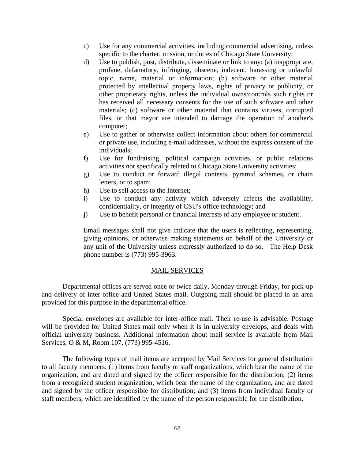- c) Use for any commercial activities, including commercial advertising, unless specific to the charter, mission, or duties of Chicago State University;
- d) Use to publish, post, distribute, disseminate or link to any: (a) inappropriate, profane, defamatory, infringing, obscene, indecent, harassing or unlawful topic, name, material or information; (b) software or other material protected by intellectual property laws, rights of privacy or publicity, or other proprietary rights, unless the individual owns/controls such rights or has received all necessary consents for the use of such software and other materials; (c) software or other material that contains viruses, corrupted files, or that mayor are intended to damage the operation of another's computer;
- e) Use to gather or otherwise collect information about others for commercial or private use, including e-mail addresses, without the express consent of the individuals;
- f) Use for fundraising, political campaign activities, or public relations activities not specifically related to Chicago State University activities;
- g) Use to conduct or forward illegal contests, pyramid schemes, or chain letters, or to spam;
- h) Use to sell access to the Internet;
- i) Use to conduct any activity which adversely affects the availability, confidentiality, or integrity of CSU's office technology; and
- j) Use to benefit personal or financial interests of any employee or student.

Email messages shall not give indicate that the users is reflecting, representing, giving opinions, or otherwise making statements on behalf of the University or any unit of the University unless expressly authorized to do so. The Help Desk phone number is (773) 995-3963.

#### MAIL SERVICES

Departmental offices are served once or twice daily, Monday through Friday, for pick-up and delivery of inter-office and United States mail. Outgoing mail should be placed in an area provided for this purpose in the departmental office.

Special envelopes are available for inter-office mail. Their re-use is advisable. Postage will be provided for United States mail only when it is in university envelops, and deals with official university business. Additional information about mail service is available from Mail Services, O & M, Room 107, (773) 995-4516.

The following types of mail items are accepted by Mail Services for general distribution to all faculty members: (1) items from faculty or staff organizations, which bear the name of the organization, and are dated and signed by the officer responsible for the distribution; (2) items from a recognized student organization, which bear the name of the organization, and are dated and signed by the officer responsible for distribution; and (3) items from individual faculty or staff members, which are identified by the name of the person responsible for the distribution.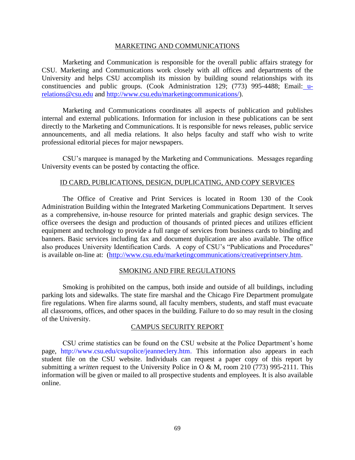#### MARKETING AND COMMUNICATIONS

Marketing and Communication is responsible for the overall public affairs strategy for CSU. Marketing and Communications work closely with all offices and departments of the University and helps CSU accomplish its mission by building sound relationships with its constituencies and public groups. (Cook Administration 129; (773) 995-4488; Email: [u](mailto:u-relations@csu.edu)[relations@csu.edu](mailto:u-relations@csu.edu) and [http://www.csu.edu/marketingcommunications/\)](http://www.csu.edu/marketingcommunications/).

Marketing and Communications coordinates all aspects of publication and publishes internal and external publications. Information for inclusion in these publications can be sent directly to the Marketing and Communications. It is responsible for news releases, public service announcements, and all media relations. It also helps faculty and staff who wish to write professional editorial pieces for major newspapers.

CSU's marquee is managed by the Marketing and Communications. Messages regarding University events can be posted by contacting the office.

# ID CARD, PUBLICATIONS, DESIGN, DUPLICATING, AND COPY SERVICES

The Office of Creative and Print Services is located in Room 130 of the Cook Administration Building within the Integrated Marketing Communications Department. It serves as a comprehensive, in-house resource for printed materials and graphic design services. The office oversees the design and production of thousands of printed pieces and utilizes efficient equipment and technology to provide a full range of services from business cards to binding and banners. Basic services including fax and document duplication are also available. The office also produces University Identification Cards. A copy of CSU's "Publications and Procedures" is available on-line at: [\(http://www.csu.edu/marketingcommunications/creativeprintserv.htm.](http://www.csu.edu/marketingcommunications/creativeprintserv.htm)

# SMOKING AND FIRE REGULATIONS

Smoking is prohibited on the campus, both inside and outside of all buildings, including parking lots and sidewalks. The state fire marshal and the Chicago Fire Department promulgate fire regulations. When fire alarms sound, all faculty members, students, and staff must evacuate all classrooms, offices, and other spaces in the building. Failure to do so may result in the closing of the University.

# CAMPUS SECURITY REPORT

CSU crime statistics can be found on the CSU website at the Police Department's home page, http://www.csu.edu/csupolice/jeanneclery.htm. This information also appears in each student file on the CSU website. Individuals can request a paper copy of this report by submitting a *written* request to the University Police in O & M, room 210 (773) 995-2111. This information will be given or mailed to all prospective students and employees. It is also available online.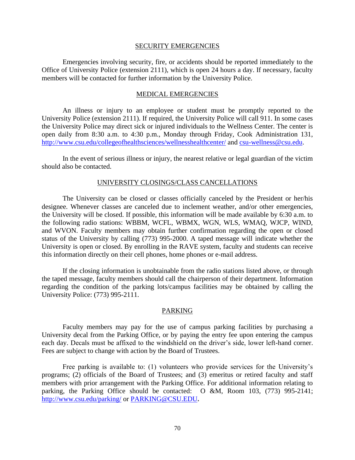#### SECURITY EMERGENCIES

Emergencies involving security, fire, or accidents should be reported immediately to the Office of University Police (extension 2111), which is open 24 hours a day. If necessary, faculty members will be contacted for further information by the University Police.

### MEDICAL EMERGENCIES

An illness or injury to an employee or student must be promptly reported to the University Police (extension 2111). If required, the University Police will call 911. In some cases the University Police may direct sick or injured individuals to the Wellness Center. The center is open daily from 8:30 a.m. to 4:30 p.m., Monday through Friday, Cook Administration 131, <http://www.csu.edu/collegeofhealthsciences/wellnesshealthcenter/> and [csu-wellness@csu.edu.](mailto:csu-wellness@csu.edu)

In the event of serious illness or injury, the nearest relative or legal guardian of the victim should also be contacted.

#### UNIVERSITY CLOSINGS/CLASS CANCELLATIONS

The University can be closed or classes officially canceled by the President or her/his designee. Whenever classes are canceled due to inclement weather, and/or other emergencies, the University will be closed. If possible, this information will be made available by 6:30 a.m. to the following radio stations: WBBM, WCFL, WBMX, WGN, WLS, WMAQ, WJCP, WIND, and WVON. Faculty members may obtain further confirmation regarding the open or closed status of the University by calling (773) 995-2000. A taped message will indicate whether the University is open or closed. By enrolling in the RAVE system, faculty and students can receive this information directly on their cell phones, home phones or e-mail address.

If the closing information is unobtainable from the radio stations listed above, or through the taped message, faculty members should call the chairperson of their department. Information regarding the condition of the parking lots/campus facilities may be obtained by calling the University Police: (773) 995-2111.

# PARKING

Faculty members may pay for the use of campus parking facilities by purchasing a University decal from the Parking Office, or by paying the entry fee upon entering the campus each day. Decals must be affixed to the windshield on the driver's side, lower left-hand corner. Fees are subject to change with action by the Board of Trustees.

Free parking is available to: (1) volunteers who provide services for the University's programs; (2) officials of the Board of Trustees; and (3) emeritus or retired faculty and staff members with prior arrangement with the Parking Office. For additional information relating to parking, the Parking Office should be contacted: O &M, Room 103, (773) 995-2141; <http://www.csu.edu/parking/> or [PARKING@CSU.EDU](mailto:PARKING@CSU.EDU)**.**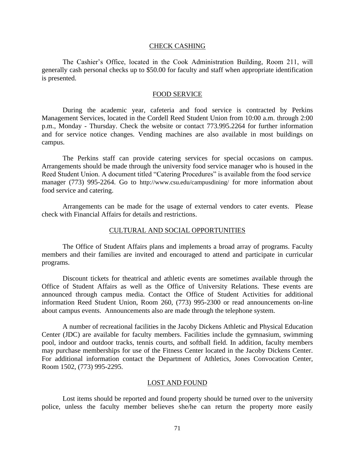#### CHECK CASHING

The Cashier's Office, located in the Cook Administration Building, Room 211, will generally cash personal checks up to \$50.00 for faculty and staff when appropriate identification is presented.

#### FOOD SERVICE

During the academic year, cafeteria and food service is contracted by Perkins Management Services, located in the Cordell Reed Student Union from 10:00 a.m. through 2:00 p.m., Monday - Thursday. Check the website or contact 773.995.2264 for further information and for service notice changes. Vending machines are also available in most buildings on campus.

The Perkins staff can provide catering services for special occasions on campus. Arrangements should be made through the university food service manager who is housed in the Reed Student Union. A document titled "Catering Procedures" is available from the food service manager (773) 995-2264. Go to http://www.csu.edu/campusdining/ for more information about food service and catering.

Arrangements can be made for the usage of external vendors to cater events. Please check with Financial Affairs for details and restrictions.

#### CULTURAL AND SOCIAL OPPORTUNITIES

The Office of Student Affairs plans and implements a broad array of programs. Faculty members and their families are invited and encouraged to attend and participate in curricular programs.

Discount tickets for theatrical and athletic events are sometimes available through the Office of Student Affairs as well as the Office of University Relations. These events are announced through campus media. Contact the Office of Student Activities for additional information Reed Student Union, Room 260, (773) 995-2300 or read announcements on-line about campus events. Announcements also are made through the telephone system.

A number of recreational facilities in the Jacoby Dickens Athletic and Physical Education Center (JDC) are available for faculty members. Facilities include the gymnasium, swimming pool, indoor and outdoor tracks, tennis courts, and softball field. In addition, faculty members may purchase memberships for use of the Fitness Center located in the Jacoby Dickens Center. For additional information contact the Department of Athletics, Jones Convocation Center, Room 1502, (773) 995-2295.

### LOST AND FOUND

Lost items should be reported and found property should be turned over to the university police, unless the faculty member believes she/he can return the property more easily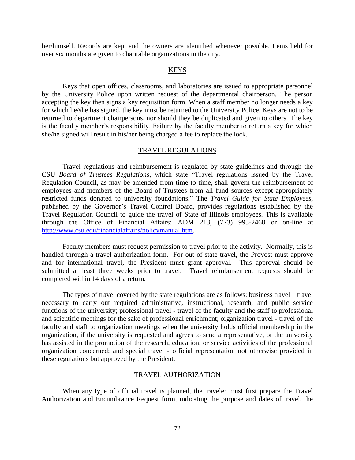her/himself. Records are kept and the owners are identified whenever possible. Items held for over six months are given to charitable organizations in the city.

## KEYS

Keys that open offices, classrooms, and laboratories are issued to appropriate personnel by the University Police upon written request of the departmental chairperson. The person accepting the key then signs a key requisition form. When a staff member no longer needs a key for which he/she has signed, the key must be returned to the University Police. Keys are not to be returned to department chairpersons, nor should they be duplicated and given to others. The key is the faculty member's responsibility. Failure by the faculty member to return a key for which she/he signed will result in his/her being charged a fee to replace the lock.

#### TRAVEL REGULATIONS

Travel regulations and reimbursement is regulated by state guidelines and through the CSU *Board of Trustees Regulations,* which state "Travel regulations issued by the Travel Regulation Council, as may be amended from time to time, shall govern the reimbursement of employees and members of the Board of Trustees from all fund sources except appropriately restricted funds donated to university foundations." The *Travel Guide for State Employees,*  published by the Governor's Travel Control Board, provides regulations established by the Travel Regulation Council to guide the travel of State of Illinois employees. This is available through the Office of Financial Affairs: ADM 213, (773) 995-2468 or on-line at [http://www.csu.edu/financialaffairs/policymanual.htm.](http://www.csu.edu/financialaffairs/policymanual.htm)

Faculty members must request permission to travel prior to the activity. Normally, this is handled through a travel authorization form. For out-of-state travel, the Provost must approve and for international travel, the President must grant approval. This approval should be submitted at least three weeks prior to travel. Travel reimbursement requests should be completed within 14 days of a return.

The types of travel covered by the state regulations are as follows: business travel – travel necessary to carry out required administrative, instructional, research, and public service functions of the university; professional travel - travel of the faculty and the staff to professional and scientific meetings for the sake of professional enrichment; organization travel - travel of the faculty and staff to organization meetings when the university holds official membership in the organization, if the university is requested and agrees to send a representative, or the university has assisted in the promotion of the research, education, or service activities of the professional organization concerned; and special travel - official representation not otherwise provided in these regulations but approved by the President.

### TRAVEL AUTHORIZATION

When any type of official travel is planned, the traveler must first prepare the Travel Authorization and Encumbrance Request form, indicating the purpose and dates of travel, the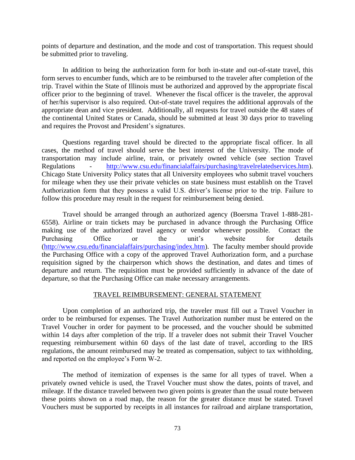points of departure and destination, and the mode and cost of transportation. This request should be submitted prior to traveling.

In addition to being the authorization form for both in-state and out-of-state travel, this form serves to encumber funds, which are to be reimbursed to the traveler after completion of the trip. Travel within the State of Illinois must be authorized and approved by the appropriate fiscal officer prior to the beginning of travel. Whenever the fiscal officer is the traveler, the approval of her/his supervisor is also required. Out-of-state travel requires the additional approvals of the appropriate dean and vice president. Additionally, all requests for travel outside the 48 states of the continental United States or Canada, should be submitted at least 30 days prior to traveling and requires the Provost and President's signatures.

Questions regarding travel should be directed to the appropriate fiscal officer. In all cases, the method of travel should serve the best interest of the University. The mode of transportation may include airline, train, or privately owned vehicle (see section Travel Regulations - [http://www.csu.edu/financialaffairs/purchasing/travelrelatedservices.htm\)](http://www.csu.edu/financialaffairs/purchasing/travelrelatedservices.htm). Chicago State University Policy states that all University employees who submit travel vouchers for mileage when they use their private vehicles on state business must establish on the Travel Authorization form that they possess a valid U.S. driver's license prior to the trip. Failure to follow this procedure may result in the request for reimbursement being denied.

Travel should be arranged through an authorized agency (Boersma Travel 1-888-281- 6558). Airline or train tickets may be purchased in advance through the Purchasing Office making use of the authorized travel agency or vendor whenever possible. Contact the Purchasing Office or the unit's website for details [\(http://www.csu.edu/financialaffairs/purchasing/index.htm\)](http://www.csu.edu/financialaffairs/purchasing/index.htm). The faculty member should provide the Purchasing Office with a copy of the approved Travel Authorization form, and a purchase requisition signed by the chairperson which shows the destination, and dates and times of departure and return. The requisition must be provided sufficiently in advance of the date of departure, so that the Purchasing Office can make necessary arrangements.

### TRAVEL REIMBURSEMENT: GENERAL STATEMENT

Upon completion of an authorized trip, the traveler must fill out a Travel Voucher in order to be reimbursed for expenses. The Travel Authorization number must be entered on the Travel Voucher in order for payment to be processed, and the voucher should be submitted within 14 days after completion of the trip. If a traveler does not submit their Travel Voucher requesting reimbursement within 60 days of the last date of travel, according to the IRS regulations, the amount reimbursed may be treated as compensation, subject to tax withholding, and reported on the employee's Form W-2.

The method of itemization of expenses is the same for all types of travel. When a privately owned vehicle is used, the Travel Voucher must show the dates, points of travel, and mileage. If the distance traveled between two given points is greater than the usual route between these points shown on a road map, the reason for the greater distance must be stated. Travel Vouchers must be supported by receipts in all instances for railroad and airplane transportation,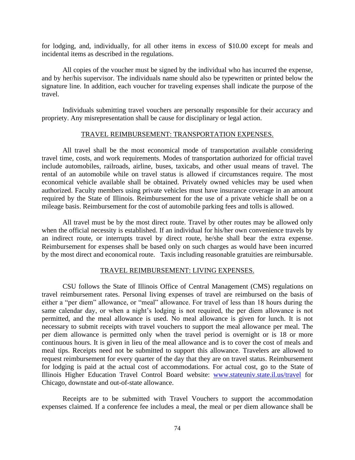for lodging, and, individually, for all other items in excess of \$10.00 except for meals and incidental items as described in the regulations.

All copies of the voucher must be signed by the individual who has incurred the expense, and by her/his supervisor. The individuals name should also be typewritten or printed below the signature line. In addition, each voucher for traveling expenses shall indicate the purpose of the travel.

Individuals submitting travel vouchers are personally responsible for their accuracy and propriety. Any misrepresentation shall be cause for disciplinary or legal action.

### TRAVEL REIMBURSEMENT: TRANSPORTATION EXPENSES.

All travel shall be the most economical mode of transportation available considering travel time, costs, and work requirements. Modes of transportation authorized for official travel include automobiles, railroads, airline, buses, taxicabs, and other usual means of travel. The rental of an automobile while on travel status is allowed if circumstances require. The most economical vehicle available shall be obtained. Privately owned vehicles may be used when authorized. Faculty members using private vehicles must have insurance coverage in an amount required by the State of Illinois. Reimbursement for the use of a private vehicle shall be on a mileage basis. Reimbursement for the cost of automobile parking fees and tolls is allowed.

All travel must be by the most direct route. Travel by other routes may be allowed only when the official necessity is established. If an individual for his/her own convenience travels by an indirect route, or interrupts travel by direct route, he/she shall bear the extra expense. Reimbursement for expenses shall be based only on such charges as would have been incurred by the most direct and economical route. Taxis including reasonable gratuities are reimbursable.

### TRAVEL REIMBURSEMENT: LIVING EXPENSES.

CSU follows the State of Illinois Office of Central Management (CMS) regulations on travel reimbursement rates. Personal living expenses of travel are reimbursed on the basis of either a "per diem" allowance, or "meal" allowance. For travel of less than 18 hours during the same calendar day, or when a night's lodging is not required, the per diem allowance is not permitted, and the meal allowance is used. No meal allowance is given for lunch. It is not necessary to submit receipts with travel vouchers to support the meal allowance per meal. The per diem allowance is permitted only when the travel period is overnight or is 18 or more continuous hours. It is given in lieu of the meal allowance and is to cover the cost of meals and meal tips. Receipts need not be submitted to support this allowance. Travelers are allowed to request reimbursement for every quarter of the day that they are on travel status. Reimbursement for lodging is paid at the actual cost of accommodations. For actual cost, go to the State of Illinois Higher Education Travel Control Board website: [www.stateuniv.state.il.us/travel](http://www.stateuniv.state.il.us/travel) for Chicago, downstate and out-of-state allowance.

Receipts are to be submitted with Travel Vouchers to support the accommodation expenses claimed. If a conference fee includes a meal, the meal or per diem allowance shall be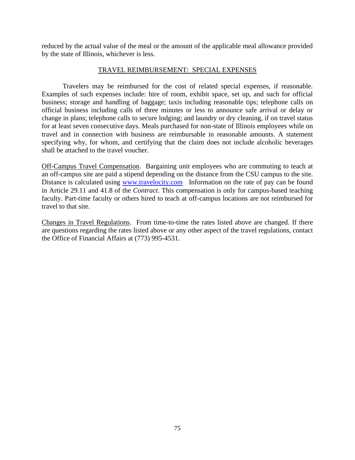reduced by the actual value of the meal or the amount of the applicable meal allowance provided by the state of Illinois, whichever is less.

## TRAVEL REIMBURSEMENT: SPECIAL EXPENSES

Travelers may be reimbursed for the cost of related special expenses, if reasonable. Examples of such expenses include: hire of room, exhibit space, set up, and such for official business; storage and handling of baggage; taxis including reasonable tips; telephone calls on official business including calls of three minutes or less to announce safe arrival or delay or change in plans; telephone calls to secure lodging; and laundry or dry cleaning, if on travel status for at least seven consecutive days. Meals purchased for non-state of Illinois employees while on travel and in connection with business are reimbursable in reasonable amounts. A statement specifying why, for whom, and certifying that the claim does not include alcoholic beverages shall be attached to the travel voucher.

Off-Campus Travel Compensation. Bargaining unit employees who are commuting to teach at an off-campus site are paid a stipend depending on the distance from the CSU campus to the site. Distance is calculated using [www.travelocity.com](http://www.travelocity.com/) Information on the rate of pay can be found in Article 29.11 and 41.8 of the *Contract*. This compensation is only for campus-based teaching faculty. Part-time faculty or others hired to teach at off-campus locations are not reimbursed for travel to that site.

Changes in Travel Regulations. From time-to-time the rates listed above are changed. If there are questions regarding the rates listed above or any other aspect of the travel regulations, contact the Office of Financial Affairs at (773) 995-4531.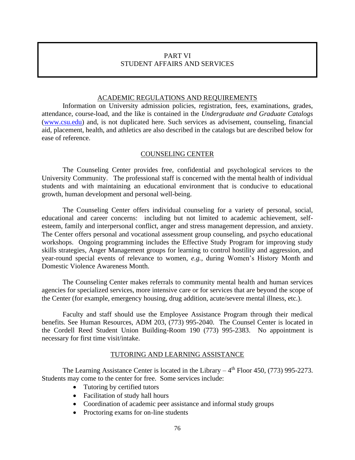# PART VI STUDENT AFFAIRS AND SERVICES

## ACADEMIC REGULATIONS AND REQUIREMENTS

Information on University admission policies, registration, fees, examinations, grades, attendance, course-load, and the like is contained in the *Undergraduate and Graduate Catalogs*  [\(www.csu.edu\)](http://www.csu.edu/) and, is not duplicated here. Such services as advisement, counseling, financial aid, placement, health, and athletics are also described in the catalogs but are described below for ease of reference.

### COUNSELING CENTER

The Counseling Center provides free, confidential and psychological services to the University Community. The professional staff is concerned with the mental health of individual students and with maintaining an educational environment that is conducive to educational growth, human development and personal well-being.

The Counseling Center offers individual counseling for a variety of personal, social, educational and career concerns: including but not limited to academic achievement, selfesteem, family and interpersonal conflict, anger and stress management depression, and anxiety. The Center offers personal and vocational assessment group counseling, and psycho educational workshops. Ongoing programming includes the Effective Study Program for improving study skills strategies, Anger Management groups for learning to control hostility and aggression, and year-round special events of relevance to women, *e.g.,* during Women's History Month and Domestic Violence Awareness Month.

The Counseling Center makes referrals to community mental health and human services agencies for specialized services, more intensive care or for services that are beyond the scope of the Center (for example, emergency housing, drug addition, acute/severe mental illness, etc.).

Faculty and staff should use the Employee Assistance Program through their medical benefits. See Human Resources, ADM 203, (773) 995-2040. The Counsel Center is located in the Cordell Reed Student Union Building-Room 190 (773) 995-2383. No appointment is necessary for first time visit/intake.

## TUTORING AND LEARNING ASSISTANCE

The Learning Assistance Center is located in the Library  $-4<sup>th</sup>$  Floor 450, (773) 995-2273. Students may come to the center for free. Some services include:

- Tutoring by certified tutors
- Facilitation of study hall hours
- Coordination of academic peer assistance and informal study groups
- Proctoring exams for on-line students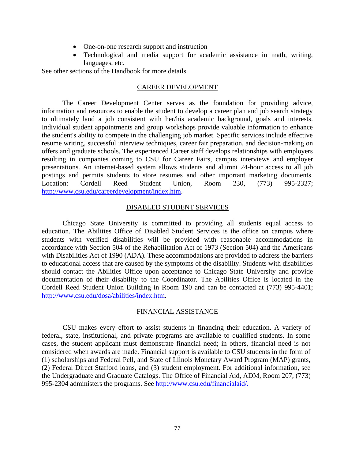- One-on-one research support and instruction
- Technological and media support for academic assistance in math, writing, languages, etc.

See other sections of the Handbook for more details.

## CAREER DEVELOPMENT

The Career Development Center serves as the foundation for providing advice, information and resources to enable the student to develop a career plan and job search strategy to ultimately land a job consistent with her/his academic background, goals and interests. Individual student appointments and group workshops provide valuable information to enhance the student's ability to compete in the challenging job market. Specific services include effective resume writing, successful interview techniques, career fair preparation, and decision-making on offers and graduate schools. The experienced Career staff develops relationships with employers resulting in companies coming to CSU for Career Fairs, campus interviews and employer presentations. An internet-based system allows students and alumni 24-hour access to all job postings and permits students to store resumes and other important marketing documents. Location: Cordell Reed Student Union, Room 230, (773) 995-2327; [http://www.csu.edu/careerdevelopment/index.htm.](http://www.csu.edu/careerdevelopment/index.htm)

## DISABLED STUDENT SERVICES

Chicago State University is committed to providing all students equal access to education. The Abilities Office of Disabled Student Services is the office on campus where students with verified disabilities will be provided with reasonable accommodations in accordance with Section 504 of the Rehabilitation Act of 1973 (Section 504) and the Americans with Disabilities Act of 1990 (ADA). These accommodations are provided to address the barriers to educational access that are caused by the symptoms of the disability. Students with disabilities should contact the Abilities Office upon acceptance to Chicago State University and provide documentation of their disability to the Coordinator. The Abilities Office is located in the Cordell Reed Student Union Building in Room 190 and can be contacted at (773) 995-4401; [http://www.csu.edu/dosa/abilities/index.htm.](http://www.csu.edu/dosa/abilities/index.htm)

## FINANCIAL ASSISTANCE

CSU makes every effort to assist students in financing their education. A variety of federal, state, institutional, and private programs are available to qualified students. In some cases, the student applicant must demonstrate financial need; in others, financial need is not considered when awards are made. Financial support is available to CSU students in the form of (1) scholarships and Federal Pell, and State of Illinois Monetary Award Program (MAP) grants, (2) Federal Direct Stafford loans, and (3) student employment. For additional information, see the Undergraduate and Graduate Catalogs. The Office of Financial Aid, ADM, Room 207, (773) 995-2304 administers the programs. See [http://www.csu.edu/financialaid/.](http://www.csu.edu/financialaid/)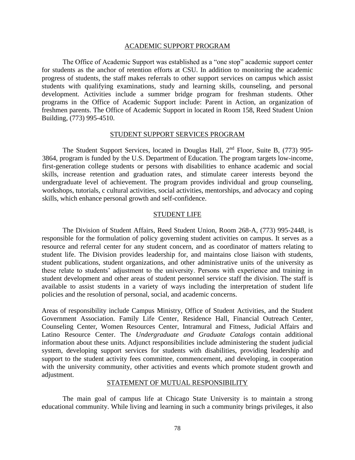#### ACADEMIC SUPPORT PROGRAM

The Office of Academic Support was established as a "one stop" academic support center for students as the anchor of retention efforts at CSU. In addition to monitoring the academic progress of students, the staff makes referrals to other support services on campus which assist students with qualifying examinations, study and learning skills, counseling, and personal development. Activities include a summer bridge program for freshman students. Other programs in the Office of Academic Support include: Parent in Action, an organization of freshmen parents. The Office of Academic Support in located in Room 158, Reed Student Union Building, (773) 995-4510.

## STUDENT SUPPORT SERVICES PROGRAM

The Student Support Services, located in Douglas Hall, 2<sup>nd</sup> Floor, Suite B, (773) 995-3864, program is funded by the U.S. Department of Education. The program targets low-income, first-generation college students or persons with disabilities to enhance academic and social skills, increase retention and graduation rates, and stimulate career interests beyond the undergraduate level of achievement. The program provides individual and group counseling, workshops, tutorials, c cultural activities, social activities, mentorships, and advocacy and coping skills, which enhance personal growth and self-confidence.

### STUDENT LIFE

The Division of Student Affairs, Reed Student Union, Room 268-A, (773) 995-2448, is responsible for the formulation of policy governing student activities on campus. It serves as a resource and referral center for any student concern, and as coordinator of matters relating to student life. The Division provides leadership for, and maintains close liaison with students, student publications, student organizations, and other administrative units of the university as these relate to students' adjustment to the university. Persons with experience and training in student development and other areas of student personnel service staff the division. The staff is available to assist students in a variety of ways including the interpretation of student life policies and the resolution of personal, social, and academic concerns.

Areas of responsibility include Campus Ministry, Office of Student Activities, and the Student Government Association. Family Life Center, Residence Hall, Financial Outreach Center, Counseling Center, Women Resources Center, Intramural and Fitness, Judicial Affairs and Latino Resource Center. The *Undergraduate and Graduate Catalogs* contain additional information about these units. Adjunct responsibilities include administering the student judicial system, developing support services for students with disabilities, providing leadership and support to the student activity fees committee, commencement, and developing, in cooperation with the university community, other activities and events which promote student growth and adjustment.

#### STATEMENT OF MUTUAL RESPONSIBILITY

The main goal of campus life at Chicago State University is to maintain a strong educational community. While living and learning in such a community brings privileges, it also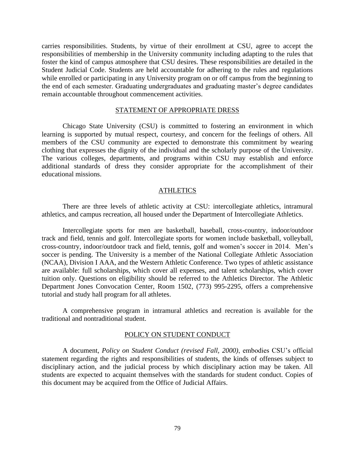carries responsibilities. Students, by virtue of their enrollment at CSU, agree to accept the responsibilities of membership in the University community including adapting to the rules that foster the kind of campus atmosphere that CSU desires. These responsibilities are detailed in the Student Judicial Code. Students are held accountable for adhering to the rules and regulations while enrolled or participating in any University program on or off campus from the beginning to the end of each semester. Graduating undergraduates and graduating master's degree candidates remain accountable throughout commencement activities.

### STATEMENT OF APPROPRIATE DRESS

Chicago State University (CSU) is committed to fostering an environment in which learning is supported by mutual respect, courtesy, and concern for the feelings of others. All members of the CSU community are expected to demonstrate this commitment by wearing clothing that expresses the dignity of the individual and the scholarly purpose of the University. The various colleges, departments, and programs within CSU may establish and enforce additional standards of dress they consider appropriate for the accomplishment of their educational missions.

#### ATHLETICS

There are three levels of athletic activity at CSU: intercollegiate athletics, intramural athletics, and campus recreation, all housed under the Department of Intercollegiate Athletics.

Intercollegiate sports for men are basketball, baseball, cross-country, indoor/outdoor track and field, tennis and golf. Intercollegiate sports for women include basketball, volleyball, cross-country, indoor/outdoor track and field, tennis, golf and women's soccer in 2014. Men's soccer is pending. The University is a member of the National Collegiate Athletic Association (NCAA), Division I AAA, and the Western Athletic Conference. Two types of athletic assistance are available: full scholarships, which cover all expenses, and talent scholarships, which cover tuition only. Questions on eligibility should be referred to the Athletics Director. The Athletic Department Jones Convocation Center, Room 1502, (773) 995-2295, offers a comprehensive tutorial and study hall program for all athletes.

A comprehensive program in intramural athletics and recreation is available for the traditional and nontraditional student.

#### POLICY ON STUDENT CONDUCT

A document, *Policy on Student Conduct (revised Fall, 2000)*, embodies CSU's official statement regarding the rights and responsibilities of students, the kinds of offenses subject to disciplinary action, and the judicial process by which disciplinary action may be taken. All students are expected to acquaint themselves with the standards for student conduct. Copies of this document may be acquired from the Office of Judicial Affairs.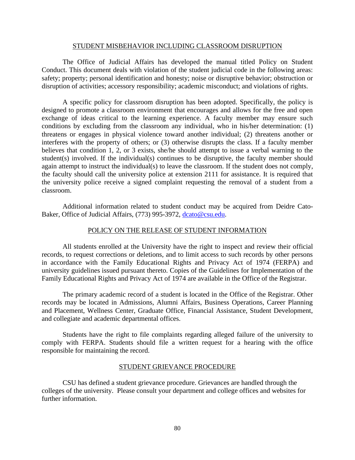## STUDENT MISBEHAVIOR INCLUDING CLASSROOM DISRUPTION

The Office of Judicial Affairs has developed the manual titled Policy on Student Conduct. This document deals with violation of the student judicial code in the following areas: safety; property; personal identification and honesty; noise or disruptive behavior; obstruction or disruption of activities; accessory responsibility; academic misconduct; and violations of rights.

A specific policy for classroom disruption has been adopted. Specifically, the policy is designed to promote a classroom environment that encourages and allows for the free and open exchange of ideas critical to the learning experience. A faculty member may ensure such conditions by excluding from the classroom any individual, who in his/her determination: (1) threatens or engages in physical violence toward another individual; (2) threatens another or interferes with the property of others; or (3) otherwise disrupts the class. If a faculty member believes that condition 1, 2, or 3 exists, she/he should attempt to issue a verbal warning to the student(s) involved. If the individual(s) continues to be disruptive, the faculty member should again attempt to instruct the individual(s) to leave the classroom. If the student does not comply, the faculty should call the university police at extension 2111 for assistance. It is required that the university police receive a signed complaint requesting the removal of a student from a classroom.

Additional information related to student conduct may be acquired from Deidre CatoBaker, Office of Judicial Affairs, (773) 995-3972, [dcato@csu.edu.](mailto:dcato@csu.edu)

### POLICY ON THE RELEASE OF STUDENT INFORMATION

All students enrolled at the University have the right to inspect and review their official records, to request corrections or deletions, and to limit access to such records by other persons in accordance with the Family Educational Rights and Privacy Act of 1974 (FERPA) and university guidelines issued pursuant thereto. Copies of the Guidelines for Implementation of the Family Educational Rights and Privacy Act of 1974 are available in the Office of the Registrar.

The primary academic record of a student is located in the Office of the Registrar. Other records may be located in Admissions, Alumni Affairs, Business Operations, Career Planning and Placement, Wellness Center, Graduate Office, Financial Assistance, Student Development, and collegiate and academic departmental offices.

Students have the right to file complaints regarding alleged failure of the university to comply with FERPA. Students should file a written request for a hearing with the office responsible for maintaining the record.

### STUDENT GRIEVANCE PROCEDURE

CSU has defined a student grievance procedure. Grievances are handled through the colleges of the university. Please consult your department and college offices and websites for further information.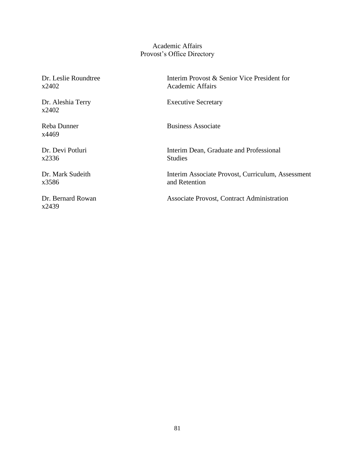# Academic Affairs Provost's Office Directory

x2402 Academic Affairs

x2402

x4469

x2336 Studies

x3586 and Retention

x2439

Dr. Leslie Roundtree Interim Provost & Senior Vice President for

Dr. Aleshia Terry Executive Secretary

Reba Dunner Business Associate

Dr. Devi Potluri Interim Dean, Graduate and Professional

Dr. Mark Sudeith Interim Associate Provost, Curriculum, Assessment

Dr. Bernard Rowan Associate Provost, Contract Administration